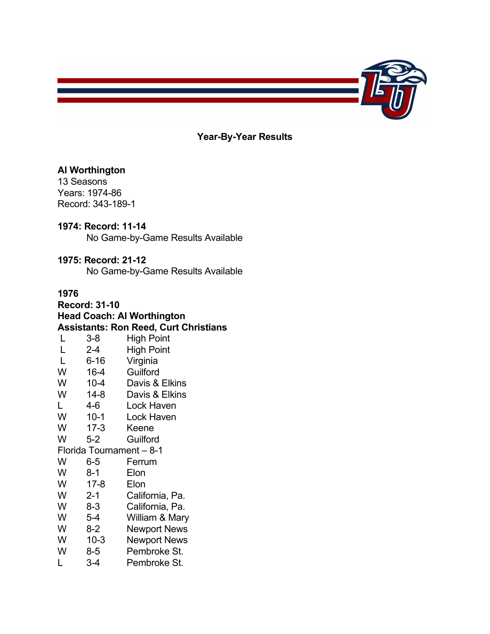

**Year-By-Year Results**

#### **Al Worthington**

13 Seasons Years: 1974-86 Record: 343-189-1

#### **1974: Record: 11-14**

No Game-by-Game Results Available

#### **1975: Record: 21-12**

No Game-by-Game Results Available

### **1976**

**Record: 31-10 Head Coach: Al Worthington Assistants: Ron Reed, Curt Christians** L 3-8 High Point L 2-4 High Point L 6-16 Virginia W 16-4 Guilford<br>W 10-4 Davis & Davis & Elkins W 14-8 Davis & Elkins<br>L 4-6 Lock Haven L 4-6 Lock Haven W 10-1 Lock Haven W 17-3 Keene W 5-2 Guilford Florida Tournament – 8-1 W 6-5 Ferrum<br>W 8-1 Flon 8-1 Elon W 17-8 Elon W 2-1 California, Pa. W 8-3 California, Pa. W 5-4 William & Mary W 8-2 Newport News W 10-3 Newport News<br>W 8-5 Pembroke St. Pembroke St. L 3-4 Pembroke St.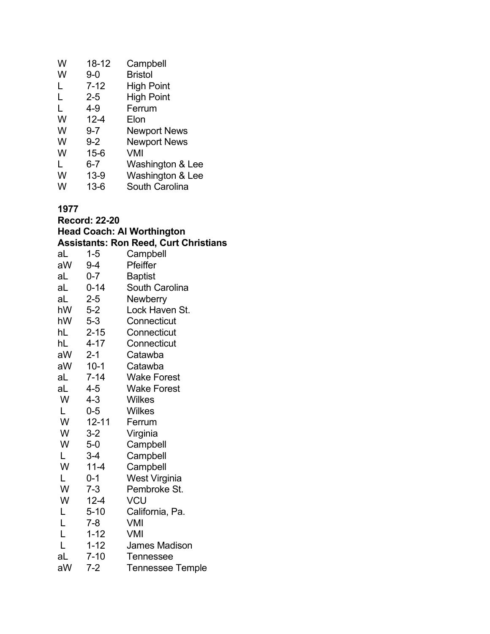| W     | 18-12    | Campbell                              |
|-------|----------|---------------------------------------|
| W     | $9 - 0$  | Bristol                               |
| L     | $7 - 12$ | <b>High Point</b>                     |
| L     | $2 - 5$  | <b>High Point</b>                     |
| L     | 4-9      | Ferrum                                |
| W     | $12 - 4$ | Elon                                  |
| W     | $9 - 7$  | <b>Newport News</b>                   |
| W     | $9 - 2$  | <b>Newport News</b>                   |
| W     | $15 - 6$ | VMI                                   |
| L     | 6-7      | Washington & Lee                      |
| W     | $13-9$   | Washington & Lee                      |
| 1 A I | 10 C     | $O_{\text{multi}}$ $O_{\text{multi}}$ |

W 13-6 South Carolina

|    | <b>Record: 22-20</b> |                                              |
|----|----------------------|----------------------------------------------|
|    |                      | <b>Head Coach: Al Worthington</b>            |
|    |                      | <b>Assistants: Ron Reed, Curt Christians</b> |
| aL | $1 - 5$              | Campbell                                     |
| aW | 9-4                  | Pfeiffer                                     |
| aL | $0 - 7$              | <b>Baptist</b>                               |
| aL | $0 - 14$             | <b>South Carolina</b>                        |
| aL | $2 - 5$              | Newberry                                     |
| hW | $5-2$                | Lock Haven St.                               |
| hW | $5 - 3$              | Connecticut                                  |
| hL | $2 - 15$             | Connecticut                                  |
| hL | $4 - 17$             | Connecticut                                  |
| aW | $2 - 1$              | Catawba                                      |
| aW | $10-1$               | Catawba                                      |
| aL | $7 - 14$             | <b>Wake Forest</b>                           |
| aL | $4 - 5$              | <b>Wake Forest</b>                           |
| W  | 4-3                  | Wilkes                                       |
| L  | $0 - 5$              | <b>Wilkes</b>                                |
| W  | $12 - 11$            | Ferrum                                       |
| W  | $3-2$                | Virginia                                     |
| W  | 5-0                  | Campbell                                     |
| L. | $3 - 4$              | Campbell                                     |
| W  | $11 - 4$             | Campbell                                     |
| L  | $0 - 1$              | West Virginia                                |
| W  | $7 - 3$              | Pembroke St.                                 |
| W  | $12 - 4$             | VCU                                          |
| L  | $5 - 10$             | California, Pa.                              |
| L  | $7 - 8$              | VMI                                          |
| L  | $1 - 12$             | <b>VMI</b>                                   |
| Ĺ  | $1 - 12$             | <b>James Madison</b>                         |
| aL | $7 - 10$             | <b>Tennessee</b>                             |
| aW | $7 - 2$              | <b>Tennessee Temple</b>                      |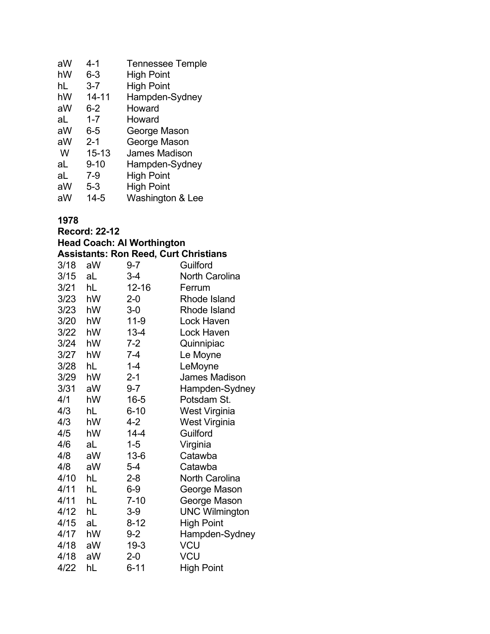| aW | $4 - 1$   | <b>Tennessee Temple</b> |
|----|-----------|-------------------------|
| hW | $6 - 3$   | <b>High Point</b>       |
| hL | $3 - 7$   | <b>High Point</b>       |
| hW | 14-11     | Hampden-Sydney          |
| aW | $6 - 2$   | Howard                  |
| aL | $1 - 7$   | Howard                  |
| aW | $6-5$     | George Mason            |
| aW | $2 - 1$   | George Mason            |
| W  | $15 - 13$ | James Madison           |
| aL | $9 - 10$  | Hampden-Sydney          |
| aL | $7-9$     | <b>High Point</b>       |
| aW | $5 - 3$   | <b>High Point</b>       |
| aW | 14-5      | Washington & Lee        |

**Record: 22-12**

**Head Coach: Al Worthington Assistants: Ron Reed, Curt Christians**

|      |    | เวราวิเนาเวิ. TwiTitcu, Uurt Uniisuuns |                       |
|------|----|----------------------------------------|-----------------------|
| 3/18 | aW | $9 - 7$                                | Guilford              |
| 3/15 | aL | 3-4                                    | <b>North Carolina</b> |
| 3/21 | hL | 12-16                                  | Ferrum                |
| 3/23 | hW | $2 - 0$                                | Rhode Island          |
| 3/23 | hW | $3-0$                                  | Rhode Island          |
| 3/20 | hW | $11-9$                                 | Lock Haven            |
| 3/22 | hW | $13 - 4$                               | Lock Haven            |
| 3/24 | hW | $7-2$                                  | Quinnipiac            |
| 3/27 | hW | 7-4                                    | Le Moyne              |
| 3/28 | hL | $1 - 4$                                | LeMoyne               |
| 3/29 | hW | $2 - 1$                                | <b>James Madison</b>  |
| 3/31 | aW | $9 - 7$                                | Hampden-Sydney        |
| 4/1  | hW | $16 - 5$                               | Potsdam St.           |
| 4/3  | hL | $6 - 10$                               | West Virginia         |
| 4/3  | hW | 4-2                                    | West Virginia         |
| 4/5  | hW | $14 - 4$                               | Guilford              |
| 4/6  | aL | $1 - 5$                                | Virginia              |
| 4/8  | aW | $13 - 6$                               | Catawba               |
| 4/8  | aW | $5-4$                                  | Catawba               |
| 4/10 | hL | $2 - 8$                                | North Carolina        |
| 4/11 | hL | $6-9$                                  | George Mason          |
| 4/11 | hL | $7 - 10$                               | George Mason          |
| 4/12 | hL | $3-9$                                  | <b>UNC Wilmington</b> |
| 4/15 | aL | $8 - 12$                               | <b>High Point</b>     |
| 4/17 | hW | $9 - 2$                                | Hampden-Sydney        |
| 4/18 | aW | $19-3$                                 | <b>VCU</b>            |
| 4/18 | aW | $2 - 0$                                | VCU                   |
| 4/22 | hL | $6 - 11$                               | <b>High Point</b>     |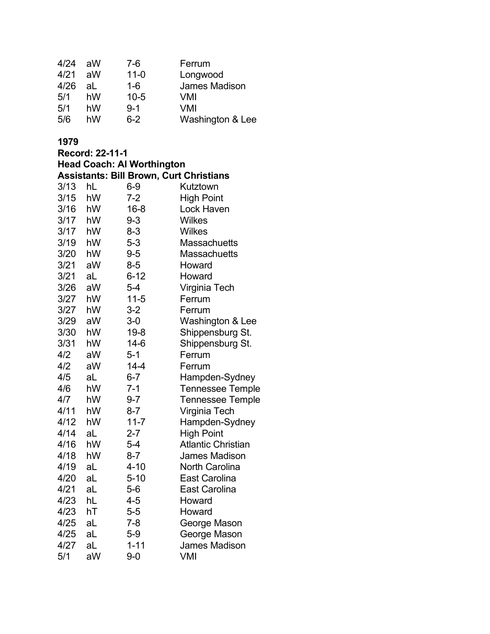| 4/24 | aW | 7-6      | Ferrum           |
|------|----|----------|------------------|
| 4/21 | aW | $11 - 0$ | Longwood         |
| 4/26 | al | $1 - 6$  | James Madison    |
| 5/1  | hW | $10 - 5$ | VMI              |
| 5/1  | hW | $9 - 1$  | VMI              |
| 5/6  | hW | $6 - 2$  | Washington & Lee |

|      | Record: 22-11-1 |                                                |                           |
|------|-----------------|------------------------------------------------|---------------------------|
|      |                 | <b>Head Coach: Al Worthington</b>              |                           |
|      |                 | <b>Assistants: Bill Brown, Curt Christians</b> |                           |
| 3/13 | hL              | $6-9$                                          | Kutztown                  |
| 3/15 | hW              | $7 - 2$                                        | High Point                |
| 3/16 | hW              | $16 - 8$                                       | Lock Haven                |
| 3/17 | hW              | $9 - 3$                                        | <b>Wilkes</b>             |
| 3/17 | hW              | $8 - 3$                                        | <b>Wilkes</b>             |
| 3/19 | hW              | $5 - 3$                                        | <b>Massachuetts</b>       |
| 3/20 | hW              | $9 - 5$                                        | <b>Massachuetts</b>       |
| 3/21 | aW              | $8 - 5$                                        | Howard                    |
| 3/21 | aL              | $6 - 12$                                       | Howard                    |
| 3/26 | aW              | $5 - 4$                                        | Virginia Tech             |
| 3/27 | hW              | $11 - 5$                                       | Ferrum                    |
| 3/27 | hW              | $3 - 2$                                        | Ferrum                    |
| 3/29 | aW              | $3-0$                                          | Washington & Lee          |
| 3/30 | hW              | $19 - 8$                                       | Shippensburg St.          |
| 3/31 | hW              | $14-6$                                         | Shippensburg St.          |
| 4/2  | aW              | $5 - 1$                                        | Ferrum                    |
| 4/2  | aW              | $14 - 4$                                       | Ferrum                    |
| 4/5  | aL              | $6 - 7$                                        | Hampden-Sydney            |
| 4/6  | hW              | $7 - 1$                                        | <b>Tennessee Temple</b>   |
| 4/7  | hW              | $9 - 7$                                        | <b>Tennessee Temple</b>   |
| 4/11 | hW              | $8 - 7$                                        | Virginia Tech             |
| 4/12 | hW              | $11 - 7$                                       | Hampden-Sydney            |
| 4/14 | aL              | $2 - 7$                                        | <b>High Point</b>         |
| 4/16 | hW              | $5-4$                                          | <b>Atlantic Christian</b> |
| 4/18 | hW              | $8 - 7$                                        | <b>James Madison</b>      |
| 4/19 | aL              | $4 - 10$                                       | North Carolina            |
| 4/20 | aL              | $5 - 10$                                       | East Carolina             |
| 4/21 | aL              | $5-6$                                          | <b>East Carolina</b>      |
| 4/23 | hL              | 4-5                                            | Howard                    |
| 4/23 | hT              | $5-5$                                          | Howard                    |
| 4/25 | aL              | $7 - 8$                                        | George Mason              |
| 4/25 | aL              | $5 - 9$                                        | George Mason              |
| 4/27 | aL              | $1 - 11$                                       | <b>James Madison</b>      |
| 5/1  | aW              | $9 - 0$                                        | <b>VMI</b>                |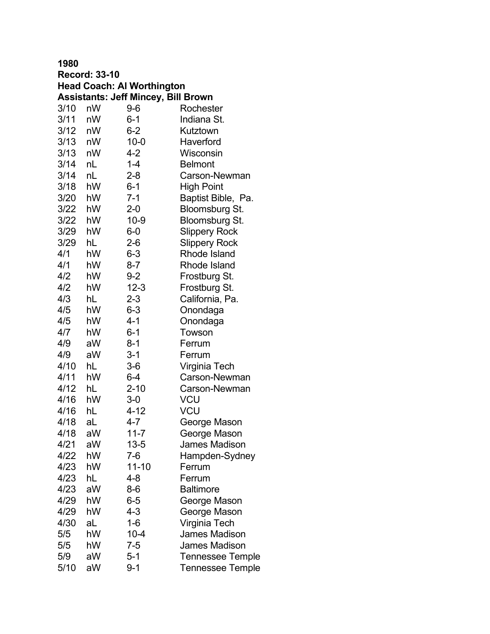| <b>Record: 33-10</b> |    |                                            |                         |
|----------------------|----|--------------------------------------------|-------------------------|
|                      |    | <b>Head Coach: Al Worthington</b>          |                         |
|                      |    | <b>Assistants: Jeff Mincey, Bill Brown</b> |                         |
| 3/10                 | nW | 9-6                                        | Rochester               |
| 3/11                 | nW | $6 - 1$                                    | Indiana St.             |
| 3/12                 | nW | $6 - 2$                                    | Kutztown                |
| 3/13                 | nW | $10 - 0$                                   | Haverford               |
| 3/13                 | nW | $4 - 2$                                    | Wisconsin               |
| 3/14                 | nL | $1 - 4$                                    | <b>Belmont</b>          |
| 3/14                 | nL | $2 - 8$                                    | Carson-Newman           |
| 3/18                 | hW | $6 - 1$                                    | <b>High Point</b>       |
| 3/20                 | hW | $7 - 1$                                    | Baptist Bible, Pa.      |
| 3/22                 | hW | $2 - 0$                                    | Bloomsburg St.          |
| 3/22                 | hW | $10 - 9$                                   | Bloomsburg St.          |
| 3/29                 | hW | $6-0$                                      | <b>Slippery Rock</b>    |
| 3/29                 | hL | $2-6$                                      | <b>Slippery Rock</b>    |
| 4/1                  | hW | $6 - 3$                                    | Rhode Island            |
| 4/1                  | hW | $8 - 7$                                    | Rhode Island            |
| 4/2                  | hW | $9 - 2$                                    | Frostburg St.           |
| 4/2                  | hW | $12 - 3$                                   | Frostburg St.           |
| 4/3                  | hL | $2 - 3$                                    | California, Pa.         |
| 4/5                  | hW | $6 - 3$                                    | Onondaga                |
| 4/5                  | hW | 4-1                                        | Onondaga                |
| 4/7                  | hW | $6 - 1$                                    | Towson                  |
| 4/9                  | aW | $8 - 1$                                    | Ferrum                  |
| 4/9                  | aW | $3 - 1$                                    | Ferrum                  |
| 4/10                 | hL | $3-6$                                      | Virginia Tech           |
| 4/11                 | hW | $6 - 4$                                    | Carson-Newman           |
| 4/12                 | hL | $2 - 10$                                   | Carson-Newman           |
| 4/16                 | hW | 3-0                                        | VCU                     |
| 4/16                 | hL | 4-12                                       | VCU                     |
| 4/18                 | aL | 4-7                                        | George Mason            |
| 4/18                 | aW | $11 - 7$                                   | George Mason            |
| 4/21                 | aW | $13 - 5$                                   | <b>James Madison</b>    |
| 4/22                 | hW | 7-6                                        | Hampden-Sydney          |
| 4/23                 | hW | $11 - 10$                                  | Ferrum                  |
| 4/23                 | hL | 4-8                                        | Ferrum                  |
| 4/23                 | aW | $8-6$                                      | <b>Baltimore</b>        |
| 4/29                 | hW | $6-5$                                      | George Mason            |
| 4/29                 | hW | 4-3                                        | George Mason            |
| 4/30                 | aL | $1 - 6$                                    | Virginia Tech           |
| 5/5                  | hW | $10 - 4$                                   | James Madison           |
| 5/5                  | hW | $7 - 5$                                    | <b>James Madison</b>    |
| 5/9                  | aW | 5-1                                        | <b>Tennessee Temple</b> |
| 5/10                 | aW | 9-1                                        | Tennessee Temple        |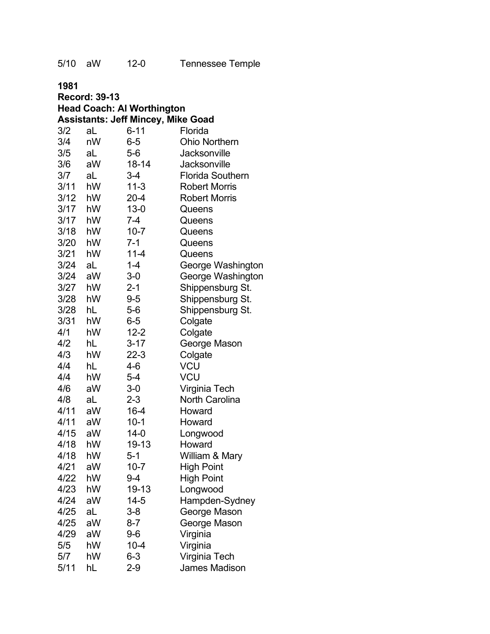| 1981 |                      |                                           |                         |
|------|----------------------|-------------------------------------------|-------------------------|
|      | <b>Record: 39-13</b> |                                           |                         |
|      |                      | <b>Head Coach: Al Worthington</b>         |                         |
|      |                      | <b>Assistants: Jeff Mincey, Mike Goad</b> |                         |
| 3/2  | aL                   | $6 - 11$                                  | Florida                 |
| 3/4  | nW                   | 6-5                                       | <b>Ohio Northern</b>    |
| 3/5  | aL                   | $5-6$                                     | Jacksonville            |
| 3/6  | aW                   | 18-14                                     | Jacksonville            |
| 3/7  | aL                   | 3-4                                       | <b>Florida Southern</b> |
| 3/11 | hW                   | $11 - 3$                                  | <b>Robert Morris</b>    |
| 3/12 | hW                   | $20 - 4$                                  | <b>Robert Morris</b>    |
| 3/17 | hW                   | $13 - 0$                                  | Queens                  |
| 3/17 | hW                   | 7-4                                       | Queens                  |
| 3/18 | hW                   | $10 - 7$                                  | Queens                  |
| 3/20 | hW                   | 7-1                                       | Queens                  |
| 3/21 | hW                   | $11 - 4$                                  | Queens                  |
| 3/24 | aL                   | $1 - 4$                                   | George Washington       |
| 3/24 | aW                   | 3-0                                       | George Washington       |
| 3/27 | hW                   | $2 - 1$                                   | Shippensburg St.        |
| 3/28 | hW                   | $9 - 5$                                   | Shippensburg St.        |
| 3/28 | hL                   | $5-6$                                     | Shippensburg St.        |
| 3/31 | hW                   | $6-5$                                     | Colgate                 |
| 4/1  | hW                   | $12 - 2$                                  | Colgate                 |
| 4/2  | hL                   | $3 - 17$                                  | George Mason            |
| 4/3  | hW                   | $22 - 3$                                  | Colgate                 |
| 4/4  | hL                   | 4-6                                       | <b>VCU</b>              |
| 4/4  | hW                   | $5 - 4$                                   | <b>VCU</b>              |
| 4/6  | aW                   | $3-0$                                     | Virginia Tech           |
| 4/8  | aL                   | $2 - 3$                                   | <b>North Carolina</b>   |
| 4/11 | aW                   | $16 - 4$                                  | Howard                  |
| 4/11 | aW                   | $10-1$                                    | Howard                  |
| 4/15 | aW                   | 14-0                                      | Longwood                |
| 4/18 | hW                   | 19-13                                     | Howard                  |
| 4/18 | hW                   | $5 - 1$                                   | William & Mary          |
| 4/21 | aW                   | $10 - 7$                                  | <b>High Point</b>       |
| 4/22 | hW                   | 9-4                                       | <b>High Point</b>       |
| 4/23 | hW                   | 19-13                                     | Longwood                |
| 4/24 | aW                   | 14-5                                      | Hampden-Sydney          |
| 4/25 | aL                   | $3 - 8$                                   | George Mason            |
| 4/25 | aW                   | $8 - 7$                                   | George Mason            |
| 4/29 | aW                   | $9-6$                                     | Virginia                |
| 5/5  | hW                   | $10 - 4$                                  | Virginia                |
| 5/7  | hW                   | $6 - 3$                                   | Virginia Tech           |
| 5/11 | hL                   | $2-9$                                     | James Madison           |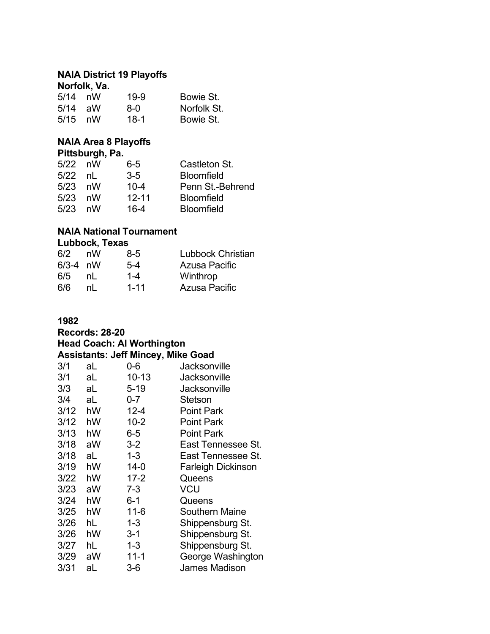#### **NAIA District 19 Playoffs Norfolk, Va.**

|           | IVIIVIR, VA. |      |             |
|-----------|--------------|------|-------------|
| $5/14$ nW |              | 19-9 | Bowie St.   |
| $5/14$ aW |              | 8-0  | Norfolk St. |
| 5/15      | nW           | 18-1 | Bowie St.   |

# **NAIA Area 8 Playoffs**

| Pittsburgh, Pa. |  |  |
|-----------------|--|--|
|                 |  |  |

| $5/22$ nW |    | 6-5       | Castleton St.     |
|-----------|----|-----------|-------------------|
| 5/22      | nl | $3-5$     | <b>Bloomfield</b> |
| $5/23$ nW |    | $10 - 4$  | Penn St.-Behrend  |
| 5/23      | nW | $12 - 11$ | <b>Bloomfield</b> |
| 5/23      | nW | 16-4      | <b>Bloomfield</b> |

# **NAIA National Tournament**

### **Lubbock, Texas**

| 6/2        | nW | 8-5      | <b>Lubbock Christian</b> |
|------------|----|----------|--------------------------|
| $6/3-4$ nW |    | $5-4$    | Azusa Pacific            |
| 6/5        | nl | $1 - 4$  | Winthrop                 |
| 6/6        | nl | $1 - 11$ | Azusa Pacific            |

### **1982**

### **Records: 28-20 Head Coach: Al Worthington Assistants: Jeff Mincey, Mike Goad**<br>3/1 aL 0-6 Jacksony 3/1 aL 0-6 Jacksonville 3/1 aL 10-13 Jacksonville 3/3 aL 5-19 Jacksonville

| כ וכ | aг | ວ- ເອ    | Jacksonville              |
|------|----|----------|---------------------------|
| 3/4  | aL | $0 - 7$  | Stetson                   |
| 3/12 | hW | $12 - 4$ | <b>Point Park</b>         |
| 3/12 | hW | $10 - 2$ | <b>Point Park</b>         |
| 3/13 | hW | $6-5$    | <b>Point Park</b>         |
| 3/18 | aW | $3 - 2$  | East Tennessee St.        |
| 3/18 | aL | $1 - 3$  | East Tennessee St.        |
| 3/19 | hW | $14 - 0$ | <b>Farleigh Dickinson</b> |
| 3/22 | hW | $17 - 2$ | Queens                    |
| 3/23 | aW | $7 - 3$  | <b>VCU</b>                |
| 3/24 | hW | $6 - 1$  | Queens                    |
| 3/25 | hW | $11 - 6$ | <b>Southern Maine</b>     |
| 3/26 | hL | $1 - 3$  | Shippensburg St.          |
| 3/26 | hW | $3 - 1$  | Shippensburg St.          |
| 3/27 | hL | $1 - 3$  | Shippensburg St.          |
| 3/29 | aW | $11 - 1$ | George Washington         |
| 3/31 | aL | $3-6$    | <b>James Madison</b>      |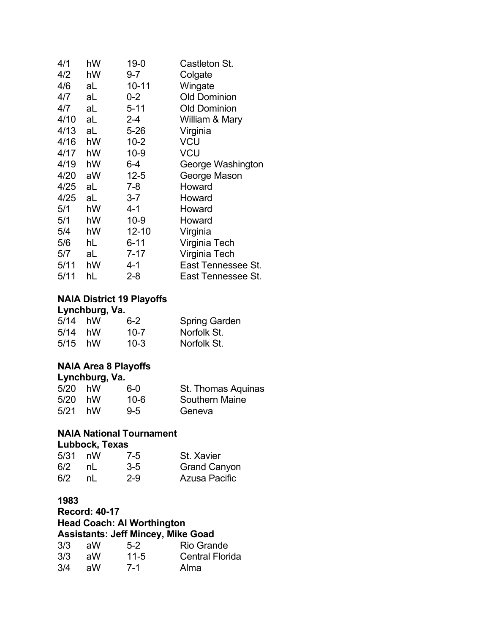| 4/1  | hW | $19 - 0$  | Castleton St.       |
|------|----|-----------|---------------------|
| 4/2  | hW | $9 - 7$   | Colgate             |
| 4/6  | aL | $10 - 11$ | Wingate             |
| 4/7  | aL | $0 - 2$   | <b>Old Dominion</b> |
| 4/7  | aL | $5 - 11$  | <b>Old Dominion</b> |
| 4/10 | aL | $2 - 4$   | William & Mary      |
| 4/13 | aL | $5 - 26$  | Virginia            |
| 4/16 | hW | $10 - 2$  | VCU                 |
| 4/17 | hW | $10 - 9$  | VCU                 |
| 4/19 | hW | $6 - 4$   | George Washington   |
| 4/20 | aW | 12-5      | George Mason        |
| 4/25 | aL | 7-8       | Howard              |
| 4/25 | aL | $3 - 7$   | Howard              |
| 5/1  | hW | 4-1       | Howard              |
| 5/1  | hW | $10 - 9$  | Howard              |
| 5/4  | hW | $12 - 10$ | Virginia            |
| 5/6  | hL | $6 - 11$  | Virginia Tech       |
| 5/7  | aL | 7-17      | Virginia Tech       |
| 5/11 | hW | 4-1       | East Tennessee St.  |
| 5/11 | hL | 2-8       | East Tennessee St.  |

### **NAIA District 19 Playoffs**

#### **Lynchburg, Va.**

| $5/14$ hW | $6 - 2$  | <b>Spring Garden</b> |
|-----------|----------|----------------------|
| $5/14$ hW | $10 - 7$ | Norfolk St.          |
| $5/15$ hW | $10 - 3$ | Norfolk St.          |

### **NAIA Area 8 Playoffs**

| Lynchburg, Va. |    |         |                       |  |
|----------------|----|---------|-----------------------|--|
| $5/20$ hW      |    | 6-0     | St. Thomas Aquinas    |  |
| 5/20           | hW | 10-6    | <b>Southern Maine</b> |  |
| 5/21           | hW | $9 - 5$ | Geneva                |  |

# **NAIA National Tournament**

### **Lubbock, Texas**

| $5/31$ nW |    | $7 - 5$ | St. Xavier          |
|-----------|----|---------|---------------------|
| 6/2       | nL | $3-5$   | <b>Grand Canyon</b> |
| 6/2       | nl | $2-9$   | Azusa Pacific       |

### **1983**

**Record: 40-17 Head Coach: Al Worthington Assistants: Jeff Mincey, Mike Goad**

| 3/3 | . aW | $5-2$    | <b>Rio Grande</b>      |
|-----|------|----------|------------------------|
| 3/3 | aW   | $11 - 5$ | <b>Central Florida</b> |
| 3/4 | aW   | 7-1      | Alma                   |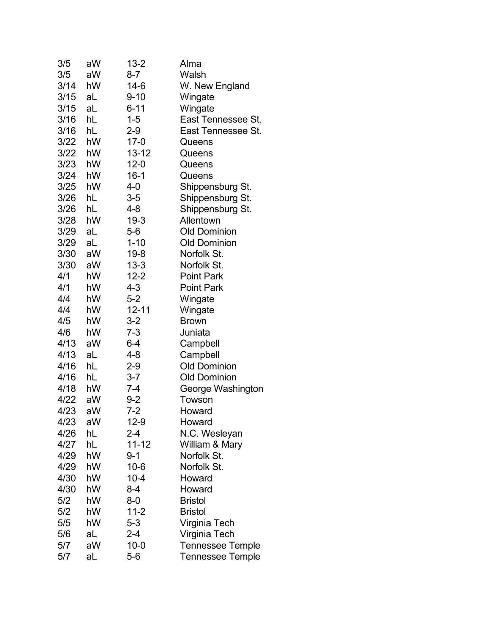| 3/5  | aW | $13 - 2$  | Alma                    |
|------|----|-----------|-------------------------|
| 3/5  | aW | $8 - 7$   | Walsh                   |
| 3/14 | hW | 14-6      | W. New England          |
| 3/15 | aL | $9 - 10$  | Wingate                 |
| 3/15 | aL | $6 - 11$  | Wingate                 |
| 3/16 | hL | $1 - 5$   | East Tennessee St.      |
| 3/16 | hL | $2 - 9$   | East Tennessee St.      |
| 3/22 | hW | $17-0$    | Queens                  |
| 3/22 | hW | $13 - 12$ | Queens                  |
| 3/23 | hW | $12 - 0$  | Queens                  |
| 3/24 | hW | $16-1$    | Queens                  |
| 3/25 | hW | $4-0$     | Shippensburg St.        |
| 3/26 | hL | $3-5$     | Shippensburg St.        |
| 3/26 | hL | 4-8       | Shippensburg St.        |
| 3/28 | hW | $19 - 3$  | Allentown               |
| 3/29 | aL | $5-6$     | <b>Old Dominion</b>     |
| 3/29 | aL | $1 - 10$  | <b>Old Dominion</b>     |
| 3/30 | aW | $19 - 8$  | Norfolk St.             |
| 3/30 | aW | $13 - 3$  | Norfolk St.             |
| 4/1  | hW | $12 - 2$  | <b>Point Park</b>       |
| 4/1  | hW | 4-3       | <b>Point Park</b>       |
| 4/4  | hW | $5 - 2$   | Wingate                 |
| 4/4  | hW | $12 - 11$ | Wingate                 |
| 4/5  | hW | $3 - 2$   | <b>Brown</b>            |
| 4/6  | hW | $7 - 3$   | Juniata                 |
| 4/13 | aW | 6-4       | Campbell                |
| 4/13 | aL | $4 - 8$   | Campbell                |
| 4/16 | hL | $2-9$     | <b>Old Dominion</b>     |
| 4/16 | hL | $3 - 7$   | <b>Old Dominion</b>     |
| 4/18 | hW | $7 - 4$   | George Washington       |
| 4/22 | aW | 9-2       | Towson                  |
| 4/23 | aW | 7-2       | Howard                  |
| 4/23 | aW | $12-9$    | Howard                  |
| 4/26 | hL | $2 - 4$   | N.C. Wesleyan           |
| 4/27 | hL | 11-12     | William & Mary          |
| 4/29 | hW | $9 - 1$   | Norfolk St.             |
| 4/29 | hW | $10 - 6$  | Norfolk St.             |
| 4/30 | hW | $10 - 4$  | Howard                  |
| 4/30 | hW | 8-4       | Howard                  |
| 5/2  | hW | $8-0$     | <b>Bristol</b>          |
| 5/2  | hW | $11 - 2$  | <b>Bristol</b>          |
| 5/5  | hW | $5 - 3$   | Virginia Tech           |
| 5/6  | aL | $2 - 4$   | Virginia Tech           |
| 5/7  | aW | $10 - 0$  | <b>Tennessee Temple</b> |
| 5/7  | aL | $5-6$     | <b>Tennessee Temple</b> |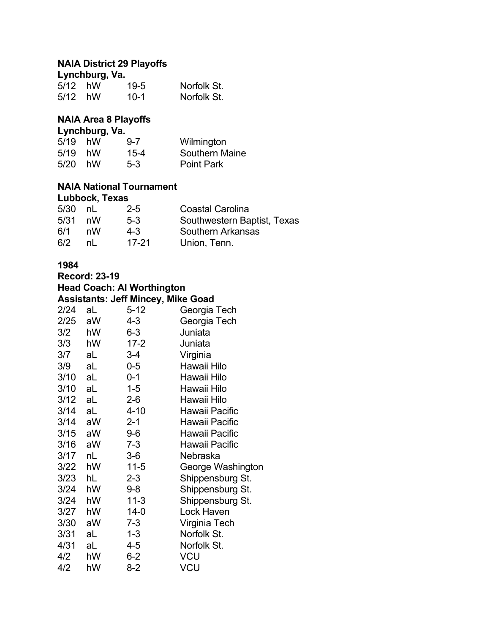# **NAIA District 29 Playoffs**

| Lynchburg, Va. |  |          |             |  |  |
|----------------|--|----------|-------------|--|--|
| $5/12$ hW      |  | $19 - 5$ | Norfolk St. |  |  |
| $5/12$ hW      |  | $10-1$   | Norfolk St. |  |  |

# **NAIA Area 8 Playoffs**

| Lynchburg, Va. |    |          |                       |  |
|----------------|----|----------|-----------------------|--|
| 5/19           | hW | $9 - 7$  | Wilmington            |  |
| 5/19           | hW | $15 - 4$ | <b>Southern Maine</b> |  |
| 5/20           | hW | $5-3$    | <b>Point Park</b>     |  |

### **NAIA National Tournament Lubbock, Texas**

| $5/30$ nL |    | $2 - 5$ | <b>Coastal Carolina</b>     |
|-----------|----|---------|-----------------------------|
| $5/31$ nW |    | $5-3$   | Southwestern Baptist, Texas |
| 6/1       | nW | $4 - 3$ | <b>Southern Arkansas</b>    |
| 6/2       | nl | 17-21   | Union, Tenn.                |

### **1984**

**Record: 23-19**

| <b>Head Coach: Al Worthington</b>         |  |  |
|-------------------------------------------|--|--|
| <b>Assistants: Jeff Mincey, Mike Goad</b> |  |  |

| 2/24 | aL | $5 - 12$ | Georgia Tech      |
|------|----|----------|-------------------|
| 2/25 | aW | $4 - 3$  | Georgia Tech      |
| 3/2  | hW | $6 - 3$  | Juniata           |
| 3/3  | hW | $17 - 2$ | Juniata           |
| 3/7  | aL | 3-4      | Virginia          |
| 3/9  | aL | $0-5$    | Hawaii Hilo       |
| 3/10 | aL | $0 - 1$  | Hawaii Hilo       |
| 3/10 | aL | $1 - 5$  | Hawaii Hilo       |
| 3/12 | aL | $2 - 6$  | Hawaii Hilo       |
| 3/14 | aL | $4 - 10$ | Hawaii Pacific    |
| 3/14 | aW | $2 - 1$  | Hawaii Pacific    |
| 3/15 | aW | $9-6$    | Hawaii Pacific    |
| 3/16 | aW | $7 - 3$  | Hawaii Pacific    |
| 3/17 | nL | 3-6      | Nebraska          |
| 3/22 | hW | $11 - 5$ | George Washington |
| 3/23 | hL | $2 - 3$  | Shippensburg St.  |
| 3/24 | hW | 9-8      | Shippensburg St.  |
| 3/24 | hW | $11 - 3$ | Shippensburg St.  |
| 3/27 | hW | 14-0     | Lock Haven        |
| 3/30 | aW | 7-3      | Virginia Tech     |
| 3/31 | aL | $1 - 3$  | Norfolk St.       |
| 4/31 | aL | 4-5      | Norfolk St.       |
| 4/2  | hW | 6-2      | VCU               |
| 4/2  | hW | $8 - 2$  | VCU               |
|      |    |          |                   |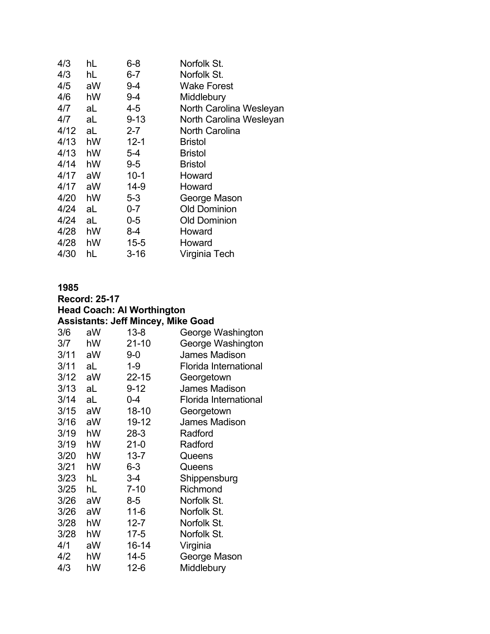| 4/3  | hL | $6 - 8$  | Norfolk St.             |
|------|----|----------|-------------------------|
| 4/3  | hL | $6-7$    | Norfolk St.             |
| 4/5  | aW | 9-4      | <b>Wake Forest</b>      |
| 4/6  | hW | 9-4      | Middlebury              |
| 4/7  | aL | 4-5      | North Carolina Wesleyan |
| 4/7  | aL | $9 - 13$ | North Carolina Wesleyan |
| 4/12 | aL | 2-7      | <b>North Carolina</b>   |
| 4/13 | hW | $12 - 1$ | <b>Bristol</b>          |
| 4/13 | hW | 5-4      | <b>Bristol</b>          |
| 4/14 | hW | $9-5$    | <b>Bristol</b>          |
| 4/17 | aW | $10 - 1$ | Howard                  |
| 4/17 | aW | $14-9$   | Howard                  |
| 4/20 | hW | $5 - 3$  | George Mason            |
| 4/24 | aL | $0 - 7$  | <b>Old Dominion</b>     |
| 4/24 | aL | $0-5$    | <b>Old Dominion</b>     |
| 4/28 | hW | 8-4      | Howard                  |
| 4/28 | hW | $15 - 5$ | Howard                  |
| 4/30 | hL | $3 - 16$ | Virginia Tech           |
|      |    |          |                         |

| 1985 |                      |                                           |                              |
|------|----------------------|-------------------------------------------|------------------------------|
|      | <b>Record: 25-17</b> |                                           |                              |
|      |                      | <b>Head Coach: Al Worthington</b>         |                              |
|      |                      | <b>Assistants: Jeff Mincey, Mike Goad</b> |                              |
| 3/6  | aW                   | $13 - 8$                                  | George Washington            |
| 3/7  | hW                   | $21 - 10$                                 | George Washington            |
| 3/11 | aW                   | $9-0$                                     | James Madison                |
| 3/11 | aL                   | $1 - 9$                                   | <b>Florida International</b> |
| 3/12 | aW                   | $22 - 15$                                 | Georgetown                   |
| 3/13 | aL                   | $9 - 12$                                  | <b>James Madison</b>         |
| 3/14 | aL                   | $0 - 4$                                   | <b>Florida International</b> |
| 3/15 | aW                   | $18 - 10$                                 | Georgetown                   |
| 3/16 | aW                   | 19-12                                     | <b>James Madison</b>         |
| 3/19 | hW                   | $28-3$                                    | Radford                      |
| 3/19 | hW                   | $21 - 0$                                  | Radford                      |
| 3/20 | hW                   | $13 - 7$                                  | Queens                       |
| 3/21 | hW                   | 6-3                                       | Queens                       |
| 3/23 | hL                   | $3-4$                                     | Shippensburg                 |
| 3/25 | hL                   | $7 - 10$                                  | Richmond                     |
| 3/26 | aW                   | 8-5                                       | Norfolk St.                  |
| 3/26 | aW                   | $11 - 6$                                  | Norfolk St.                  |
| 3/28 | hW                   | $12 - 7$                                  | Norfolk St.                  |
| 3/28 | hW                   | $17 - 5$                                  | Norfolk St.                  |
| 4/1  | aW                   | 16-14                                     | Virginia                     |
| 4/2  | hW                   | $14 - 5$                                  | George Mason                 |
| 4/3  | hW                   | $12 - 6$                                  | Middlebury                   |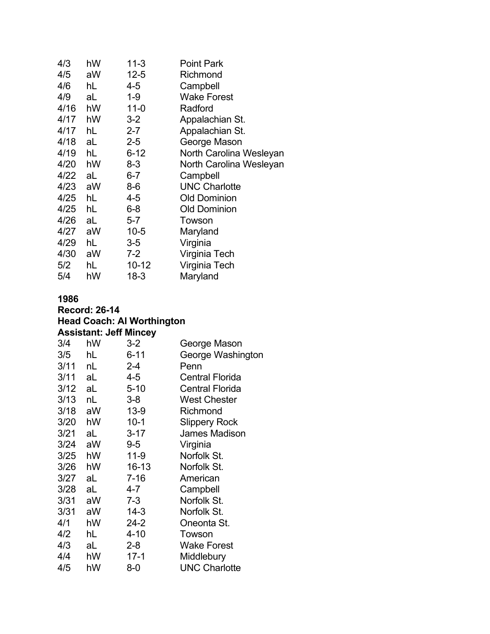| 4/3  | hW | $11 - 3$ | Point Park              |
|------|----|----------|-------------------------|
| 4/5  | aW | $12 - 5$ | Richmond                |
| 4/6  | hL | 4-5      | Campbell                |
| 4/9  | aL | 1-9      | <b>Wake Forest</b>      |
| 4/16 | hW | $11 - 0$ | Radford                 |
| 4/17 | hW | $3 - 2$  | Appalachian St.         |
| 4/17 | hL | $2 - 7$  | Appalachian St.         |
| 4/18 | aL | $2 - 5$  | George Mason            |
| 4/19 | hL | $6 - 12$ | North Carolina Wesleyan |
| 4/20 | hW | 8-3      | North Carolina Wesleyan |
| 4/22 | aL | $6-7$    | Campbell                |
| 4/23 | aW | 8-6      | <b>UNC Charlotte</b>    |
| 4/25 | hL | 4-5      | <b>Old Dominion</b>     |
| 4/25 | hL | 6-8      | <b>Old Dominion</b>     |
| 4/26 | aL | $5-7$    | Towson                  |
| 4/27 | aW | $10 - 5$ | Maryland                |
| 4/29 | hL | $3-5$    | Virginia                |
| 4/30 | aW | $7 - 2$  | Virginia Tech           |
| 5/2  | hL | 10-12    | Virginia Tech           |
| 5/4  | hW | $18 - 3$ | Maryland                |

| <b>Record: 26-14</b>              |  |  |
|-----------------------------------|--|--|
| <b>Head Coach: Al Worthington</b> |  |  |
| <b>Assistant: Jeff Mincey</b>     |  |  |

| 3/4  | hW | $3 - 2$  | George Mason           |
|------|----|----------|------------------------|
| 3/5  | hL | $6 - 11$ | George Washington      |
| 3/11 | nL | 2-4      | Penn                   |
| 3/11 | aL | 4-5      | <b>Central Florida</b> |
| 3/12 | aL | $5 - 10$ | <b>Central Florida</b> |
| 3/13 | nL | 3-8      | <b>West Chester</b>    |
| 3/18 | aW | $13-9$   | Richmond               |
| 3/20 | hW | $10 - 1$ | <b>Slippery Rock</b>   |
| 3/21 | aL | $3 - 17$ | <b>James Madison</b>   |
| 3/24 | aW | 9-5      | Virginia               |
| 3/25 | hW | $11 - 9$ | Norfolk St.            |
| 3/26 | hW | 16-13    | Norfolk St.            |
| 3/27 | aL | $7 - 16$ | American               |
| 3/28 | aL | 4-7      | Campbell               |
| 3/31 | aW | 7-3      | Norfolk St.            |
| 3/31 | aW | $14 - 3$ | Norfolk St.            |
| 4/1  | hW | 24-2     | Oneonta St.            |
| 4/2  | hL | $4 - 10$ | Towson                 |
| 4/3  | aL | $2 - 8$  | <b>Wake Forest</b>     |
| 4/4  | hW | $17-1$   | Middlebury             |
| 4/5  | hW | 8-0      | <b>UNC Charlotte</b>   |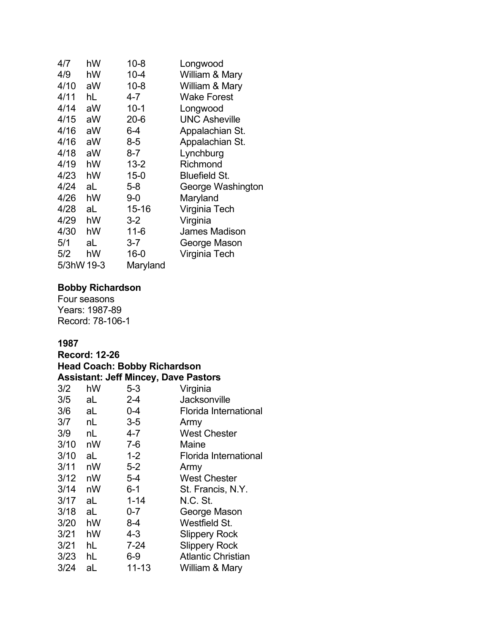| 4/7        | hW | $10 - 8$  | Longwood             |
|------------|----|-----------|----------------------|
| 4/9        | hW | $10 - 4$  | William & Mary       |
| 4/10       | aW | $10 - 8$  | William & Mary       |
| 4/11       | hL | 4-7       | <b>Wake Forest</b>   |
| 4/14       | aW | $10 - 1$  | Longwood             |
| 4/15       | aW | $20 - 6$  | <b>UNC Asheville</b> |
| 4/16       | aW | $6 - 4$   | Appalachian St.      |
| 4/16       | aW | $8 - 5$   | Appalachian St.      |
| 4/18       | aW | $8 - 7$   | Lynchburg            |
| 4/19       | hW | $13 - 2$  | Richmond             |
| 4/23       | hW | $15 - 0$  | <b>Bluefield St.</b> |
| 4/24       | aL | 5-8       | George Washington    |
| 4/26       | hW | 9-0       | Maryland             |
| 4/28       | aL | $15 - 16$ | Virginia Tech        |
| 4/29       | hW | $3-2$     | Virginia             |
| 4/30       | hW | $11 - 6$  | James Madison        |
| 5/1        | aL | $3 - 7$   | George Mason         |
| 5/2        | hW | $16-0$    | Virginia Tech        |
| 5/3hW 19-3 |    | Maryland  |                      |

### **Bobby Richardson**

Four seasons Years: 1987-89 Record: 78-106-1

| <b>Record: 12-26</b> |    |                                             |                           |
|----------------------|----|---------------------------------------------|---------------------------|
|                      |    | <b>Head Coach: Bobby Richardson</b>         |                           |
|                      |    | <b>Assistant: Jeff Mincey, Dave Pastors</b> |                           |
| 3/2                  | hW | $5 - 3$                                     | Virginia                  |
| 3/5                  | aL | $2 - 4$                                     | <b>Jacksonville</b>       |
| 3/6                  | aL | $0 - 4$                                     | Florida International     |
| 3/7                  | nL | $3-5$                                       | Army                      |
| 3/9                  | nL | 4-7                                         | <b>West Chester</b>       |
| 3/10                 | nW | $7-6$                                       | Maine                     |
| 3/10                 | aL | $1 - 2$                                     | Florida International     |
| 3/11                 | nW | $5-2$                                       | Army                      |
| 3/12                 | nW | $5 - 4$                                     | <b>West Chester</b>       |
| 3/14                 | nW | $6 - 1$                                     | St. Francis, N.Y.         |
| 3/17                 | aL | $1 - 14$                                    | <b>N.C. St.</b>           |
| 3/18                 | aL | $0 - 7$                                     | George Mason              |
| 3/20                 | hW | $8 - 4$                                     | Westfield St.             |
| 3/21                 | hW | 4-3                                         | <b>Slippery Rock</b>      |
| 3/21                 | hL | $7 - 24$                                    | <b>Slippery Rock</b>      |
| 3/23                 | hL | $6-9$                                       | <b>Atlantic Christian</b> |
| 3/24                 | aL | $11 - 13$                                   | William & Mary            |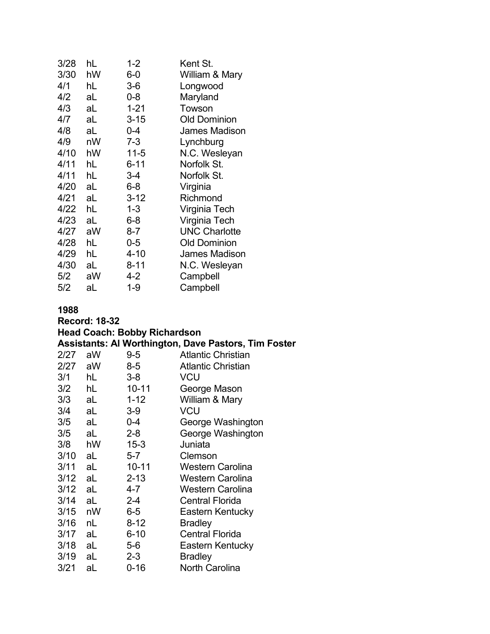| 3/28 | hL | $1 - 2$  | Kent St.             |
|------|----|----------|----------------------|
| 3/30 | hW | $6-0$    | William & Mary       |
| 4/1  | hL | $3-6$    | Longwood             |
| 4/2  | aL | $0 - 8$  | Maryland             |
| 4/3  | aL | $1 - 21$ | Towson               |
| 4/7  | aL | $3 - 15$ | <b>Old Dominion</b>  |
| 4/8  | aL | 0-4      | James Madison        |
| 4/9  | nW | $7 - 3$  | Lynchburg            |
| 4/10 | hW | $11 - 5$ | N.C. Wesleyan        |
| 4/11 | hL | $6 - 11$ | Norfolk St.          |
| 4/11 | hL | 3-4      | Norfolk St.          |
| 4/20 | aL | $6 - 8$  | Virginia             |
| 4/21 | aL | $3 - 12$ | Richmond             |
| 4/22 | hL | $1 - 3$  | Virginia Tech        |
| 4/23 | aL | $6 - 8$  | Virginia Tech        |
| 4/27 | aW | $8 - 7$  | <b>UNC Charlotte</b> |
| 4/28 | hL | $0-5$    | <b>Old Dominion</b>  |
| 4/29 | hL | $4 - 10$ | <b>James Madison</b> |
| 4/30 | aL | 8-11     | N.C. Wesleyan        |
| 5/2  | aW | 4-2      | Campbell             |
| 5/2  | aL | 1-9      | Campbell             |

### **Record: 18-32 Head Coach: Bobby Richardson Assistants: Al Worthington, Dave Pastors, Tim Foster** 2/27 aW 9-5 Atlantic Christian<br>2/27 aW 8-5 Atlantic Christian Atlantic Christian 3/1 hL 3-8 VCU 3/2 hL 10-11 George Mason 3/3 aL 1-12 William & Mary 3/4 aL 3-9 VCU 3/5 aL 0-4 George Washington 3/5 aL 2-8 George Washington 3/8 hW 15-3 Juniata 3/10 aL 5-7 Clemson 3/11 aL 10-11 Western Carolina 3/12 aL 2-13 Western Carolina 3/12 aL 4-7 Western Carolina 3/14 aL 2-4 Central Florida Eastern Kentucky 3/16 nL 8-12 Bradley 3/17 aL 6-10 Central Florida 3/18 aL 5-6 Eastern Kentucky 3/19 aL 2-3 Bradley 3/21 aL 0-16 North Carolina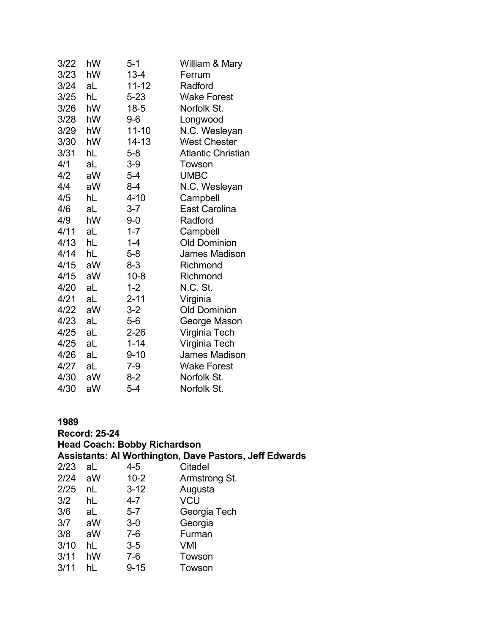| 3/22 | hW | 5-1       | William & Mary            |
|------|----|-----------|---------------------------|
| 3/23 | hW | $13 - 4$  | Ferrum                    |
| 3/24 | aL | 11-12     | Radford                   |
| 3/25 | hL | $5 - 23$  | <b>Wake Forest</b>        |
| 3/26 | hW | $18 - 5$  | Norfolk St.               |
| 3/28 | hW | $9-6$     | Longwood                  |
| 3/29 | hW | 11-10     | N.C. Wesleyan             |
| 3/30 | hW | $14 - 13$ | <b>West Chester</b>       |
| 3/31 | hL | 5-8       | <b>Atlantic Christian</b> |
| 4/1  | aL | $3-9$     | Towson                    |
| 4/2  | aW | 5-4       | <b>UMBC</b>               |
| 4/4  | aW | 8-4       | N.C. Wesleyan             |
| 4/5  | hL | $4 - 10$  | Campbell                  |
| 4/6  | aL | $3 - 7$   | <b>East Carolina</b>      |
| 4/9  | hW | $9-0$     | Radford                   |
| 4/11 | aL | $1 - 7$   | Campbell                  |
| 4/13 | hL | $1 - 4$   | <b>Old Dominion</b>       |
| 4/14 | hL | 5-8       | <b>James Madison</b>      |
| 4/15 | aW | $8 - 3$   | Richmond                  |
| 4/15 | aW | $10 - 8$  | Richmond                  |
| 4/20 | aL | $1 - 2$   | N.C. St.                  |
| 4/21 | aL | $2 - 11$  | Virginia                  |
| 4/22 | aW | $3-2$     | <b>Old Dominion</b>       |
| 4/23 | aL | 5-6       | George Mason              |
| 4/25 | aL | $2 - 26$  | Virginia Tech             |
| 4/25 | aL | $1 - 14$  | Virginia Tech             |
| 4/26 | aL | $9 - 10$  | <b>James Madison</b>      |
| 4/27 | aL | 7-9       | <b>Wake Forest</b>        |
| 4/30 | aW | 8-2       | Norfolk St.               |
| 4/30 | aW | 5-4       | Norfolk St.               |

# **1989 Record: 25-24 Head Coach: Bobby Richardson Assistants: Al Worthington, Dave Pastors, Jeff Edwards** 2/23 aL 4-5 Citadel<br>2/24 aW 10-2 Armstro Armstrong St. 2/25 nL 3-12 Augusta<br>3/2 hL 4-7 VCU 3/2 hL 4-7 VCU Georgia Tech 3/7 aW 3-0 Georgia 7-6 Furman<br>3-5 VMI  $3/10$  hL 3/11 hW 7-6 Towson 3/11 hL 9-15 Towson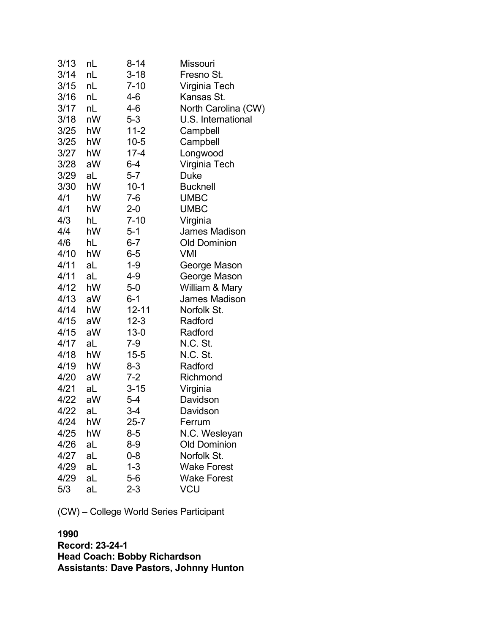| 3/13 | nL | $8 - 14$  | Missouri             |
|------|----|-----------|----------------------|
| 3/14 | nL | $3 - 18$  | Fresno St.           |
| 3/15 | nL | $7 - 10$  | Virginia Tech        |
| 3/16 | nL | 4-6       | Kansas St.           |
| 3/17 | nL | 4-6       | North Carolina (CW)  |
| 3/18 | nW | $5 - 3$   | U.S. International   |
| 3/25 | hW | $11 - 2$  | Campbell             |
| 3/25 | hW | $10 - 5$  | Campbell             |
| 3/27 | hW | $17 - 4$  | Longwood             |
| 3/28 | aW | $6 - 4$   | Virginia Tech        |
| 3/29 | aL | $5 - 7$   | <b>Duke</b>          |
| 3/30 | hW | $10-1$    | <b>Bucknell</b>      |
| 4/1  | hW | $7-6$     | <b>UMBC</b>          |
| 4/1  | hW | $2 - 0$   | <b>UMBC</b>          |
| 4/3  | hL | $7 - 10$  | Virginia             |
| 4/4  | hW | $5 - 1$   | <b>James Madison</b> |
| 4/6  | hL | $6 - 7$   | <b>Old Dominion</b>  |
| 4/10 | hW | $6 - 5$   | VMI                  |
| 4/11 | aL | $1 - 9$   | George Mason         |
| 4/11 | aL | 4-9       | George Mason         |
| 4/12 | hW | $5-0$     | William & Mary       |
| 4/13 | aW | $6 - 1$   | <b>James Madison</b> |
| 4/14 | hW | $12 - 11$ | Norfolk St.          |
| 4/15 | aW | $12 - 3$  | Radford              |
| 4/15 | aW | $13 - 0$  | Radford              |
| 4/17 | aL | $7-9$     | N.C. St.             |
| 4/18 | hW | $15 - 5$  | N.C. St.             |
| 4/19 | hW | 8-3       | Radford              |
| 4/20 | aW | $7 - 2$   | Richmond             |
| 4/21 | aL | 3-15      | Virginia             |
| 4/22 | aW | 5-4       | Davidson             |
| 4/22 | aL | 3-4       | Davidson             |
| 4/24 | hW | $25 - 7$  | Ferrum               |
| 4/25 | hW | $8-5$     | N.C. Wesleyan        |
| 4/26 | aL | $8-9$     | <b>Old Dominion</b>  |
| 4/27 | aL | $0 - 8$   | Norfolk St.          |
| 4/29 | aL | $1 - 3$   | <b>Wake Forest</b>   |
| 4/29 | aL | $5-6$     | <b>Wake Forest</b>   |
| 5/3  | aL | $2 - 3$   | VCU                  |

(CW) – College World Series Participant

### **1990**

**Record: 23-24-1 Head Coach: Bobby Richardson Assistants: Dave Pastors, Johnny Hunton**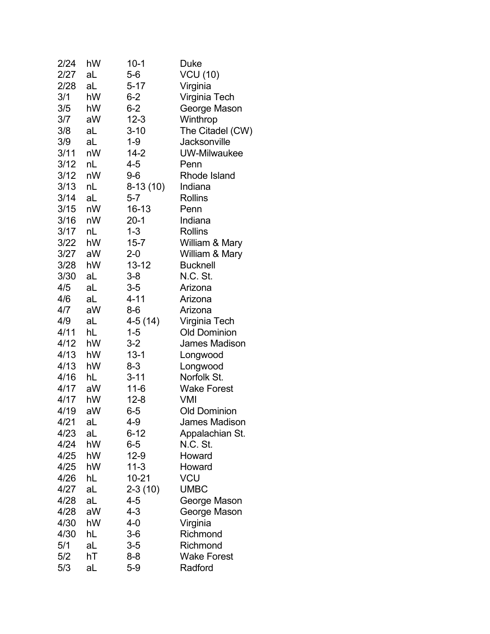| 2/24 | hW | $10-1$    | <b>Duke</b>          |
|------|----|-----------|----------------------|
| 2/27 | aL | $5-6$     | <b>VCU (10)</b>      |
| 2/28 | aL | $5 - 17$  | Virginia             |
| 3/1  | hW | $6 - 2$   | Virginia Tech        |
| 3/5  | hW | $6 - 2$   | George Mason         |
| 3/7  | aW | $12 - 3$  | Winthrop             |
| 3/8  | aL | $3 - 10$  | The Citadel (CW)     |
| 3/9  | aL | $1 - 9$   | Jacksonville         |
| 3/11 | nW | $14 - 2$  | <b>UW-Milwaukee</b>  |
| 3/12 | nL | 4-5       | Penn                 |
| 3/12 | nW | $9-6$     | Rhode Island         |
| 3/13 | nL | 8-13 (10) | Indiana              |
| 3/14 | aL | $5 - 7$   | <b>Rollins</b>       |
| 3/15 | nW | 16-13     | Penn                 |
| 3/16 | nW | $20-1$    | Indiana              |
| 3/17 | nL | $1 - 3$   | <b>Rollins</b>       |
| 3/22 | hW | $15 - 7$  | William & Mary       |
| 3/27 | aW | $2 - 0$   | William & Mary       |
| 3/28 | hW | $13 - 12$ | <b>Bucknell</b>      |
| 3/30 | aL | $3 - 8$   | N.C. St.             |
| 4/5  | aL | $3-5$     | Arizona              |
| 4/6  | aL | $4 - 11$  | Arizona              |
| 4/7  | aW | $8-6$     | Arizona              |
| 4/9  | aL | $4-5(14)$ | Virginia Tech        |
| 4/11 | hL | $1 - 5$   | <b>Old Dominion</b>  |
| 4/12 | hW | $3 - 2$   | James Madison        |
| 4/13 | hW | $13 - 1$  | Longwood             |
| 4/13 | hW | 8-3       | Longwood             |
| 4/16 | hL | $3 - 11$  | Norfolk St.          |
| 4/17 | aW | $11 - 6$  | <b>Wake Forest</b>   |
| 4/17 | hW | $12 - 8$  | VMI                  |
| 4/19 | aW | $6-5$     | <b>Old Dominion</b>  |
| 4/21 | aL | 4-9       | <b>James Madison</b> |
| 4/23 | aL | $6 - 12$  | Appalachian St.      |
| 4/24 | hW | 6-5       | N.C. St.             |
| 4/25 | hW | $12-9$    | Howard               |
| 4/25 | hW | $11-3$    | Howard               |
| 4/26 | hL | $10 - 21$ | VCU                  |
| 4/27 | aL | $2-3(10)$ | <b>UMBC</b>          |
| 4/28 | aL | $4 - 5$   | George Mason         |
| 4/28 | aW | 4-3       | George Mason         |
| 4/30 | hW | 4-0       | Virginia             |
| 4/30 | hL | $3-6$     | Richmond             |
| 5/1  | aL | $3-5$     | Richmond             |
| 5/2  | hT | 8-8       | <b>Wake Forest</b>   |
| 5/3  | aL | $5-9$     | Radford              |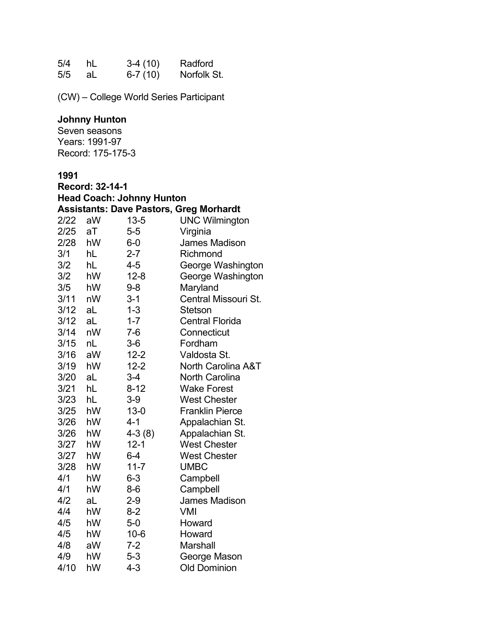| 5/4 | hL | $3-4(10)$ | Radford     |
|-----|----|-----------|-------------|
| 5/5 | aL | $6-7(10)$ | Norfolk St. |

(CW) – College World Series Participant

#### **Johnny Hunton**

Seven seasons Years: 1991-97 Record: 175-175-3

|      | Record: 32-14-1 |                                  |                                                |  |
|------|-----------------|----------------------------------|------------------------------------------------|--|
|      |                 | <b>Head Coach: Johnny Hunton</b> |                                                |  |
|      |                 |                                  | <b>Assistants: Dave Pastors, Greg Morhardt</b> |  |
| 2/22 | aW              | $13 - 5$                         | <b>UNC Wilmington</b>                          |  |
| 2/25 | аT              | $5-5$                            | Virginia                                       |  |
| 2/28 | hW              | $6-0$                            | <b>James Madison</b>                           |  |
| 3/1  | hL              | $2 - 7$                          | Richmond                                       |  |
| 3/2  | hL              | 4-5                              | George Washington                              |  |
| 3/2  | hW              | $12 - 8$                         | George Washington                              |  |
| 3/5  | hW              | $9 - 8$                          | Maryland                                       |  |
| 3/11 | nW              | $3 - 1$                          | Central Missouri St.                           |  |
| 3/12 | aL              | $1 - 3$                          | Stetson                                        |  |
| 3/12 | aL              | $1 - 7$                          | <b>Central Florida</b>                         |  |
| 3/14 | nW              | $7-6$                            | Connecticut                                    |  |
| 3/15 | nL              | $3-6$                            | Fordham                                        |  |
| 3/16 | aW              | $12 - 2$                         | Valdosta St.                                   |  |
| 3/19 | hW              | $12 - 2$                         | <b>North Carolina A&amp;T</b>                  |  |
| 3/20 | aL              | $3-4$                            | <b>North Carolina</b>                          |  |
| 3/21 | hL              | $8 - 12$                         | <b>Wake Forest</b>                             |  |
| 3/23 | hL              | $3-9$                            | <b>West Chester</b>                            |  |
| 3/25 | hW              | $13 - 0$                         | <b>Franklin Pierce</b>                         |  |
| 3/26 | hW              | $4 - 1$                          | Appalachian St.                                |  |
| 3/26 | hW              | $4-3(8)$                         | Appalachian St.                                |  |
| 3/27 | hW              | $12 - 1$                         | <b>West Chester</b>                            |  |
| 3/27 | hW              | $6 - 4$                          | <b>West Chester</b>                            |  |
| 3/28 | hW              | $11 - 7$                         | <b>UMBC</b>                                    |  |
| 4/1  | hW              | $6 - 3$                          | Campbell                                       |  |
| 4/1  | hW              | $8-6$                            | Campbell                                       |  |
| 4/2  | aL              | $2 - 9$                          | <b>James Madison</b>                           |  |
| 4/4  | hW              | $8 - 2$                          | <b>VMI</b>                                     |  |
| 4/5  | hW              | $5-0$                            | Howard                                         |  |
| 4/5  | hW              | $10 - 6$                         | Howard                                         |  |
| 4/8  | aW              | $7 - 2$                          | <b>Marshall</b>                                |  |
| 4/9  | hW              | $5 - 3$                          | George Mason                                   |  |
| 4/10 | hW              | $4 - 3$                          | <b>Old Dominion</b>                            |  |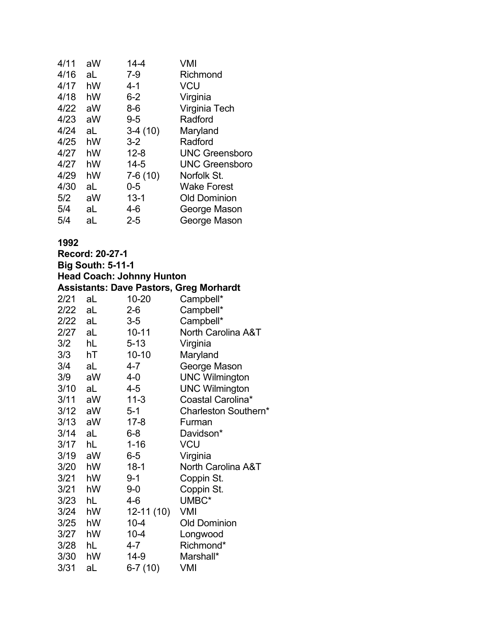| 4/11 | aW | $14 - 4$  | VMI                   |
|------|----|-----------|-----------------------|
| 4/16 | aL | $7 - 9$   | Richmond              |
| 4/17 | hW | $4 - 1$   | <b>VCU</b>            |
| 4/18 | hW | $6 - 2$   | Virginia              |
| 4/22 | aW | $8-6$     | Virginia Tech         |
| 4/23 | aW | $9 - 5$   | Radford               |
| 4/24 | aL | $3-4(10)$ | Maryland              |
| 4/25 | hW | $3-2$     | Radford               |
| 4/27 | hW | $12 - 8$  | <b>UNC Greensboro</b> |
| 4/27 | hW | $14 - 5$  | <b>UNC Greensboro</b> |
| 4/29 | hW | 7-6 (10)  | Norfolk St.           |
| 4/30 | aL | $0 - 5$   | <b>Wake Forest</b>    |
| 5/2  | aW | $13 - 1$  | <b>Old Dominion</b>   |
| 5/4  | aL | $4 - 6$   | George Mason          |
| 5/4  | aL | $2 - 5$   | George Mason          |
|      |    |           |                       |

| <b>Record: 20-27-1</b> |                          |                                  |                                                |  |  |
|------------------------|--------------------------|----------------------------------|------------------------------------------------|--|--|
|                        | <b>Big South: 5-11-1</b> |                                  |                                                |  |  |
|                        |                          | <b>Head Coach: Johnny Hunton</b> |                                                |  |  |
|                        |                          |                                  | <b>Assistants: Dave Pastors, Greg Morhardt</b> |  |  |
| 2/21                   | aL                       | $10 - 20$                        | Campbell*                                      |  |  |
| 2/22                   | aL                       | $2 - 6$                          | Campbell*                                      |  |  |
| 2/22                   | aL                       | $3-5$                            | Campbell*                                      |  |  |
| 2/27                   | aL a                     | $10 - 11$                        | <b>North Carolina A&amp;T</b>                  |  |  |
| 3/2                    | hL                       | $5 - 13$                         | Virginia                                       |  |  |
| 3/3                    | hT                       | $10 - 10$                        | Maryland                                       |  |  |
| 3/4                    | aL                       | 4-7                              | George Mason                                   |  |  |
| 3/9                    | aW                       | $4 - 0$                          | <b>UNC Wilmington</b>                          |  |  |
| 3/10                   | aL                       | $4 - 5$                          | <b>UNC Wilmington</b>                          |  |  |
| 3/11                   | aW                       | $11 - 3$                         | Coastal Carolina*                              |  |  |
| 3/12                   | aW                       | $5 - 1$                          | Charleston Southern*                           |  |  |
| 3/13                   | aW                       | $17 - 8$                         | Furman                                         |  |  |
| 3/14                   | aL                       | $6 - 8$                          | Davidson*                                      |  |  |
| 3/17                   | hL                       | $1 - 16$                         | <b>VCU</b>                                     |  |  |
| 3/19                   | aW                       | $6-5$                            | Virginia                                       |  |  |
| 3/20                   | hW                       | $18-1$                           | <b>North Carolina A&amp;T</b>                  |  |  |
| 3/21                   | hW                       | $9 - 1$                          | Coppin St.                                     |  |  |
| 3/21                   | hW                       | $9 - 0$                          | Coppin St.                                     |  |  |
| 3/23                   | hL                       | $4 - 6$                          | UMBC*                                          |  |  |
| 3/24                   | hW                       | $12-11(10)$                      | <b>VMI</b>                                     |  |  |
| 3/25                   | hW                       | $10 - 4$                         | <b>Old Dominion</b>                            |  |  |
| 3/27                   | hW                       | $10 - 4$                         | Longwood                                       |  |  |
| 3/28                   | hL                       | $4 - 7$                          | Richmond*                                      |  |  |
| 3/30                   | hW                       | $14-9$                           | Marshall*                                      |  |  |
| 3/31                   | aL                       | $6-7(10)$                        | <b>VMI</b>                                     |  |  |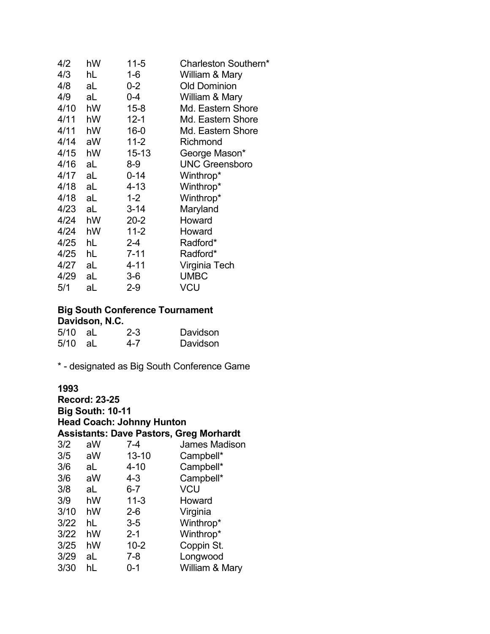| 4/2  | hW | $11 - 5$  | Charleston Southern*  |
|------|----|-----------|-----------------------|
| 4/3  | hL | 1-6       | William & Mary        |
| 4/8  | aL | 0-2       | <b>Old Dominion</b>   |
| 4/9  | aL | 0-4       | William & Mary        |
| 4/10 | hW | $15 - 8$  | Md. Eastern Shore     |
| 4/11 | hW | $12 - 1$  | Md. Eastern Shore     |
| 4/11 | hW | $16 - 0$  | Md. Eastern Shore     |
| 4/14 | aW | $11 - 2$  | Richmond              |
| 4/15 | hW | $15 - 13$ | George Mason*         |
| 4/16 | aL | 8-9       | <b>UNC Greensboro</b> |
| 4/17 | aL | $0 - 14$  | Winthrop*             |
| 4/18 | aL | 4-13      | Winthrop*             |
| 4/18 | aL | $1 - 2$   | Winthrop*             |
| 4/23 | aL | $3 - 14$  | Maryland              |
| 4/24 | hW | $20 - 2$  | Howard                |
| 4/24 | hW | $11 - 2$  | Howard                |
| 4/25 | hL | $2 - 4$   | Radford*              |
| 4/25 | hL | $7 - 11$  | Radford*              |
| 4/27 | aL | $4 - 11$  | Virginia Tech         |
| 4/29 | aL | 3-6       | <b>UMBC</b>           |
| 5/1  | aL | 2-9       | VCU                   |

### **Big South Conference Tournament Davidson, N.C.**

| $5/10$ aL | $2 - 3$ | Davidson |
|-----------|---------|----------|
| 5/10 aL   | 4-7     | Davidson |

\* - designated as Big South Conference Game

| <b>Record: 23-25</b><br><b>Big South: 10-11</b><br><b>Head Coach: Johnny Hunton</b><br><b>Assistants: Dave Pastors, Greg Morhardt</b> |    |           |                |  |
|---------------------------------------------------------------------------------------------------------------------------------------|----|-----------|----------------|--|
| 3/2                                                                                                                                   | aW | 7-4       | James Madison  |  |
| 3/5                                                                                                                                   | aW | $13 - 10$ | Campbell*      |  |
| 3/6                                                                                                                                   | aL | $4 - 10$  | Campbell*      |  |
| 3/6                                                                                                                                   | aW | $4 - 3$   | Campbell*      |  |
| 3/8                                                                                                                                   | aL | $6 - 7$   | VCU            |  |
| 3/9                                                                                                                                   | hW | $11 - 3$  | Howard         |  |
| 3/10                                                                                                                                  | hW | $2 - 6$   | Virginia       |  |
| 3/22                                                                                                                                  | hL | $3-5$     | Winthrop*      |  |
| 3/22                                                                                                                                  | hW | $2 - 1$   | Winthrop*      |  |
| 3/25                                                                                                                                  | hW | $10 - 2$  | Coppin St.     |  |
| 3/29                                                                                                                                  | aL | $7 - 8$   | Longwood       |  |
| 3/30                                                                                                                                  | hL | ი-1       | William & Mary |  |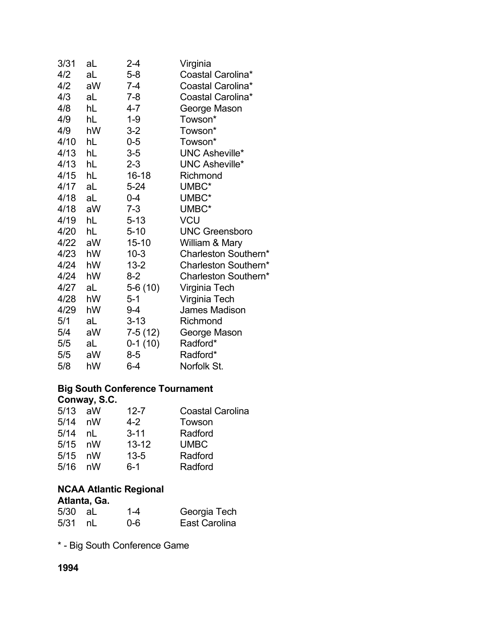| aL         | 2-4       | Virginia              |
|------------|-----------|-----------------------|
| aL         | $5-8$     | Coastal Carolina*     |
| aW         | $7 - 4$   | Coastal Carolina*     |
| aL         | $7 - 8$   | Coastal Carolina*     |
| hL         | $4 - 7$   | George Mason          |
| hL         | $1 - 9$   | Towson*               |
| hW         | $3-2$     | Towson*               |
| hL         | $0-5$     | Towson*               |
| hL         | $3-5$     | <b>UNC Asheville*</b> |
| hL         | $2 - 3$   | <b>UNC Asheville*</b> |
| hL         | $16 - 18$ | Richmond              |
| aL         | $5 - 24$  | UMBC*                 |
| aL         | $0 - 4$   | UMBC*                 |
| aW         | $7 - 3$   | UMBC*                 |
| hL         | $5 - 13$  | <b>VCU</b>            |
| hL         | $5 - 10$  | <b>UNC Greensboro</b> |
| 4/22<br>aW | $15 - 10$ | William & Mary        |
| 4/23<br>hW | $10 - 3$  | Charleston Southern*  |
| hW         | $13 - 2$  | Charleston Southern*  |
| hW         | $8-2$     | Charleston Southern*  |
| aL         | $5-6(10)$ | Virginia Tech         |
| hW         | $5 - 1$   | Virginia Tech         |
| hW         | $9 - 4$   | James Madison         |
| aL         | $3 - 13$  | Richmond              |
| aW         | $7-5(12)$ | George Mason          |
| aL         | $0-1(10)$ | Radford*              |
| aW         | 8-5       | Radford*              |
| hW         | $6 - 4$   | Norfolk St.           |
|            |           |                       |

### **Big South Conference Tournament Conway, S.C.**

| 5/13      | aW | $12 - 7$  | <b>Coastal Carolina</b> |
|-----------|----|-----------|-------------------------|
| 5/14      | nW | $4 - 2$   | Towson                  |
| 5/14      | nl | $3 - 11$  | Radford                 |
| $5/15$ nW |    | $13 - 12$ | <b>UMBC</b>             |
| 5/15      | nW | $13 - 5$  | Radford                 |
| 5/16      | nW | $6 - 1$   | Radford                 |
|           |    |           |                         |

### **NCAA Atlantic Regional Atlanta, Ga.**

| 5/30 aL | $1 - 4$ | Georgia Tech  |
|---------|---------|---------------|
| 5/31 nL | $0 - 6$ | East Carolina |

\* - Big South Conference Game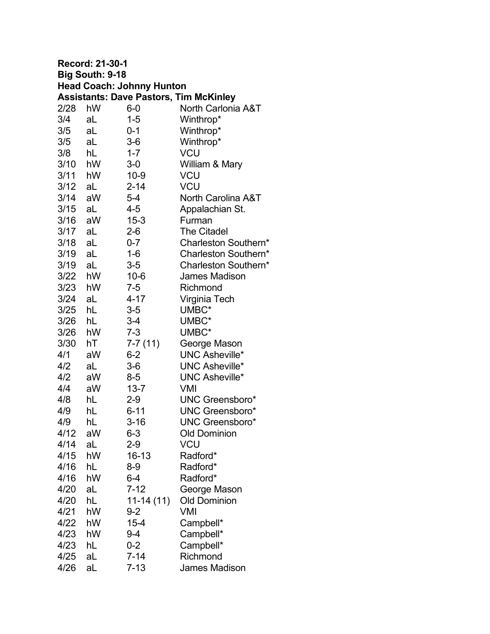| <b>Record: 21-30-1</b> |                                  |             |                                               |  |
|------------------------|----------------------------------|-------------|-----------------------------------------------|--|
|                        | Big South: 9-18                  |             |                                               |  |
|                        | <b>Head Coach: Johnny Hunton</b> |             |                                               |  |
|                        |                                  |             | <b>Assistants: Dave Pastors, Tim McKinley</b> |  |
| 2/28                   | hW                               | $6-0$       | North Carlonia A&T                            |  |
| 3/4                    | aL                               | $1 - 5$     | Winthrop*                                     |  |
| 3/5                    | aL                               | 0-1         | Winthrop*                                     |  |
| 3/5                    | aL                               | $3-6$       | Winthrop*                                     |  |
| 3/8                    | hL                               | $1 - 7$     | <b>VCU</b>                                    |  |
| 3/10 hW                |                                  | $3-0$       | William & Mary                                |  |
| 3/11 hW                |                                  | $10-9$      | <b>VCU</b>                                    |  |
| 3/12                   | aL                               | $2 - 14$    | <b>VCU</b>                                    |  |
| 3/14 aW                |                                  | $5 - 4$     | <b>North Carolina A&amp;T</b>                 |  |
| 3/15                   | aL                               | $4 - 5$     | Appalachian St.                               |  |
| 3/16 aW                |                                  | $15 - 3$    | Furman                                        |  |
| 3/17 aL                |                                  | $2 - 6$     | <b>The Citadel</b>                            |  |
| 3/18                   | aL                               | $0 - 7$     | Charleston Southern*                          |  |
| 3/19                   | aL                               | $1 - 6$     | Charleston Southern*                          |  |
| 3/19                   | aL                               | $3-5$       | Charleston Southern*                          |  |
| 3/22 hW                |                                  | $10 - 6$    | James Madison                                 |  |
| $3/23$ hW              |                                  | $7 - 5$     | Richmond                                      |  |
| $3/24$ aL              |                                  | $4 - 17$    | Virginia Tech                                 |  |
| 3/25                   | hL                               | $3-5$       | UMBC*                                         |  |
| 3/26                   | hL                               | $3 - 4$     | UMBC*                                         |  |
| 3/26                   | hW                               | $7 - 3$     | UMBC*                                         |  |
| 3/30                   | hT                               | $7-7(11)$   | George Mason                                  |  |
| 4/1                    | aW                               | $6 - 2$     | <b>UNC Asheville*</b>                         |  |
| 4/2                    | aL                               | $3-6$       | <b>UNC Asheville*</b>                         |  |
| 4/2                    | aW                               | $8-5$       | <b>UNC Asheville*</b>                         |  |
| 4/4                    | aW                               | $13 - 7$    | VMI                                           |  |
| 4/8                    | hL                               | 2-9         | <b>UNC Greensboro*</b>                        |  |
| 4/9                    | hL                               | $6 - 11$    | <b>UNC Greensboro*</b>                        |  |
| 4/9                    | hL                               | 3-16        | UNC Greensboro*                               |  |
| 4/12                   | aW                               | $6 - 3$     | <b>Old Dominion</b>                           |  |
| 4/14                   | aL                               | $2-9$       | VCU                                           |  |
| 4/15                   | hW                               | 16-13       | Radford*                                      |  |
| 4/16                   | hL                               | $8-9$       | Radford*                                      |  |
| 4/16                   | hW                               | $6 - 4$     | Radford*                                      |  |
| 4/20                   | aL                               | $7 - 12$    | George Mason                                  |  |
| 4/20                   | hL                               | $11-14(11)$ | <b>Old Dominion</b>                           |  |
| 4/21                   | hW                               | $9 - 2$     | VMI                                           |  |
| 4/22                   | hW                               | $15 - 4$    | Campbell*                                     |  |
| 4/23                   | hW                               | 9-4         | Campbell*                                     |  |
| 4/23                   | hL                               | $0 - 2$     | Campbell*                                     |  |
| 4/25                   | aL                               | $7 - 14$    | Richmond                                      |  |
| 4/26                   | aL                               | $7 - 13$    | <b>James Madison</b>                          |  |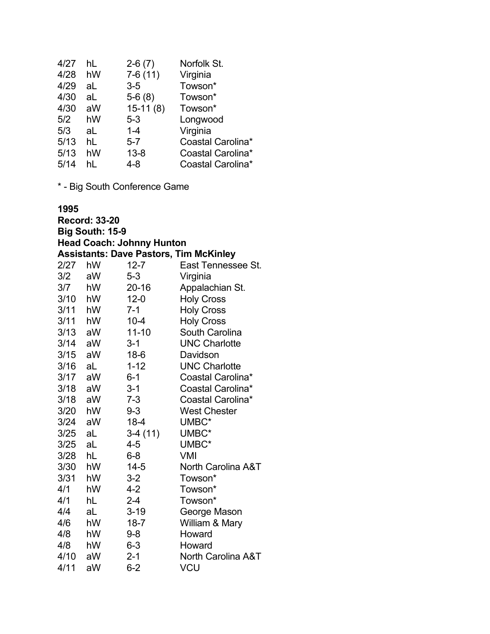| 4/27 | hL | $2-6(7)$   | Norfolk St.       |
|------|----|------------|-------------------|
| 4/28 | hW | $7-6(11)$  | Virginia          |
| 4/29 | aL | $3-5$      | Towson*           |
| 4/30 | aL | $5-6(8)$   | Towson*           |
| 4/30 | aW | $15-11(8)$ | Towson*           |
| 5/2  | hW | $5 - 3$    | Longwood          |
| 5/3  | aL | $1 - 4$    | Virginia          |
| 5/13 | hL | $5 - 7$    | Coastal Carolina* |
| 5/13 | hW | $13 - 8$   | Coastal Carolina* |
| 5/14 | hl | $4 - 8$    | Coastal Carolina* |
|      |    |            |                   |

\* - Big South Conference Game

#### **1995**

**Record: 33-20 Big South: 15-9 Head Coach: Johnny Hunton Assistants: Dave Pastors, Tim McKinley** 2/27 hW 12-7 East Tennessee St. 3/2 aW 5-3 Virginia 3/7 hW 20-16 Appalachian St. 3/10 hW 12-0 Holy Cross 3/11 hW 7-1 Holy Cross 3/11 hW 10-4 Holy Cross 3/13 aW 11-10 South Carolina aW 3-1 UNC Charlotte 3/15 aW 18-6 Davidson 3/16 aL 1-12 UNC Charlotte 3/17 aW 6-1 Coastal Carolina\* 3/18 aW 3-1 Coastal Carolina\* 3/18 aW 7-3 Coastal Carolina\* 3/20 hW 9-3 West Chester 3/24 aW 18-4 UMBC\* 3/25 aL 3-4 (11) UMBC\* 3/25 aL 4-5 UMBC\* 3/28 hL 6-8 VMI 3/30 hW 14-5 North Carolina A&T 3/31 hW 3-2 Towson\* 4/1 hW 4-2 Towson\* 4/1 hL 2-4 Towson\*<br>4/4 aL 3-19 George N aL 3-19 George Mason 4/6 hW 18-7 William & Mary 4/8 hW 9-8 Howard 4/8 hW 6-3 Howard 4/10 aW 2-1 North Carolina A&T 4/11 aW 6-2 VCU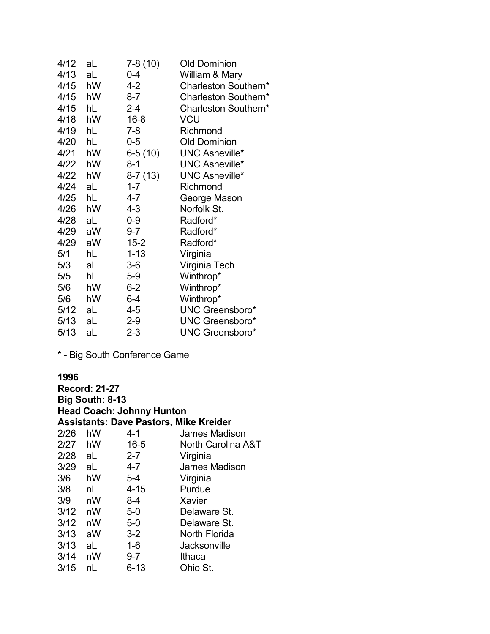| 4/12 | aL | $7-8(10)$ | <b>Old Dominion</b>    |
|------|----|-----------|------------------------|
| 4/13 | aL | 0-4       | William & Mary         |
| 4/15 | hW | 4-2       | Charleston Southern*   |
| 4/15 | hW | $8 - 7$   | Charleston Southern*   |
| 4/15 | hL | $2 - 4$   | Charleston Southern*   |
| 4/18 | hW | $16 - 8$  | <b>VCU</b>             |
| 4/19 | hL | $7 - 8$   | Richmond               |
| 4/20 | hL | $0-5$     | <b>Old Dominion</b>    |
| 4/21 | hW | $6-5(10)$ | <b>UNC Asheville*</b>  |
| 4/22 | hW | 8-1       | <b>UNC Asheville*</b>  |
| 4/22 | hW | $8-7(13)$ | <b>UNC Asheville*</b>  |
| 4/24 | aL | $1 - 7$   | Richmond               |
| 4/25 | hL | 4-7       | George Mason           |
| 4/26 | hW | $4 - 3$   | Norfolk St.            |
| 4/28 | aL | $0-9$     | Radford*               |
| 4/29 | aW | $9 - 7$   | Radford*               |
| 4/29 | aW | $15 - 2$  | Radford*               |
| 5/1  | hL | $1 - 13$  | Virginia               |
| 5/3  | aL | $3-6$     | Virginia Tech          |
| 5/5  | hL | $5-9$     | Winthrop*              |
| 5/6  | hW | $6-2$     | Winthrop*              |
| 5/6  | hW | $6-4$     | Winthrop*              |
| 5/12 | aL | 4-5       | <b>UNC Greensboro*</b> |
| 5/13 | aL | $2 - 9$   | <b>UNC Greensboro*</b> |
| 5/13 | aL | $2 - 3$   | <b>UNC Greensboro*</b> |

\* - Big South Conference Game

#### **1996**

**Record: 21-27 Big South: 8-13 Head Coach: Johnny Hunton Assistants: Dave Pastors, Mike Kreider** 4-1 James Madison 2/27 hW 16-5 North Carolina A&T 2/28 aL 2-7 Virginia 3/29 aL 4-7 James Madison 3/6 hW 5-4 Virginia 3/8 nL 4-15 Purdue 3/9 nW 8-4 Xavier Delaware St. 3/12 nW 5-0 Delaware St. 3/13 aW 3-2 North Florida aL 1-6 Jacksonville 3/14 nW 9-7 Ithaca 3/15 nL 6-13 Ohio St.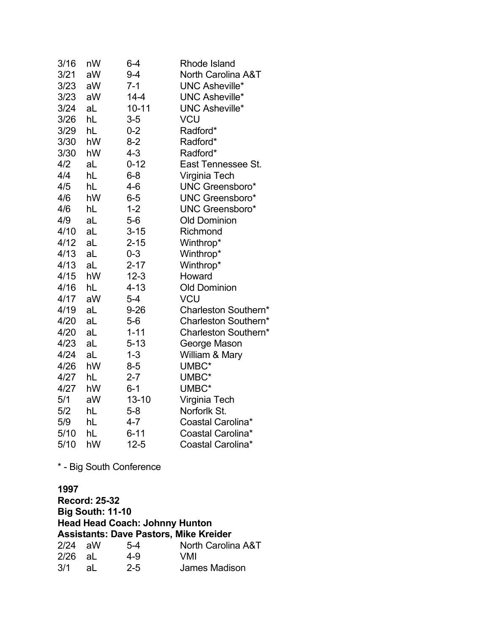| 3/16 | nW | $6-4$     | <b>Rhode Island</b>           |
|------|----|-----------|-------------------------------|
| 3/21 | aW | $9 - 4$   | <b>North Carolina A&amp;T</b> |
| 3/23 | aW | $7-1$     | <b>UNC Asheville*</b>         |
| 3/23 | aW | $14 - 4$  | <b>UNC Asheville*</b>         |
| 3/24 | aL | $10 - 11$ | <b>UNC Asheville*</b>         |
| 3/26 | hL | $3-5$     | VCU                           |
| 3/29 | hL | $0 - 2$   | Radford*                      |
| 3/30 | hW | $8 - 2$   | Radford*                      |
| 3/30 | hW | $4 - 3$   | Radford*                      |
| 4/2  | aL | $0 - 12$  | East Tennessee St.            |
| 4/4  | hL | $6 - 8$   | Virginia Tech                 |
| 4/5  | hL | 4-6       | <b>UNC Greensboro*</b>        |
| 4/6  | hW | $6-5$     | <b>UNC Greensboro*</b>        |
| 4/6  | hL | $1 - 2$   | <b>UNC Greensboro*</b>        |
| 4/9  | aL | $5-6$     | <b>Old Dominion</b>           |
| 4/10 | aL | $3 - 15$  | Richmond                      |
| 4/12 | aL | $2 - 15$  | Winthrop*                     |
| 4/13 | aL | $0 - 3$   | Winthrop*                     |
| 4/13 | aL | $2 - 17$  | Winthrop*                     |
| 4/15 | hW | $12 - 3$  | Howard                        |
| 4/16 | hL | $4 - 13$  | <b>Old Dominion</b>           |
| 4/17 | aW | $5-4$     | <b>VCU</b>                    |
| 4/19 | aL | $9 - 26$  | Charleston Southern*          |
| 4/20 | aL | $5-6$     | Charleston Southern*          |
| 4/20 | aL | $1 - 11$  | Charleston Southern*          |
| 4/23 | aL | $5 - 13$  | George Mason                  |
| 4/24 | aL | $1 - 3$   | William & Mary                |
| 4/26 | hW | $8 - 5$   | UMBC*                         |
| 4/27 | hL | $2 - 7$   | UMBC*                         |
| 4/27 | hW | $6 - 1$   | UMBC*                         |
| 5/1  | aW | $13 - 10$ | Virginia Tech                 |
| 5/2  | hL | $5-8$     | Norforlk St.                  |
| 5/9  | hL | 4-7       | Coastal Carolina*             |
| 5/10 | hL | $6 - 11$  | Coastal Carolina*             |
| 5/10 | hW | $12 - 5$  | Coastal Carolina*             |

\* - Big South Conference

**1997 Record: 25-32 Big South: 11-10 Head Head Coach: Johnny Hunton Assistants: Dave Pastors, Mike Kreider**  $2/24$  aW  $5-4$  North Carolina A&T<br> $2/26$  aL  $4-9$  VMI 2/26 aL<br>3/1 aL aL 2-5 James Madison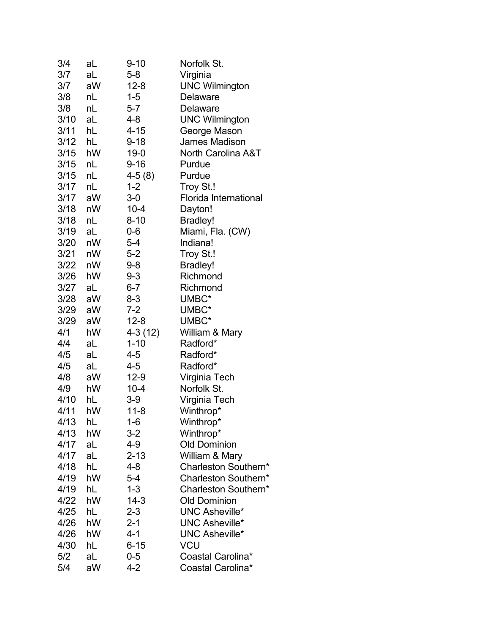| 3/4  | aL | $9 - 10$             | Norfolk St.                  |
|------|----|----------------------|------------------------------|
| 3/7  | aL | $5 - 8$              | Virginia                     |
| 3/7  | aW | $12 - 8$             | <b>UNC Wilmington</b>        |
| 3/8  | nL | $1 - 5$              | <b>Delaware</b>              |
| 3/8  | nL | $5 - 7$              | <b>Delaware</b>              |
| 3/10 | aL | 4-8                  | <b>UNC Wilmington</b>        |
| 3/11 | hL | $4 - 15$             | George Mason                 |
| 3/12 | hL | $9 - 18$             | <b>James Madison</b>         |
| 3/15 | hW | $19 - 0$             | North Carolina A&T           |
| 3/15 | nL | $9 - 16$             | Purdue                       |
| 3/15 | nL | $4-5(8)$             | Purdue                       |
| 3/17 | nL | $1 - 2$              | Troy St.!                    |
| 3/17 | aW | $3-0$                | <b>Florida International</b> |
| 3/18 | nW | $10 - 4$             | Dayton!                      |
| 3/18 | nL | $8 - 10$             | <b>Bradley!</b>              |
| 3/19 | aL | $0-6$                | Miami, Fla. (CW)             |
| 3/20 | nW | $5 - 4$              | Indiana!                     |
| 3/21 | nW | $5 - 2$              | Troy St.!                    |
| 3/22 | nW | 9-8                  | <b>Bradley!</b>              |
| 3/26 | hW | $9 - 3$              | Richmond                     |
| 3/27 | aL | $6 - 7$              | Richmond                     |
| 3/28 | aW | $8 - 3$              | UMBC*                        |
| 3/29 | aW | $7 - 2$              | UMBC*                        |
| 3/29 | aW | $12 - 8$             | UMBC*                        |
| 4/1  | hW |                      |                              |
| 4/4  | aL | 4-3 (12)<br>$1 - 10$ | William & Mary<br>Radford*   |
| 4/5  | aL | 4-5                  | Radford*                     |
| 4/5  | aL | 4-5                  | Radford*                     |
| 4/8  | aW | $12-9$               | Virginia Tech                |
| 4/9  | hW | $10 - 4$             | Norfolk St.                  |
| 4/10 | hL | $3-9$                | Virginia Tech                |
| 4/11 | hW | $11 - 8$             | Winthrop*                    |
| 4/13 | hL | 1-6                  | Winthrop*                    |
| 4/13 | hW | $3 - 2$              | Winthrop*                    |
| 4/17 | aL | 4-9                  | <b>Old Dominion</b>          |
| 4/17 | aL | $2 - 13$             | William & Mary               |
| 4/18 | hL | $4 - 8$              | Charleston Southern*         |
| 4/19 | hW | $5 - 4$              | Charleston Southern*         |
| 4/19 | hL | $1 - 3$              | Charleston Southern*         |
|      | hW | $14-3$               | <b>Old Dominion</b>          |
| 4/22 |    |                      | <b>UNC Asheville*</b>        |
| 4/25 | hL | $2 - 3$              |                              |
| 4/26 | hW | $2 - 1$              | <b>UNC Asheville*</b>        |
| 4/26 | hW | 4-1                  | <b>UNC Asheville*</b>        |
| 4/30 | hL | $6 - 15$             | VCU                          |
| 5/2  | aL | $0-5$                | Coastal Carolina*            |
| 5/4  | aW | $4 - 2$              | Coastal Carolina*            |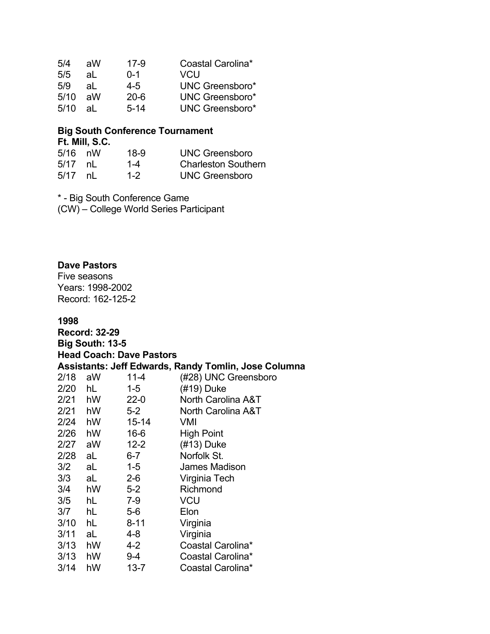| 5/4  | aW | 17-9     | Coastal Carolina*      |
|------|----|----------|------------------------|
| 5/5  | al | $0 - 1$  | VCU                    |
| 5/9  | al | 4-5      | <b>UNC Greensboro*</b> |
| 5/10 | аW | 20-6     | <b>UNC Greensboro*</b> |
| 5/10 | al | $5 - 14$ | <b>UNC Greensboro*</b> |

# **Big South Conference Tournament Ft. Mill, S.C.**

| $5/16$ nW |      | $18-9$  | UNC Greensboro             |
|-----------|------|---------|----------------------------|
| $5/17$ nL |      | 1-4     | <b>Charleston Southern</b> |
| 5/17      | nl n | $1 - 2$ | <b>UNC Greensboro</b>      |

\* - Big South Conference Game (CW) – College World Series Participant

#### **Dave Pastors**

Five seasons Years: 1998-2002 Record: 162-125-2

#### **1998**

**Record: 32-29 Big South: 13-5 Head Coach: Dave Pastors Assistants: Jeff Edwards, Randy Tomlin, Jose Columna** 2/18 aW 11-4 (#28) UNC Greensboro 2/20 hL 1-5 (#19) Duke 2/21 hW 22-0 North Carolina A&T 2/21 hW 5-2 North Carolina A&T 2/24 hW 15-14 VMI 2/26 hW 16-6 High Point 2/27 aW 12-2 (#13) Duke 2/28 aL 6-7 Norfolk St. 3/2 aL 1-5 James Madison 3/3 aL 2-6 Virginia Tech 3/4 hW 5-2 Richmond 3/5 hL 7-9 VCU 3/7 hL 5-6 Elon 3/10 hL 8-11 Virginia 3/11 aL 4-8 Virginia 3/13 hW 4-2 Coastal Carolina\* 3/13 hW 9-4 Coastal Carolina\* 3/14 hW 13-7 Coastal Carolina\*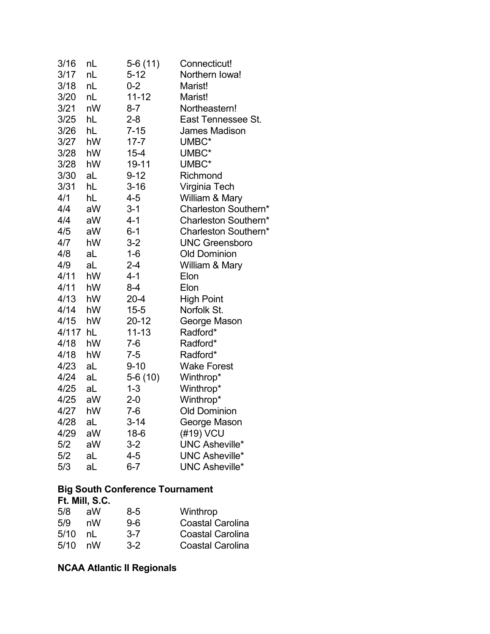| 3/16  | nL | $5-6(11)$ | Connecticut!          |
|-------|----|-----------|-----------------------|
| 3/17  | nL | $5 - 12$  | Northern Iowa!        |
| 3/18  | nL | $0 - 2$   | Marist!               |
| 3/20  | nL | $11 - 12$ | Marist!               |
| 3/21  | nW | $8 - 7$   | Northeastern!         |
| 3/25  | hL | $2 - 8$   | East Tennessee St.    |
| 3/26  | hL | $7 - 15$  | <b>James Madison</b>  |
| 3/27  | hW | $17 - 7$  | UMBC*                 |
| 3/28  | hW | $15 - 4$  | UMBC*                 |
| 3/28  | hW | 19-11     | UMBC*                 |
| 3/30  | aL | $9 - 12$  | Richmond              |
| 3/31  | hL | $3 - 16$  | Virginia Tech         |
| 4/1   | hL | $4 - 5$   | William & Mary        |
| 4/4   | aW | $3 - 1$   | Charleston Southern*  |
| 4/4   | aW | $4 - 1$   | Charleston Southern*  |
| 4/5   | aW | $6 - 1$   | Charleston Southern*  |
| 4/7   | hW | $3-2$     | <b>UNC Greensboro</b> |
| 4/8   | aL | $1 - 6$   | <b>Old Dominion</b>   |
| 4/9   | aL | $2 - 4$   | William & Mary        |
| 4/11  | hW | $4 - 1$   | Elon                  |
| 4/11  | hW | $8-4$     | Elon                  |
| 4/13  | hW | $20 - 4$  | <b>High Point</b>     |
| 4/14  | hW | $15 - 5$  | Norfolk St.           |
| 4/15  | hW | 20-12     | George Mason          |
| 4/117 | hL | $11 - 13$ | Radford*              |
| 4/18  | hW | $7-6$     | Radford*              |
| 4/18  | hW | $7 - 5$   | Radford*              |
| 4/23  | aL | $9 - 10$  | <b>Wake Forest</b>    |
| 4/24  | aL | $5-6(10)$ | Winthrop*             |
| 4/25  | aL | $1 - 3$   | Winthrop*             |
| 4/25  | aW | $2 - 0$   | Winthrop*             |
| 4/27  | hW | $7-6$     | <b>Old Dominion</b>   |
| 4/28  | aL | $3 - 14$  | George Mason          |
| 4/29  | aW | $18-6$    | (#19) VCU             |
| 5/2   | aW | $3-2$     | <b>UNC Asheville*</b> |
| 5/2   | aL | $4 - 5$   | <b>UNC Asheville*</b> |
| 5/3   | aL | $6 - 7$   | <b>UNC Asheville*</b> |

# **Big South Conference Tournament**

| Ft. Mill, S.C. |         |                         |  |  |
|----------------|---------|-------------------------|--|--|
| aW             | 8-5     | Winthrop                |  |  |
| nW             | $9-6$   | <b>Coastal Carolina</b> |  |  |
| nl             | $3 - 7$ | <b>Coastal Carolina</b> |  |  |
| nW             | $3-2$   | <b>Coastal Carolina</b> |  |  |
|                |         |                         |  |  |

# **NCAA Atlantic II Regionals**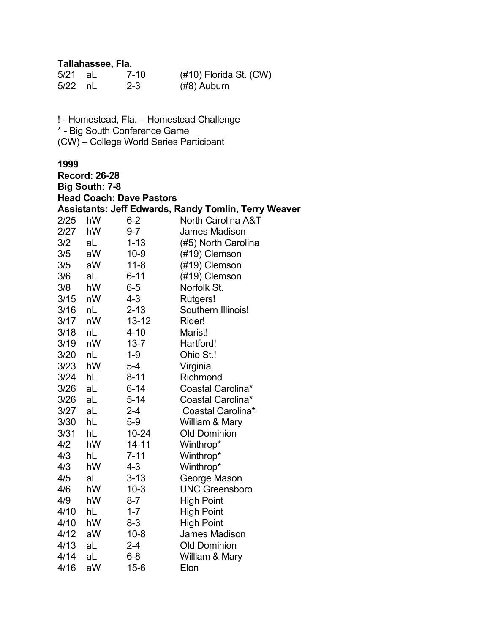### **Tallahassee, Fla.**

| $5/21$ aL | $7 - 10$ | (#10) Florida St. (CW) |
|-----------|----------|------------------------|
| $5/22$ nL | $2 - 3$  | (#8) Auburn            |

! - Homestead, Fla. – Homestead Challenge \* - Big South Conference Game

(CW) – College World Series Participant

| <b>Record: 26-28</b> |                       |                                 |                                                             |
|----------------------|-----------------------|---------------------------------|-------------------------------------------------------------|
|                      | <b>Big South: 7-8</b> |                                 |                                                             |
|                      |                       | <b>Head Coach: Dave Pastors</b> |                                                             |
|                      |                       |                                 | <b>Assistants: Jeff Edwards, Randy Tomlin, Terry Weaver</b> |
| 2/25                 | hW                    | $6 - 2$                         | North Carolina A&T                                          |
| 2/27                 | hW                    | $9 - 7$                         | <b>James Madison</b>                                        |
| 3/2                  | aL                    | $1 - 13$                        | (#5) North Carolina                                         |
| 3/5                  | aW                    | $10 - 9$                        | (#19) Clemson                                               |
| 3/5                  | aW                    | $11 - 8$                        | (#19) Clemson                                               |
| 3/6                  | aL                    | $6 - 11$                        | (#19) Clemson                                               |
| 3/8                  | hW                    | $6-5$                           | Norfolk St.                                                 |
| 3/15                 | nW                    | $4 - 3$                         | Rutgers!                                                    |
| 3/16                 | nL                    | $2 - 13$                        | Southern Illinois!                                          |
| 3/17                 | nW                    | $13 - 12$                       | Rider!                                                      |
| 3/18                 | nL                    | $4 - 10$                        | Marist!                                                     |
| 3/19                 | nW                    | $13 - 7$                        | Hartford!                                                   |
| 3/20                 | nL                    | $1 - 9$                         | Ohio St.!                                                   |
| 3/23                 | hW                    | $5-4$                           | Virginia                                                    |
| 3/24                 | hL                    | $8 - 11$                        | Richmond                                                    |
| 3/26                 | aL                    | $6 - 14$                        | Coastal Carolina*                                           |
| 3/26                 | aL                    | $5 - 14$                        | Coastal Carolina*                                           |
| 3/27                 | aL                    | $2 - 4$                         | Coastal Carolina*                                           |
| 3/30                 | hL                    | $5-9$                           | William & Mary                                              |
| 3/31                 | hL                    | 10-24                           | <b>Old Dominion</b>                                         |
| 4/2                  | hW                    | $14 - 11$                       | Winthrop*                                                   |
| 4/3                  | hL                    | $7 - 11$                        | Winthrop*                                                   |
| 4/3                  | hW                    | $4 - 3$                         | Winthrop*                                                   |
| 4/5                  | aL                    | $3 - 13$                        | George Mason                                                |
| 4/6                  | hW                    | $10-3$                          | <b>UNC Greensboro</b>                                       |
| 4/9                  | hW                    | $8 - 7$                         | <b>High Point</b>                                           |
| 4/10                 | hL                    | $1 - 7$                         | <b>High Point</b>                                           |
| 4/10                 | hW                    | $8 - 3$                         | <b>High Point</b>                                           |
| 4/12                 | aW                    | $10 - 8$                        | <b>James Madison</b>                                        |
| 4/13                 | aL                    | $2 - 4$                         | <b>Old Dominion</b>                                         |
| 4/14                 | aL                    | $6 - 8$                         | William & Mary                                              |
| 4/16                 | aW                    | $15 - 6$                        | Elon                                                        |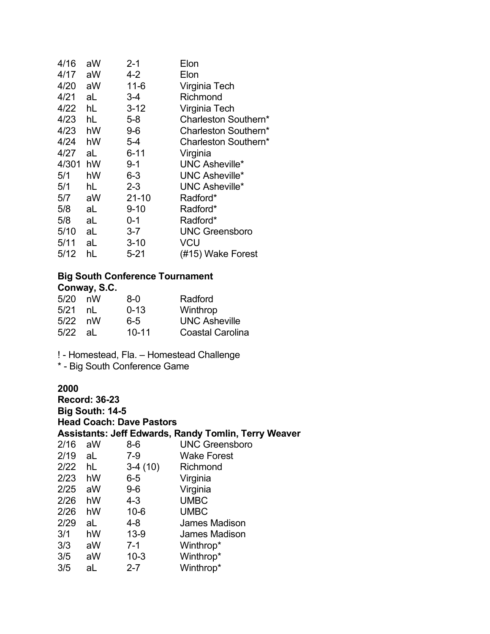| 4/16  | aW | 2-1       | Elon                  |
|-------|----|-----------|-----------------------|
| 4/17  | aW | 4-2       | Elon                  |
| 4/20  | aW | $11 - 6$  | Virginia Tech         |
| 4/21  | aL | 3-4       | Richmond              |
| 4/22  | hL | $3 - 12$  | Virginia Tech         |
| 4/23  | hL | $5 - 8$   | Charleston Southern*  |
| 4/23  | hW | $9-6$     | Charleston Southern*  |
| 4/24  | hW | $5-4$     | Charleston Southern*  |
| 4/27  | aL | $6 - 11$  | Virginia              |
| 4/301 | hW | 9-1       | <b>UNC Asheville*</b> |
| 5/1   | hW | $6 - 3$   | <b>UNC Asheville*</b> |
| 5/1   | hL | $2 - 3$   | <b>UNC Asheville*</b> |
| 5/7   | aW | $21 - 10$ | Radford*              |
| 5/8   | aL | $9 - 10$  | Radford*              |
| 5/8   | aL | 0-1       | Radford*              |
| 5/10  | aL | $3 - 7$   | <b>UNC Greensboro</b> |
| 5/11  | aL | $3 - 10$  | VCU                   |
| 5/12  | hL | $5 - 21$  | (#15) Wake Forest     |
|       |    |           |                       |

# **Big South Conference Tournament**

| Conway, S.C. |  |
|--------------|--|
|--------------|--|

| 5/20      | nW  | 8-0       | Radford                 |
|-----------|-----|-----------|-------------------------|
| 5/21      | nL. | $0 - 13$  | Winthrop                |
| $5/22$ nW |     | 6-5       | <b>UNC Asheville</b>    |
| $5/22$ aL |     | $10 - 11$ | <b>Coastal Carolina</b> |

! - Homestead, Fla. – Homestead Challenge

\* - Big South Conference Game

| <b>Record: 36-23</b> |                 |                                 |                                                             |
|----------------------|-----------------|---------------------------------|-------------------------------------------------------------|
|                      | Big South: 14-5 |                                 |                                                             |
|                      |                 | <b>Head Coach: Dave Pastors</b> |                                                             |
|                      |                 |                                 | <b>Assistants: Jeff Edwards, Randy Tomlin, Terry Weaver</b> |
| 2/16                 | aW              | $8-6$                           | <b>UNC Greensboro</b>                                       |
| 2/19                 | aL              | $7 - 9$                         | <b>Wake Forest</b>                                          |
| $2/22$ hL            |                 | $3-4(10)$                       | Richmond                                                    |
| 2/23                 | hW              | $6-5$                           | Virginia                                                    |
| 2/25                 | aW              | $9-6$                           | Virginia                                                    |
| 2/26                 | hW              | $4 - 3$                         | <b>UMBC</b>                                                 |
| 2/26                 | hW              | $10 - 6$                        | <b>UMBC</b>                                                 |
| 2/29                 | aL              | 4-8                             | James Madison                                               |
| 3/1                  | hW              | $13-9$                          | James Madison                                               |
| 3/3                  | aW              | $7 - 1$                         | Winthrop*                                                   |
| 3/5                  | aW              | $10 - 3$                        | Winthrop*                                                   |
| 3/5                  | aL              | $2 - 7$                         | Winthrop*                                                   |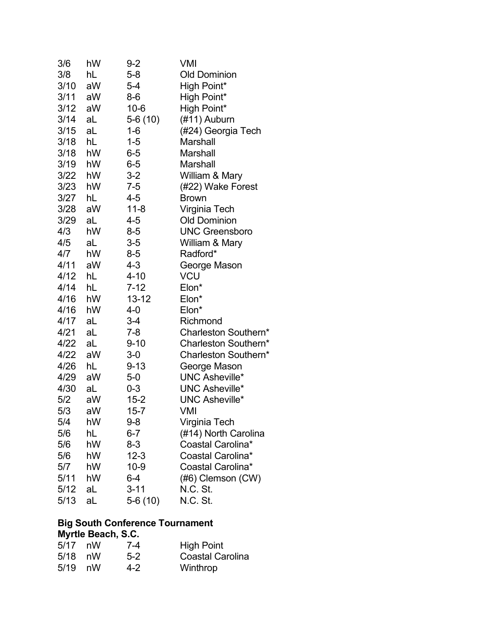| 3/6  | hW | 9-2       | VMI                   |
|------|----|-----------|-----------------------|
| 3/8  | hL | $5 - 8$   | <b>Old Dominion</b>   |
| 3/10 | aW | $5-4$     | High Point*           |
| 3/11 | aW | $8-6$     | High Point*           |
| 3/12 | aW | $10 - 6$  | High Point*           |
| 3/14 | aL | 5-6 (10)  | (#11) Auburn          |
| 3/15 | aL | $1 - 6$   | (#24) Georgia Tech    |
| 3/18 | hL | $1 - 5$   | Marshall              |
| 3/18 | hW | $6-5$     | Marshall              |
| 3/19 | hW | $6-5$     | Marshall              |
| 3/22 | hW | $3-2$     | William & Mary        |
| 3/23 | hW | $7 - 5$   | (#22) Wake Forest     |
| 3/27 | hL | 4-5       | <b>Brown</b>          |
| 3/28 | aW | $11 - 8$  | Virginia Tech         |
| 3/29 | aL | 4-5       | <b>Old Dominion</b>   |
| 4/3  | hW | $8-5$     | <b>UNC Greensboro</b> |
| 4/5  | aL | $3-5$     | William & Mary        |
| 4/7  | hW | $8-5$     | Radford*              |
| 4/11 | aW | 4-3       | George Mason          |
| 4/12 | hL | $4 - 10$  | VCU                   |
| 4/14 | hL | $7 - 12$  | Elon*                 |
| 4/16 | hW | $13 - 12$ | Elon*                 |
| 4/16 | hW | 4-0       | Elon*                 |
| 4/17 | aL | $3 - 4$   | Richmond              |
| 4/21 | aL | $7 - 8$   | Charleston Southern*  |
| 4/22 | aL | $9 - 10$  | Charleston Southern*  |
| 4/22 | aW | $3-0$     | Charleston Southern*  |
| 4/26 | hL | $9 - 13$  | George Mason          |
| 4/29 | aW | $5-0$     | <b>UNC Asheville*</b> |
| 4/30 | aL | $0 - 3$   | <b>UNC Asheville*</b> |
| 5/2  | aW | $15 - 2$  | <b>UNC Asheville*</b> |
| 5/3  | aW | $15 - 7$  | VMI                   |
| 5/4  | hW | $9 - 8$   | Virginia Tech         |
| 5/6  | hL | 6-7       | (#14) North Carolina  |
| 5/6  | hW | 8-3       | Coastal Carolina*     |
| 5/6  | hW | $12 - 3$  | Coastal Carolina*     |
| 5/7  | hW | $10 - 9$  | Coastal Carolina*     |
| 5/11 | hW | 6-4       | (#6) Clemson (CW)     |
| 5/12 | aL | $3 - 11$  | N.C. St.              |
| 5/13 | aL | 5-6 (10)  | N.C. St.              |

# **Big South Conference Tournament**

### **Myrtle Beach, S.C.**

| 5/17      | nW | 7-4   | <b>High Point</b>       |
|-----------|----|-------|-------------------------|
| $5/18$ nW |    | $5-2$ | <b>Coastal Carolina</b> |
| $5/19$ nW |    | 4-2   | Winthrop                |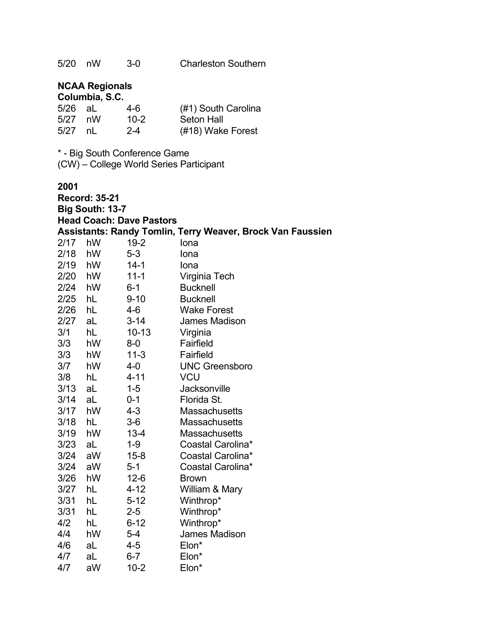### **NCAA Regionals Columbia, S.C.**

|           | ------------ |          |                     |
|-----------|--------------|----------|---------------------|
| $5/26$ aL |              | 4-6      | (#1) South Carolina |
| $5/27$ nW |              | $10 - 2$ | <b>Seton Hall</b>   |
| 5/27 nL   |              | $2 - 4$  | (#18) Wake Forest   |

\* - Big South Conference Game (CW) – College World Series Participant

|      | <b>Record: 35-21</b> |                                 |                                                                   |
|------|----------------------|---------------------------------|-------------------------------------------------------------------|
|      | Big South: 13-7      |                                 |                                                                   |
|      |                      | <b>Head Coach: Dave Pastors</b> |                                                                   |
|      |                      |                                 | <b>Assistants: Randy Tomlin, Terry Weaver, Brock Van Faussien</b> |
| 2/17 | hW                   | $19 - 2$                        | Iona                                                              |
| 2/18 | hW                   | $5 - 3$                         | Iona                                                              |
| 2/19 | hW                   | $14 - 1$                        | Iona                                                              |
| 2/20 | hW                   | $11 - 1$                        | Virginia Tech                                                     |
| 2/24 | hW                   | $6 - 1$                         | <b>Bucknell</b>                                                   |
| 2/25 | hL                   | $9 - 10$                        | <b>Bucknell</b>                                                   |
| 2/26 | hL                   | $4 - 6$                         | <b>Wake Forest</b>                                                |
| 2/27 | aL                   | $3 - 14$                        | <b>James Madison</b>                                              |
| 3/1  | hL                   | $10 - 13$                       | Virginia                                                          |
| 3/3  | hW                   | $8-0$                           | Fairfield                                                         |
| 3/3  | hW                   | $11 - 3$                        | Fairfield                                                         |
| 3/7  | hW                   | 4-0                             | <b>UNC Greensboro</b>                                             |
| 3/8  | hL                   | $4 - 11$                        | <b>VCU</b>                                                        |
| 3/13 | aL                   | $1 - 5$                         | <b>Jacksonville</b>                                               |
| 3/14 | aL                   | $0 - 1$                         | Florida St.                                                       |
| 3/17 | hW                   | $4 - 3$                         | <b>Massachusetts</b>                                              |
| 3/18 | hL                   | $3-6$                           | <b>Massachusetts</b>                                              |
| 3/19 | hW                   | $13 - 4$                        | Massachusetts                                                     |
| 3/23 | aL                   | $1 - 9$                         | Coastal Carolina*                                                 |
| 3/24 | aW                   | $15 - 8$                        | Coastal Carolina*                                                 |
| 3/24 | aW                   | $5 - 1$                         | Coastal Carolina*                                                 |
| 3/26 | hW                   | $12 - 6$                        | <b>Brown</b>                                                      |
| 3/27 | hL                   | $4 - 12$                        | William & Mary                                                    |
| 3/31 | hL                   | $5 - 12$                        | Winthrop*                                                         |
| 3/31 | hL                   | $2 - 5$                         | Winthrop*                                                         |
| 4/2  | hL                   | $6 - 12$                        | Winthrop*                                                         |
| 4/4  | hW                   | $5 - 4$                         | James Madison                                                     |
| 4/6  | aL                   | 4-5                             | Elon*                                                             |
| 4/7  | aL                   | $6-7$                           | Elon*                                                             |
| 4/7  | aW                   | $10 - 2$                        | Elon*                                                             |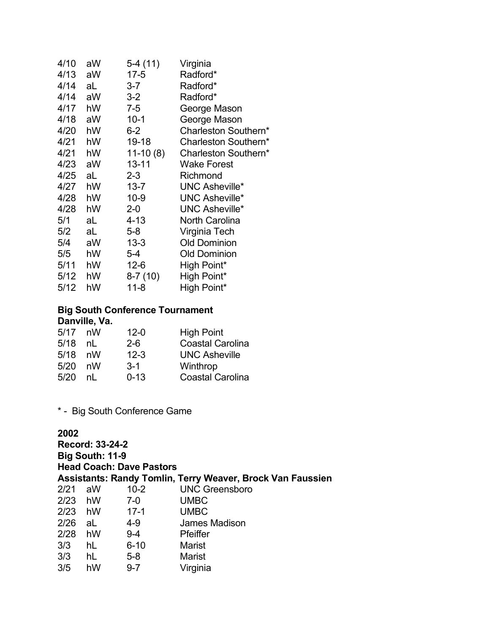| 4/10 | aW | 5-4 (11)   | Virginia              |
|------|----|------------|-----------------------|
| 4/13 | aW | 17-5       | Radford*              |
| 4/14 | aL | $3 - 7$    | Radford*              |
| 4/14 | aW | $3 - 2$    | Radford*              |
| 4/17 | hW | $7 - 5$    | George Mason          |
| 4/18 | aW | $10 - 1$   | George Mason          |
| 4/20 | hW | $6-2$      | Charleston Southern*  |
| 4/21 | hW | 19-18      | Charleston Southern*  |
| 4/21 | hW | $11-10(8)$ | Charleston Southern*  |
| 4/23 | aW | $13 - 11$  | <b>Wake Forest</b>    |
| 4/25 | aL | $2 - 3$    | Richmond              |
| 4/27 | hW | $13 - 7$   | <b>UNC Asheville*</b> |
| 4/28 | hW | 10-9       | <b>UNC Asheville*</b> |
| 4/28 | hW | $2 - 0$    | <b>UNC Asheville*</b> |
| 5/1  | aL | 4-13       | <b>North Carolina</b> |
| 5/2  | aL | $5-8$      | Virginia Tech         |
| 5/4  | aW | 13-3       | <b>Old Dominion</b>   |
| 5/5  | hW | $5 - 4$    | <b>Old Dominion</b>   |
| 5/11 | hW | $12 - 6$   | High Point*           |
| 5/12 | hW | $8-7(10)$  | High Point*           |
| 5/12 | hW | $11 - 8$   | High Point*           |

### **Big South Conference Tournament Danville, Va.**

| $5/17$ nW |    | $12 - 0$ | <b>High Point</b>       |
|-----------|----|----------|-------------------------|
| 5/18      | nL | $2-6$    | <b>Coastal Carolina</b> |
| 5/18 nW   |    | $12 - 3$ | <b>UNC Asheville</b>    |
| 5/20      | nW | $3-1$    | Winthrop                |
| 5/20      | nl | $0 - 13$ | <b>Coastal Carolina</b> |

# \* - Big South Conference Game

| 2002      |                 |                                 |                                                                   |  |  |  |
|-----------|-----------------|---------------------------------|-------------------------------------------------------------------|--|--|--|
|           | Record: 33-24-2 |                                 |                                                                   |  |  |  |
|           | Big South: 11-9 |                                 |                                                                   |  |  |  |
|           |                 | <b>Head Coach: Dave Pastors</b> |                                                                   |  |  |  |
|           |                 |                                 | <b>Assistants: Randy Tomlin, Terry Weaver, Brock Van Faussien</b> |  |  |  |
| 2/21      | aW              | 10-2                            | <b>UNC Greensboro</b>                                             |  |  |  |
| $2/23$ hW |                 | 7-0                             | <b>UMBC</b>                                                       |  |  |  |
| $2/23$ hW |                 | $17-1$                          | <b>UMBC</b>                                                       |  |  |  |
| $2/26$ aL |                 | 4-9                             | <b>James Madison</b>                                              |  |  |  |
| 2/28      | hW              | $9 - 4$                         | <b>Pfeiffer</b>                                                   |  |  |  |
| 3/3       | hL              | $6 - 10$                        | <b>Marist</b>                                                     |  |  |  |
| 3/3       | hL              | 5-8                             | <b>Marist</b>                                                     |  |  |  |
| 3/5       | hW              | $9 - 7$                         | Virginia                                                          |  |  |  |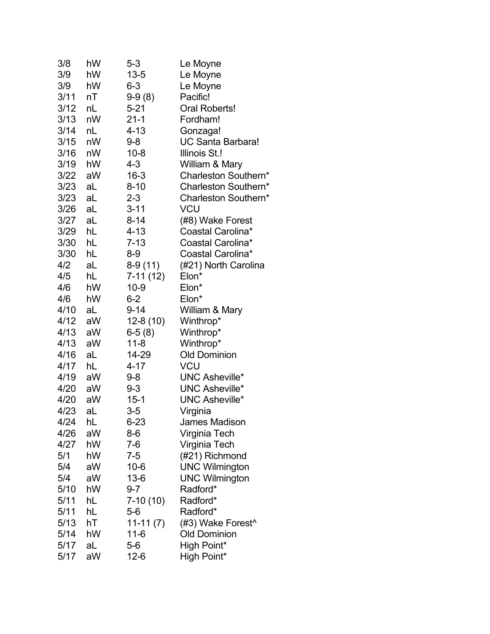| 3/8  | hW | $5 - 3$    | Le Moyne                 |
|------|----|------------|--------------------------|
| 3/9  | hW | $13 - 5$   | Le Moyne                 |
| 3/9  | hW | $6 - 3$    | Le Moyne                 |
| 3/11 | nT | $9-9(8)$   | Pacific!                 |
| 3/12 | nL | $5 - 21$   | Oral Roberts!            |
| 3/13 | nW | $21 - 1$   | Fordham!                 |
| 3/14 | nL | $4 - 13$   | Gonzaga!                 |
| 3/15 | nW | $9 - 8$    | <b>UC Santa Barbara!</b> |
| 3/16 | nW | $10 - 8$   | Illinois St.!            |
| 3/19 | hW | 4-3        | William & Mary           |
| 3/22 | aW | $16 - 3$   | Charleston Southern*     |
| 3/23 | aL | $8 - 10$   | Charleston Southern*     |
| 3/23 | aL | $2 - 3$    | Charleston Southern*     |
| 3/26 | aL | $3 - 11$   | VCU                      |
| 3/27 | aL | $8 - 14$   | (#8) Wake Forest         |
| 3/29 | hL | $4 - 13$   | Coastal Carolina*        |
| 3/30 | hL | $7 - 13$   | Coastal Carolina*        |
| 3/30 | hL | $8-9$      | Coastal Carolina*        |
| 4/2  | aL | $8-9(11)$  | (#21) North Carolina     |
| 4/5  | hL | 7-11 (12)  | Elon*                    |
| 4/6  | hW | $10-9$     | Elon*                    |
| 4/6  | hW | $6 - 2$    | Elon*                    |
| 4/10 | aL | $9 - 14$   | William & Mary           |
| 4/12 | aW | 12-8 (10)  | Winthrop*                |
| 4/13 | aW | $6-5(8)$   | Winthrop*                |
| 4/13 | aW | $11 - 8$   | Winthrop*                |
| 4/16 | aL | 14-29      | <b>Old Dominion</b>      |
| 4/17 | hL | $4 - 17$   | VCU                      |
| 4/19 | aW | $9 - 8$    | <b>UNC Asheville*</b>    |
| 4/20 | aW | $9 - 3$    | <b>UNC Asheville*</b>    |
| 4/20 | aW | $15 - 1$   | <b>UNC Asheville*</b>    |
| 4/23 | aL | $3-5$      | Virginia                 |
| 4/24 | hL | 6-23       | James Madison            |
| 4/26 | aW | 8-6        | Virginia Tech            |
| 4/27 | hW | $7-6$      | Virginia Tech            |
| 5/1  | hW | 7-5        | (#21) Richmond           |
| 5/4  | aW | $10 - 6$   | <b>UNC Wilmington</b>    |
| 5/4  | aW | $13-6$     | <b>UNC Wilmington</b>    |
| 5/10 | hW | $9 - 7$    | Radford*                 |
| 5/11 | hL | $7-10(10)$ | Radford*                 |
| 5/11 | hL | $5-6$      | Radford*                 |
| 5/13 | hT | $11-11(7)$ | (#3) Wake Forest^        |
| 5/14 | hW | 11-6       | <b>Old Dominion</b>      |
| 5/17 | aL | $5-6$      | High Point*              |
| 5/17 | aW | $12-6$     | High Point*              |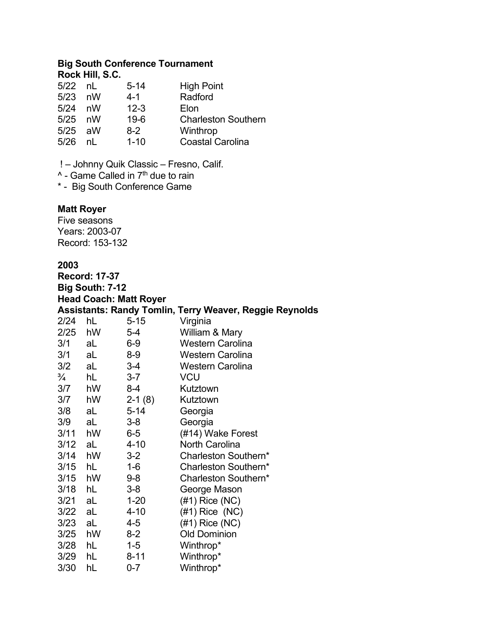### **Big South Conference Tournament Rock Hill, S.C.**

| $5/22$ nL |    | $5 - 14$ | <b>High Point</b>          |
|-----------|----|----------|----------------------------|
| 5/23      | nW | 4-1      | Radford                    |
| 5/24      | nW | $12 - 3$ | Elon                       |
| $5/25$ nW |    | $19-6$   | <b>Charleston Southern</b> |
| $5/25$ aW |    | $8-2$    | Winthrop                   |
| 5/26      | nl | $1 - 10$ | <b>Coastal Carolina</b>    |

! – Johnny Quik Classic – Fresno, Calif.

^ - Game Called in 7<sup>th</sup> due to rain

\* - Big South Conference Game

# **Matt Royer**

Five seasons Years: 2003-07 Record: 153-132

| <b>Record: 17-37</b> |                 |                               |                                                                |  |  |  |
|----------------------|-----------------|-------------------------------|----------------------------------------------------------------|--|--|--|
|                      | Big South: 7-12 |                               |                                                                |  |  |  |
|                      |                 | <b>Head Coach: Matt Royer</b> |                                                                |  |  |  |
|                      |                 |                               | <b>Assistants: Randy Tomlin, Terry Weaver, Reggie Reynolds</b> |  |  |  |
| 2/24                 | hL              | $5 - 15$                      | Virginia                                                       |  |  |  |
| 2/25                 | hW              | $5 - 4$                       | William & Mary                                                 |  |  |  |
| 3/1                  | aL              | 6-9                           | <b>Western Carolina</b>                                        |  |  |  |
| 3/1                  | aL              | $8-9$                         | <b>Western Carolina</b>                                        |  |  |  |
| 3/2 aL               |                 | $3-4$                         | <b>Western Carolina</b>                                        |  |  |  |
| $\frac{3}{4}$        | hL              | $3 - 7$                       | <b>VCU</b>                                                     |  |  |  |
| 3/7                  | hW              | $8 - 4$                       | Kutztown                                                       |  |  |  |
| 3/7                  | hW              | $2-1(8)$                      | Kutztown                                                       |  |  |  |
| 3/8                  | aL              | $5 - 14$                      | Georgia                                                        |  |  |  |
| 3/9                  | aL              | $3 - 8$                       | Georgia                                                        |  |  |  |
| 3/11 hW              |                 | $6-5$                         | (#14) Wake Forest                                              |  |  |  |
| $3/12$ aL            |                 | $4 - 10$                      | <b>North Carolina</b>                                          |  |  |  |
| $3/14$ hW            |                 | $3 - 2$                       | Charleston Southern*                                           |  |  |  |
| 3/15                 | hL              | $1 - 6$                       | Charleston Southern*                                           |  |  |  |
| 3/15                 | hW              | 9-8                           | Charleston Southern*                                           |  |  |  |
| 3/18                 | hL              | $3 - 8$                       | George Mason                                                   |  |  |  |
| 3/21                 | aL              | $1 - 20$                      | $(\#1)$ Rice (NC)                                              |  |  |  |
| $3/22$ aL            |                 | $4 - 10$                      | $(#1)$ Rice $(NC)$                                             |  |  |  |
| 3/23                 | aL              | 4-5                           | $(#1)$ Rice $(NC)$                                             |  |  |  |
| 3/25 hW              |                 | $8 - 2$                       | <b>Old Dominion</b>                                            |  |  |  |
| 3/28 hL              |                 | $1 - 5$                       | Winthrop*                                                      |  |  |  |
| 3/29                 | hL              | $8 - 11$                      | Winthrop*                                                      |  |  |  |
| 3/30                 | hL              | $0 - 7$                       | Winthrop*                                                      |  |  |  |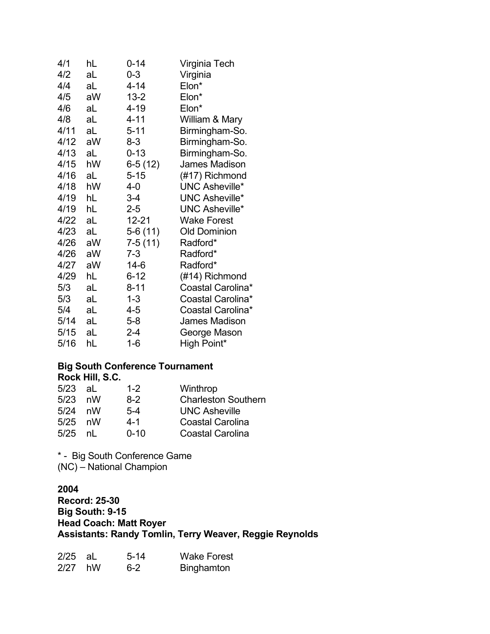| hL | $0 - 14$  | Virginia Tech         |
|----|-----------|-----------------------|
| aL | $0 - 3$   | Virginia              |
| aL | $4 - 14$  | Elon*                 |
| aW | $13 - 2$  | Elon*                 |
| aL | 4-19      | Elon*                 |
| aL | 4-11      | William & Mary        |
| aL | $5 - 11$  | Birmingham-So.        |
| aW | 8-3       | Birmingham-So.        |
| aL | $0 - 13$  | Birmingham-So.        |
| hW | $6-5(12)$ | James Madison         |
| aL | $5 - 15$  | (#17) Richmond        |
| hW | 4-0       | <b>UNC Asheville*</b> |
| hL | $3-4$     | <b>UNC Asheville*</b> |
| hL | $2 - 5$   | <b>UNC Asheville*</b> |
| aL | $12 - 21$ | <b>Wake Forest</b>    |
| aL | 5-6 (11)  | <b>Old Dominion</b>   |
| aW | $7-5(11)$ | Radford*              |
| aW | $7 - 3$   | Radford*              |
| aW | 14-6      | Radford*              |
| hL | $6 - 12$  | (#14) Richmond        |
| aL | $8 - 11$  | Coastal Carolina*     |
| aL | $1 - 3$   | Coastal Carolina*     |
| aL | 4-5       | Coastal Carolina*     |
| aL | $5 - 8$   | <b>James Madison</b>  |
| aL | $2 - 4$   | George Mason          |
| hL | $1 - 6$   | High Point*           |
|    |           |                       |

### **Big South Conference Tournament Rock Hill, S.C.**

| $5/23$ aL | $1 - 2$  | Winthrop                   |
|-----------|----------|----------------------------|
| $5/23$ nW | 8-2      | <b>Charleston Southern</b> |
| $5/24$ nW | $5-4$    | <b>UNC Asheville</b>       |
| $5/25$ nW | 4-1      | <b>Coastal Carolina</b>    |
| $5/25$ nL | $0 - 10$ | <b>Coastal Carolina</b>    |
|           |          |                            |

\* - Big South Conference Game (NC) – National Champion

### **2004 Record: 25-30 Big South: 9-15 Head Coach: Matt Royer Assistants: Randy Tomlin, Terry Weaver, Reggie Reynolds**

| $2/25$ aL | $5-14$  | <b>Wake Forest</b> |
|-----------|---------|--------------------|
| $2/27$ hW | $6 - 2$ | <b>Binghamton</b>  |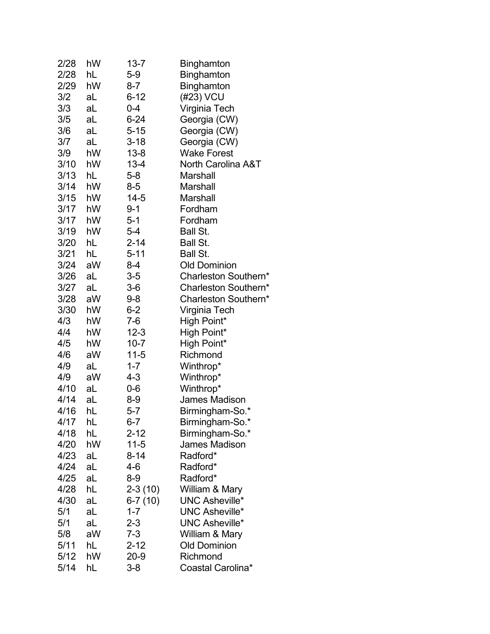| 2/28 | hW | 13-7      | Binghamton            |
|------|----|-----------|-----------------------|
| 2/28 | hL | $5-9$     | <b>Binghamton</b>     |
| 2/29 | hW | 8-7       | <b>Binghamton</b>     |
| 3/2  | aL | $6 - 12$  | (#23) VCU             |
| 3/3  | aL | $0 - 4$   | Virginia Tech         |
| 3/5  | aL | $6 - 24$  | Georgia (CW)          |
| 3/6  | aL | $5 - 15$  | Georgia (CW)          |
| 3/7  | aL | $3 - 18$  | Georgia (CW)          |
| 3/9  | hW | $13 - 8$  | <b>Wake Forest</b>    |
| 3/10 | hW | $13 - 4$  | North Carolina A&T    |
| 3/13 | hL | $5 - 8$   | Marshall              |
| 3/14 | hW | 8-5       | Marshall              |
| 3/15 | hW | $14 - 5$  | Marshall              |
| 3/17 | hW | $9 - 1$   | Fordham               |
| 3/17 | hW | $5-1$     | Fordham               |
| 3/19 | hW | $5 - 4$   | Ball St.              |
| 3/20 | hL | $2 - 14$  | Ball St.              |
| 3/21 | hL | $5 - 11$  | <b>Ball St.</b>       |
| 3/24 | aW | $8 - 4$   | <b>Old Dominion</b>   |
| 3/26 | aL | $3-5$     | Charleston Southern*  |
| 3/27 | aL | $3-6$     | Charleston Southern*  |
| 3/28 | aW | $9 - 8$   | Charleston Southern*  |
| 3/30 | hW | $6 - 2$   | Virginia Tech         |
| 4/3  | hW | 7-6       | High Point*           |
| 4/4  | hW | $12 - 3$  | High Point*           |
| 4/5  | hW | $10 - 7$  | High Point*           |
| 4/6  | aW | $11 - 5$  | Richmond              |
| 4/9  | aL | $1 - 7$   | Winthrop*             |
| 4/9  | aW | 4-3       | Winthrop*             |
| 4/10 | aL | 0-6       | Winthrop*             |
| 4/14 | aL | $8-9$     | <b>James Madison</b>  |
| 4/16 | hL | $5 - 7$   | Birmingham-So.*       |
| 4/17 | hL | $6 - 7$   | Birmingham-So.*       |
| 4/18 | hL | $2 - 12$  | Birmingham-So.*       |
| 4/20 | hW | $11-5$    | <b>James Madison</b>  |
| 4/23 | aL | 8-14      | Radford*              |
| 4/24 | aL | 4-6       | Radford*              |
| 4/25 | aL | $8-9$     | Radford*              |
| 4/28 | hL | $2-3(10)$ | William & Mary        |
| 4/30 | aL | $6-7(10)$ | <b>UNC Asheville*</b> |
| 5/1  | aL | $1 - 7$   | <b>UNC Asheville*</b> |
| 5/1  | aL | $2 - 3$   | <b>UNC Asheville*</b> |
| 5/8  | aW | $7 - 3$   | William & Mary        |
| 5/11 | hL | $2 - 12$  | <b>Old Dominion</b>   |
| 5/12 | hW | $20 - 9$  | Richmond              |
| 5/14 | hL | $3 - 8$   | Coastal Carolina*     |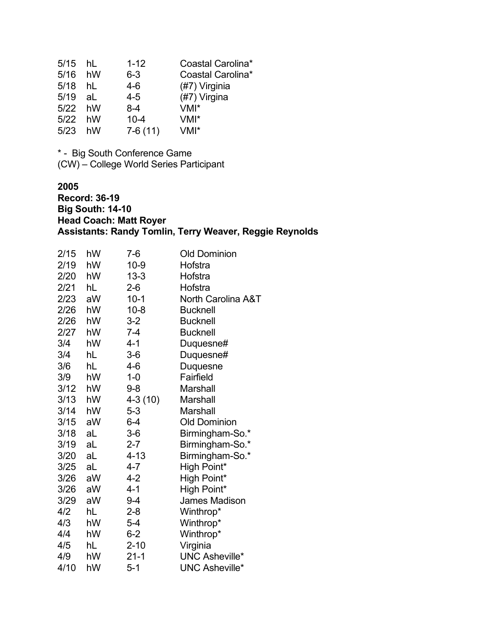| 5/15 hL |    | $1 - 12$  | Coastal Carolina* |
|---------|----|-----------|-------------------|
| 5/16    | hW | $6 - 3$   | Coastal Carolina* |
| 5/18    | hL | $4-6$     | (#7) Virginia     |
| 5/19    | aL | $4 - 5$   | (#7) Virgina      |
| 5/22 hW |    | $8 - 4$   | $VMI^*$           |
| 5/22    | hW | $10 - 4$  | $VMI^*$           |
| 5/23    | hW | $7-6(11)$ | $VMI^*$           |

\* - Big South Conference Game (CW) – College World Series Participant

**2005 Record: 36-19 Big South: 14-10 Head Coach: Matt Royer Assistants: Randy Tomlin, Terry Weaver, Reggie Reynolds**

| 2/15 | hW | $7-6$     | <b>Old Dominion</b>   |
|------|----|-----------|-----------------------|
| 2/19 | hW | $10 - 9$  | Hofstra               |
| 2/20 | hW | $13 - 3$  | Hofstra               |
| 2/21 | hL | $2 - 6$   | Hofstra               |
| 2/23 | aW | $10-1$    | North Carolina A&T    |
| 2/26 | hW | $10 - 8$  | <b>Bucknell</b>       |
| 2/26 | hW | $3-2$     | <b>Bucknell</b>       |
| 2/27 | hW | $7 - 4$   | <b>Bucknell</b>       |
| 3/4  | hW | $4 - 1$   | Duquesne#             |
| 3/4  | hL | $3-6$     | Duquesne#             |
| 3/6  | hL | 4-6       | Duquesne              |
| 3/9  | hW | $1 - 0$   | Fairfield             |
| 3/12 | hW | $9 - 8$   | Marshall              |
| 3/13 | hW | $4-3(10)$ | Marshall              |
| 3/14 | hW | $5 - 3$   | <b>Marshall</b>       |
| 3/15 | aW | $6 - 4$   | <b>Old Dominion</b>   |
| 3/18 | aL | $3-6$     | Birmingham-So.*       |
| 3/19 | aL | $2 - 7$   | Birmingham-So.*       |
| 3/20 | aL | $4 - 13$  | Birmingham-So.*       |
| 3/25 | aL | 4-7       | High Point*           |
| 3/26 | aW | 4-2       | High Point*           |
| 3/26 | aW | $4 - 1$   | High Point*           |
| 3/29 | aW | $9 - 4$   | James Madison         |
| 4/2  | hL | $2 - 8$   | Winthrop*             |
| 4/3  | hW | $5 - 4$   | Winthrop*             |
| 4/4  | hW | $6 - 2$   | Winthrop*             |
| 4/5  | hL | $2 - 10$  | Virginia              |
| 4/9  | hW | $21 - 1$  | <b>UNC Asheville*</b> |
| 4/10 | hW | 5-1       | <b>UNC Asheville*</b> |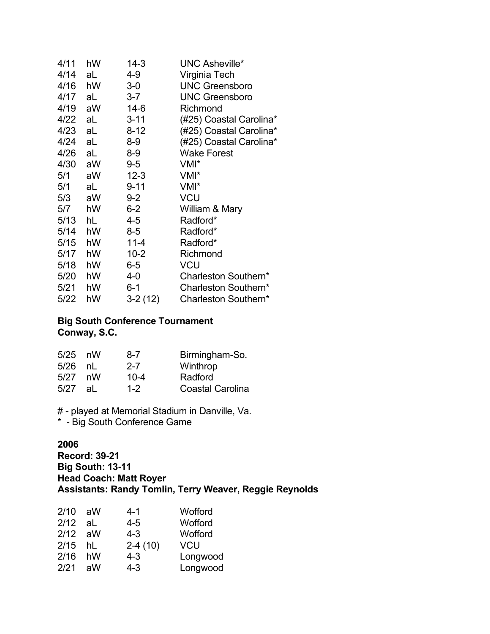| 4/11   | hW | 14-3      | <b>UNC Asheville*</b>   |
|--------|----|-----------|-------------------------|
| 4/14   | aL | 4-9       | Virginia Tech           |
| 4/16   | hW | $3-0$     | <b>UNC Greensboro</b>   |
| 4/17   | aL | $3 - 7$   | <b>UNC Greensboro</b>   |
| 4/19   | aW | $14-6$    | Richmond                |
| 4/22   | aL | $3 - 11$  | (#25) Coastal Carolina* |
| 4/23   | aL | $8 - 12$  | (#25) Coastal Carolina* |
| 4/24   | aL | $8-9$     | (#25) Coastal Carolina* |
| 4/26   | aL | 8-9       | <b>Wake Forest</b>      |
| 4/30   | aW | $9-5$     | VMI*                    |
| 5/1    | aW | $12 - 3$  | VMI <sup>*</sup>        |
| 5/1    | aL | $9 - 11$  | VMI*                    |
| 5/3    | aW | $9 - 2$   | <b>VCU</b>              |
| 5/7    | hW | $6-2$     | William & Mary          |
| 5/13   | hL | 4-5       | Radford*                |
| 5/14   | hW | 8-5       | Radford*                |
| 5/15   | hW | $11 - 4$  | Radford*                |
| 5/17   | hW | $10 - 2$  | Richmond                |
| 5/18   | hW | $6-5$     | VCU                     |
| 5/20   | hW | 4-0       | Charleston Southern*    |
| 5/21   | hW | $6 - 1$   | Charleston Southern*    |
| $5/22$ | hW | $3-2(12)$ | Charleston Southern*    |

# **Big South Conference Tournament Conway, S.C.**

| $5/25$ nW |    | 8-7      | Birmingham-So.          |
|-----------|----|----------|-------------------------|
| 5/26      | nl | $2 - 7$  | Winthrop                |
| 5/27      | nW | $10 - 4$ | Radford                 |
| 5/27      | al | $1 - 2$  | <b>Coastal Carolina</b> |

# - played at Memorial Stadium in Danville, Va.

\* - Big South Conference Game

# **2006**

**Record: 39-21 Big South: 13-11 Head Coach: Matt Royer Assistants: Randy Tomlin, Terry Weaver, Reggie Reynolds**

| 2/10 | aW | 4-1       | Wofford    |
|------|----|-----------|------------|
| 2/12 | aL | $4 - 5$   | Wofford    |
| 2/12 | aW | $4 - 3$   | Wofford    |
| 2/15 | hL | $2-4(10)$ | <b>VCU</b> |
| 2/16 | hW | $4 - 3$   | Longwood   |
| 2/21 | aW | $4 - 3$   | Longwood   |
|      |    |           |            |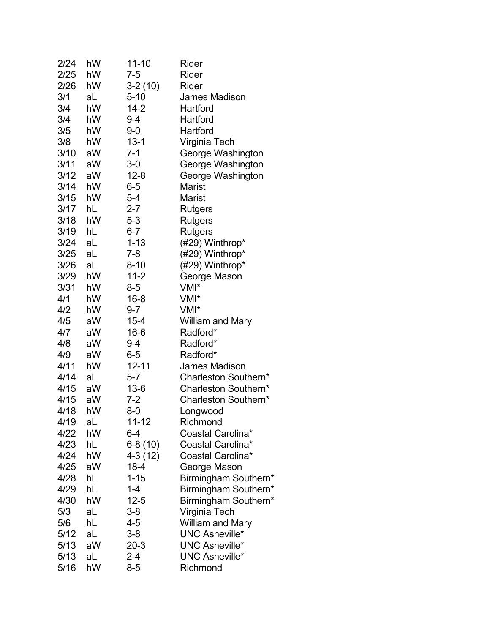| 2/24 | hW | 11-10     | Rider                   |
|------|----|-----------|-------------------------|
| 2/25 | hW | $7 - 5$   | Rider                   |
| 2/26 | hW | $3-2(10)$ | Rider                   |
| 3/1  | aL | $5 - 10$  | James Madison           |
| 3/4  | hW | $14 - 2$  | Hartford                |
| 3/4  | hW | 9-4       | Hartford                |
| 3/5  | hW | $9-0$     | Hartford                |
| 3/8  | hW | $13 - 1$  | Virginia Tech           |
| 3/10 | aW | 7-1       | George Washington       |
| 3/11 | aW | $3-0$     | George Washington       |
| 3/12 | aW | $12 - 8$  | George Washington       |
| 3/14 | hW | $6-5$     | Marist                  |
| 3/15 | hW | $5-4$     | <b>Marist</b>           |
| 3/17 | hL | $2 - 7$   | Rutgers                 |
| 3/18 | hW | $5-3$     | Rutgers                 |
| 3/19 | hL | $6 - 7$   | Rutgers                 |
| 3/24 | aL | $1 - 13$  | (#29) Winthrop*         |
| 3/25 | aL | $7 - 8$   | (#29) Winthrop*         |
| 3/26 | aL | $8 - 10$  | (#29) Winthrop*         |
| 3/29 | hW | $11 - 2$  | George Mason            |
| 3/31 | hW | $8-5$     | VMI*                    |
| 4/1  | hW | $16 - 8$  | VMI*                    |
| 4/2  | hW | $9 - 7$   | VMI*                    |
| 4/5  | aW | $15 - 4$  | William and Mary        |
| 4/7  | aW | $16 - 6$  | Radford*                |
| 4/8  | aW | 9-4       | Radford*                |
| 4/9  | aW | $6-5$     | Radford*                |
| 4/11 | hW | $12 - 11$ | <b>James Madison</b>    |
| 4/14 | aL | $5 - 7$   | Charleston Southern*    |
| 4/15 | aW | $13 - 6$  | Charleston Southern*    |
| 4/15 | aW | $7 - 2$   | Charleston Southern*    |
| 4/18 | hW | $8-0$     | Longwood                |
| 4/19 | aL | $11 - 12$ | Richmond                |
| 4/22 | hW | 6-4       | Coastal Carolina*       |
| 4/23 | hL | $6-8(10)$ | Coastal Carolina*       |
| 4/24 | hW | 4-3 (12)  | Coastal Carolina*       |
| 4/25 | aW | $18 - 4$  | George Mason            |
| 4/28 | hL | $1 - 15$  | Birmingham Southern*    |
| 4/29 | hL | 1-4       | Birmingham Southern*    |
| 4/30 | hW | $12 - 5$  | Birmingham Southern*    |
| 5/3  | aL | $3-8$     | Virginia Tech           |
| 5/6  | hL | 4-5       | <b>William and Mary</b> |
| 5/12 | aL | $3-8$     | <b>UNC Asheville*</b>   |
| 5/13 | aW | $20-3$    | <b>UNC Asheville*</b>   |
| 5/13 | aL | 2-4       | <b>UNC Asheville*</b>   |
| 5/16 | hW | $8-5$     | Richmond                |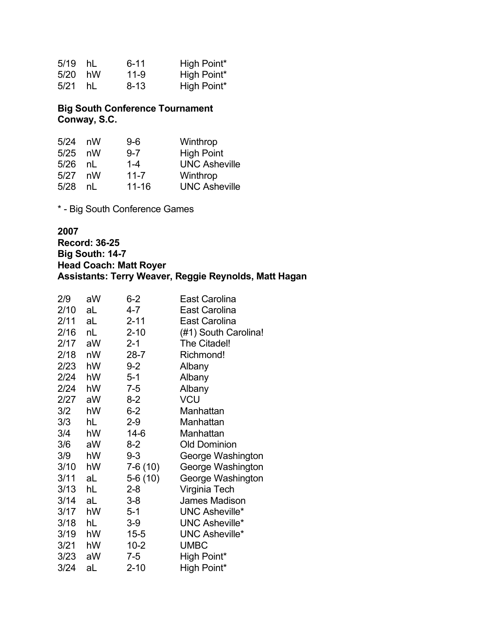| 5/19 hL |     | $6 - 11$ | High Point* |
|---------|-----|----------|-------------|
| 5/20 hW |     | 11-9     | High Point* |
| 5/21    | hL. | 8-13     | High Point* |

### **Big South Conference Tournament Conway, S.C.**

| 5/24 | nW | $9-6$     | Winthrop             |
|------|----|-----------|----------------------|
| 5/25 | nW | $9 - 7$   | <b>High Point</b>    |
| 5/26 | nL | $1 - 4$   | <b>UNC Asheville</b> |
| 5/27 | nW | $11 - 7$  | Winthrop             |
| 5/28 | nl | $11 - 16$ | <b>UNC Asheville</b> |

\* - Big South Conference Games

#### **2007**

**Record: 36-25 Big South: 14-7 Head Coach: Matt Royer Assistants: Terry Weaver, Reggie Reynolds, Matt Hagan**

| 2/9  | aW | $6 - 2$   | East Carolina         |
|------|----|-----------|-----------------------|
| 2/10 | aL | 4-7       | <b>East Carolina</b>  |
| 2/11 | aL | $2 - 11$  | East Carolina         |
| 2/16 | nL | $2 - 10$  | (#1) South Carolina!  |
| 2/17 | aW | $2 - 1$   | The Citadel!          |
| 2/18 | nW | $28 - 7$  | Richmond!             |
| 2/23 | hW | $9 - 2$   | Albany                |
| 2/24 | hW | $5 - 1$   | Albany                |
| 2/24 | hW | $7 - 5$   | Albany                |
| 2/27 | aW | $8-2$     | <b>VCU</b>            |
| 3/2  | hW | $6-2$     | Manhattan             |
| 3/3  | hL | 2-9       | Manhattan             |
| 3/4  | hW | $14-6$    | Manhattan             |
| 3/6  | aW | $8-2$     | <b>Old Dominion</b>   |
| 3/9  | hW | $9 - 3$   | George Washington     |
| 3/10 | hW | 7-6 (10)  | George Washington     |
| 3/11 | aL | $5-6(10)$ | George Washington     |
| 3/13 | hL | $2 - 8$   | Virginia Tech         |
| 3/14 | aL | $3 - 8$   | <b>James Madison</b>  |
| 3/17 | hW | 5-1       | <b>UNC Asheville*</b> |
| 3/18 | hL | 3-9       | <b>UNC Asheville*</b> |
| 3/19 | hW | $15 - 5$  | <b>UNC Asheville*</b> |
| 3/21 | hW | $10 - 2$  | <b>UMBC</b>           |
| 3/23 | aW | 7-5       | High Point*           |
| 3/24 | aL | $2 - 10$  | High Point*           |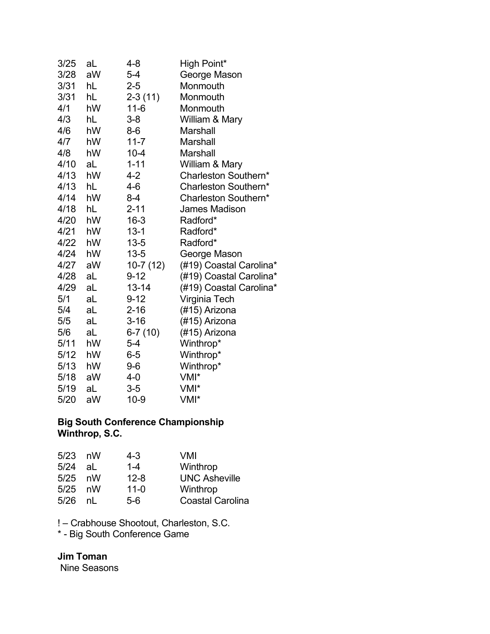| 3/25 | aL | 4-8        | High Point*             |
|------|----|------------|-------------------------|
| 3/28 | aW | $5-4$      | George Mason            |
| 3/31 | hL | $2 - 5$    | Monmouth                |
| 3/31 | hL | $2-3(11)$  | Monmouth                |
| 4/1  | hW | $11 - 6$   | Monmouth                |
| 4/3  | hL | $3 - 8$    | William & Mary          |
| 4/6  | hW | $8-6$      | Marshall                |
| 4/7  | hW | $11 - 7$   | <b>Marshall</b>         |
| 4/8  | hW | $10 - 4$   | <b>Marshall</b>         |
| 4/10 | aL | $1 - 11$   | William & Mary          |
| 4/13 | hW | 4-2        | Charleston Southern*    |
| 4/13 | hL | 4-6        | Charleston Southern*    |
| 4/14 | hW | $8 - 4$    | Charleston Southern*    |
| 4/18 | hL | $2 - 11$   | <b>James Madison</b>    |
| 4/20 | hW | $16 - 3$   | Radford*                |
| 4/21 | hW | $13 - 1$   | Radford*                |
| 4/22 | hW | $13 - 5$   | Radford*                |
| 4/24 | hW | $13 - 5$   | George Mason            |
| 4/27 | aW | $10-7(12)$ | (#19) Coastal Carolina* |
| 4/28 | aL | $9 - 12$   | (#19) Coastal Carolina* |
| 4/29 | aL | $13 - 14$  | (#19) Coastal Carolina* |
| 5/1  | aL | $9 - 12$   | Virginia Tech           |
| 5/4  | aL | $2 - 16$   | (#15) Arizona           |
| 5/5  | aL | $3 - 16$   | (#15) Arizona           |
| 5/6  | aL | $6-7(10)$  | (#15) Arizona           |
| 5/11 | hW | $5 - 4$    | Winthrop*               |
| 5/12 | hW | $6-5$      | Winthrop*               |
| 5/13 | hW | $9-6$      | Winthrop*               |
| 5/18 | aW | 4-0        | VMI*                    |
| 5/19 | aL | $3-5$      | VMI*                    |
| 5/20 | aW | $10-9$     | VMI*                    |

#### **Big South Conference Championship Winthrop, S.C.**

| $5/23$ nW | 4-3      | VMI                     |
|-----------|----------|-------------------------|
| al        | $1 - 4$  | Winthrop                |
| $5/25$ nW | $12 - 8$ | <b>UNC Asheville</b>    |
| $5/25$ nW | $11 - 0$ | Winthrop                |
| nl        | 5-6      | <b>Coastal Carolina</b> |
|           |          |                         |

! – Crabhouse Shootout, Charleston, S.C.

\* - Big South Conference Game

# **Jim Toman**

Nine Seasons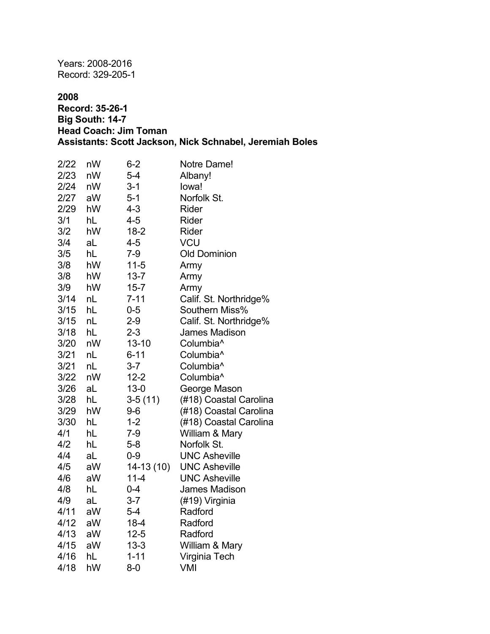Years: 2008-2016 Record: 329-205-1

### **2008**

### **Record: 35-26-1 Big South: 14-7 Head Coach: Jim Toman Assistants: Scott Jackson, Nick Schnabel, Jeremiah Boles**

| 2/22 | nW | $6 - 2$    | Notre Dame!            |
|------|----|------------|------------------------|
| 2/23 | nW | $5-4$      | Albany!                |
| 2/24 | nW | $3 - 1$    | lowa!                  |
| 2/27 | aW | $5 - 1$    | Norfolk St.            |
| 2/29 | hW | $4 - 3$    | Rider                  |
| 3/1  | hL | $4 - 5$    | Rider                  |
| 3/2  | hW | $18 - 2$   | Rider                  |
| 3/4  | aL | $4 - 5$    | <b>VCU</b>             |
| 3/5  | hL | $7 - 9$    | <b>Old Dominion</b>    |
| 3/8  | hW | $11 - 5$   | Army                   |
| 3/8  | hW | $13 - 7$   | Army                   |
| 3/9  | hW | $15 - 7$   | Army                   |
| 3/14 | nL | $7 - 11$   | Calif. St. Northridge% |
| 3/15 | hL | $0 - 5$    | Southern Miss%         |
| 3/15 | nL | $2 - 9$    | Calif. St. Northridge% |
| 3/18 | hL | $2 - 3$    | James Madison          |
| 3/20 | nW | $13 - 10$  | Columbia <sup>^</sup>  |
| 3/21 | nL | $6 - 11$   | Columbia <sup>^</sup>  |
| 3/21 | nL | $3 - 7$    | Columbia <sup>^</sup>  |
| 3/22 | nW | $12 - 2$   | Columbia <sup>^</sup>  |
| 3/26 | aL | $13 - 0$   | George Mason           |
| 3/28 | hL | $3-5(11)$  | (#18) Coastal Carolina |
| 3/29 | hW | $9-6$      | (#18) Coastal Carolina |
| 3/30 | hL | $1 - 2$    | (#18) Coastal Carolina |
| 4/1  | hL | $7-9$      | William & Mary         |
| 4/2  | hL | $5-8$      | Norfolk St.            |
| 4/4  | aL | $0 - 9$    | <b>UNC Asheville</b>   |
| 4/5  | aW | 14-13 (10) | <b>UNC Asheville</b>   |
| 4/6  | aW | $11 - 4$   | <b>UNC Asheville</b>   |
| 4/8  | hL | $0 - 4$    | James Madison          |
| 4/9  | aL | $3 - 7$    | (#19) Virginia         |
| 4/11 | aW | $5-4$      | Radford                |
| 4/12 | aW | $18 - 4$   | Radford                |
| 4/13 | aW | $12 - 5$   | Radford                |
| 4/15 | aW | $13 - 3$   | William & Mary         |
| 4/16 | hL | $1 - 11$   | Virginia Tech          |
| 4/18 | hW | $8-0$      | VMI                    |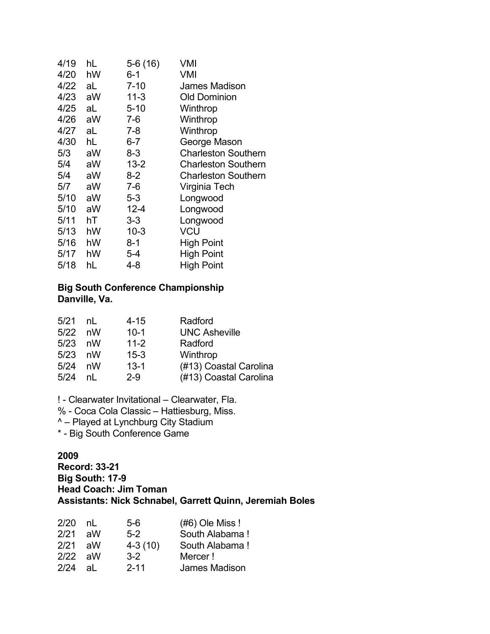| 4/19 | hL | $5-6(16)$ | VMI                        |
|------|----|-----------|----------------------------|
| 4/20 | hW | $6 - 1$   | VMI                        |
| 4/22 | aL | $7 - 10$  | James Madison              |
| 4/23 | aW | $11-3$    | <b>Old Dominion</b>        |
| 4/25 | aL | $5 - 10$  | Winthrop                   |
| 4/26 | aW | 7-6       | Winthrop                   |
| 4/27 | aL | 7-8       | Winthrop                   |
| 4/30 | hL | 6-7       | George Mason               |
| 5/3  | aW | $8 - 3$   | <b>Charleston Southern</b> |
| 5/4  | aW | $13 - 2$  | <b>Charleston Southern</b> |
| 5/4  | aW | $8-2$     | <b>Charleston Southern</b> |
| 5/7  | aW | 7-6       | Virginia Tech              |
| 5/10 | aW | 5-3       | Longwood                   |
| 5/10 | aW | $12 - 4$  | Longwood                   |
| 5/11 | hT | $3 - 3$   | Longwood                   |
| 5/13 | hW | $10 - 3$  | VCU                        |
| 5/16 | hW | $8 - 1$   | <b>High Point</b>          |
| 5/17 | hW | 5-4       | <b>High Point</b>          |
| 5/18 | hL | 4-8       | <b>High Point</b>          |

### **Big South Conference Championship Danville, Va.**

| 5/21      | nl | $4 - 15$ | Radford                |
|-----------|----|----------|------------------------|
| $5/22$ nW |    | $10 - 1$ | <b>UNC Asheville</b>   |
| $5/23$ nW |    | $11 - 2$ | Radford                |
| $5/23$ nW |    | $15 - 3$ | Winthrop               |
| 5/24      | nW | $13 - 1$ | (#13) Coastal Carolina |
| 5/24      | nl | $2 - 9$  | (#13) Coastal Carolina |

! - Clearwater Invitational – Clearwater, Fla.

% - Coca Cola Classic – Hattiesburg, Miss.

^ – Played at Lynchburg City Stadium

\* - Big South Conference Game

#### **2009**

**Record: 33-21 Big South: 17-9 Head Coach: Jim Toman Assistants: Nick Schnabel, Garrett Quinn, Jeremiah Boles**

| 2/20      | nl | 5-6       | $(#6)$ Ole Miss ! |
|-----------|----|-----------|-------------------|
| 2/21      | aW | 5-2       | South Alabama!    |
| 2/21      | aW | $4-3(10)$ | South Alabama!    |
| $2/22$ aW |    | $3-2$     | Mercer!           |
| 2/24      | al | $2 - 11$  | James Madison     |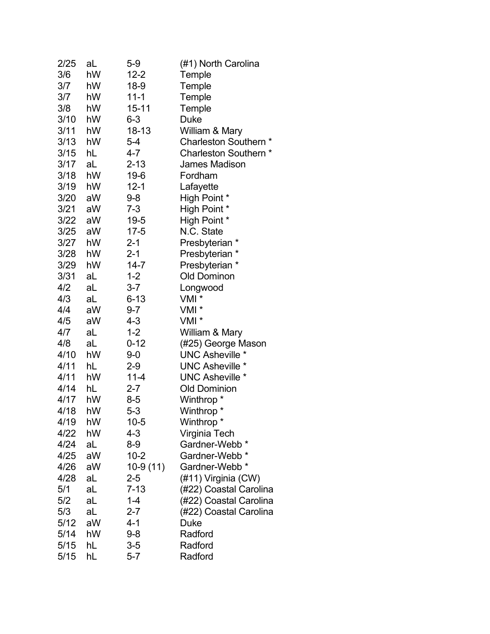| 2/25 | aL | $5-9$      | (#1) North Carolina       |
|------|----|------------|---------------------------|
| 3/6  | hW | $12 - 2$   | Temple                    |
| 3/7  | hW | 18-9       | Temple                    |
| 3/7  | hW | $11 - 1$   | Temple                    |
| 3/8  | hW | $15 - 11$  | Temple                    |
| 3/10 | hW | $6 - 3$    | <b>Duke</b>               |
| 3/11 | hW | 18-13      | William & Mary            |
| 3/13 | hW | $5 - 4$    | Charleston Southern *     |
| 3/15 | hL | 4-7        | Charleston Southern *     |
| 3/17 | aL | $2 - 13$   | <b>James Madison</b>      |
| 3/18 | hW | 19-6       | Fordham                   |
| 3/19 | hW | $12 - 1$   | Lafayette                 |
| 3/20 | aW | $9 - 8$    | High Point *              |
| 3/21 | aW | $7 - 3$    | High Point *              |
| 3/22 | aW | $19 - 5$   | High Point *              |
| 3/25 | aW | $17 - 5$   | N.C. State                |
| 3/27 | hW | $2 - 1$    | Presbyterian *            |
| 3/28 | hW | $2 - 1$    | Presbyterian *            |
| 3/29 | hW | $14 - 7$   | Presbyterian *            |
| 3/31 | aL | $1 - 2$    | <b>Old Dominon</b>        |
| 4/2  | aL | $3 - 7$    | Longwood                  |
| 4/3  | aL | $6 - 13$   | VMI <sup>*</sup>          |
| 4/4  | aW | $9 - 7$    | VMI *                     |
| 4/5  | aW | $4 - 3$    | VMI *                     |
| 4/7  | aL | $1 - 2$    | William & Mary            |
| 4/8  | aL | $0 - 12$   | (#25) George Mason        |
| 4/10 | hW | $9-0$      | <b>UNC Asheville *</b>    |
| 4/11 | hL | $2 - 9$    | <b>UNC Asheville *</b>    |
| 4/11 | hW | 11-4       | <b>UNC Asheville *</b>    |
| 4/14 | hL | $2 - 7$    | <b>Old Dominion</b>       |
| 4/17 | hW | $8-5$      | Winthrop <sup>*</sup>     |
| 4/18 | hW | $5 - 3$    | Winthrop *                |
| 4/19 | hW | $10 - 5$   | Winthrop <sup>*</sup>     |
| 4/22 | hW | 4-3        | Virginia Tech             |
| 4/24 | aL | $8-9$      | Gardner-Webb <sup>*</sup> |
| 4/25 | aW | $10 - 2$   | Gardner-Webb <sup>*</sup> |
| 4/26 | aW | $10-9(11)$ | Gardner-Webb <sup>*</sup> |
| 4/28 | aL | $2 - 5$    | (#11) Virginia (CW)       |
| 5/1  | aL | $7 - 13$   | (#22) Coastal Carolina    |
| 5/2  | aL | $1 - 4$    | (#22) Coastal Carolina    |
| 5/3  | aL | $2 - 7$    | (#22) Coastal Carolina    |
| 5/12 | aW | 4-1        | <b>Duke</b>               |
| 5/14 | hW | $9 - 8$    | Radford                   |
| 5/15 | hL | $3-5$      | Radford                   |
| 5/15 | hL | $5 - 7$    | Radford                   |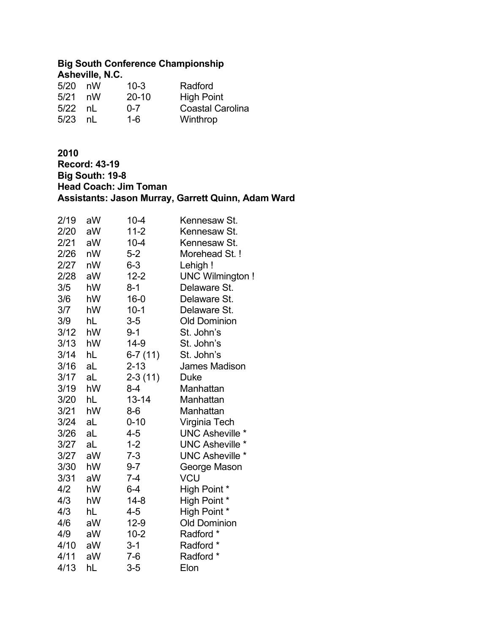# **Big South Conference Championship**

| Asheville, N.C. |    |           |                         |  |
|-----------------|----|-----------|-------------------------|--|
| 5/20            | nW | $10 - 3$  | Radford                 |  |
| 5/21            | nW | $20 - 10$ | <b>High Point</b>       |  |
| 5/22            | nl | $0 - 7$   | <b>Coastal Carolina</b> |  |
| 5/23            | nl | $1-6$     | Winthrop                |  |

# **2010**

**Record: 43-19 Big South: 19-8 Head Coach: Jim Toman Assistants: Jason Murray, Garrett Quinn, Adam Ward**

| 2/19 | aW | $10 - 4$  | Kennesaw St.           |
|------|----|-----------|------------------------|
| 2/20 | aW | $11-2$    | Kennesaw St.           |
| 2/21 | aW | $10 - 4$  | Kennesaw St.           |
| 2/26 | nW | 5-2       | Morehead St.!          |
| 2/27 | nW | $6 - 3$   | Lehigh!                |
| 2/28 | aW | $12 - 2$  | <b>UNC Wilmington!</b> |
| 3/5  | hW | $8 - 1$   | Delaware St.           |
| 3/6  | hW | $16 - 0$  | Delaware St.           |
| 3/7  | hW | $10 - 1$  | Delaware St.           |
| 3/9  | hL | 3-5       | <b>Old Dominion</b>    |
| 3/12 | hW | $9 - 1$   | St. John's             |
| 3/13 | hW | $14-9$    | St. John's             |
| 3/14 | hL | $6-7(11)$ | St. John's             |
| 3/16 | aL | $2 - 13$  | James Madison          |
| 3/17 | aL | $2-3(11)$ | Duke                   |
| 3/19 | hW | $8 - 4$   | Manhattan              |
| 3/20 | hL | 13-14     | Manhattan              |
| 3/21 | hW | $8-6$     | Manhattan              |
| 3/24 | aL | $0 - 10$  | Virginia Tech          |
| 3/26 | aL | $4 - 5$   | <b>UNC Asheville *</b> |
| 3/27 | aL | $1 - 2$   | <b>UNC Asheville *</b> |
| 3/27 | aW | $7 - 3$   | <b>UNC Asheville *</b> |
| 3/30 | hW | $9 - 7$   | George Mason           |
| 3/31 | aW | $7 - 4$   | VCU                    |
| 4/2  | hW | $6 - 4$   | High Point *           |
| 4/3  | hW | $14 - 8$  | High Point *           |
| 4/3  | hL | 4-5       | High Point *           |
| 4/6  | aW | $12-9$    | <b>Old Dominion</b>    |
| 4/9  | aW | $10 - 2$  | Radford                |
| 4/10 | aW | $3 - 1$   | Radford *              |
| 4/11 | aW | $7-6$     | Radford *              |
| 4/13 | hL | $3-5$     | Elon                   |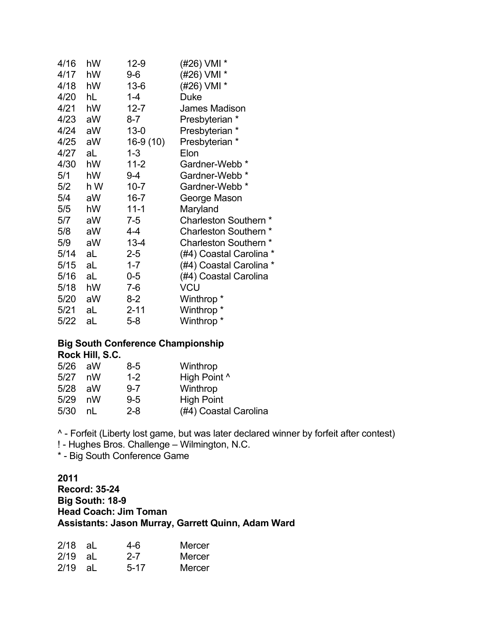| 4/16 | hW  | $12-9$     | (#26) VMI *                |
|------|-----|------------|----------------------------|
| 4/17 | hW  | 9-6        | (#26) VMI *                |
| 4/18 | hW  | $13-6$     | (#26) VMI *                |
| 4/20 | hL  | $1 - 4$    | Duke                       |
| 4/21 | hW  | $12 - 7$   | <b>James Madison</b>       |
| 4/23 | aW  | $8 - 7$    | Presbyterian *             |
| 4/24 | aW  | $13 - 0$   | Presbyterian *             |
| 4/25 | aW  | $16-9(10)$ | Presbyterian *             |
| 4/27 | aL  | $1 - 3$    | Elon                       |
| 4/30 | hW  | $11 - 2$   | Gardner-Webb <sup>*</sup>  |
| 5/1  | hW  | 9-4        | Gardner-Webb               |
| 5/2  | h W | $10 - 7$   | Gardner-Webb <sup>*</sup>  |
| 5/4  | aW  | $16 - 7$   | George Mason               |
| 5/5  | hW  | $11 - 1$   | Maryland                   |
| 5/7  | aW  | 7-5        | Charleston Southern *      |
| 5/8  | aW  | 4-4        | <b>Charleston Southern</b> |
| 5/9  | aW  | $13 - 4$   | Charleston Southern *      |
| 5/14 | aL  | $2 - 5$    | (#4) Coastal Carolina *    |
| 5/15 | aL  | $1 - 7$    | (#4) Coastal Carolina *    |
| 5/16 | aL  | $0-5$      | (#4) Coastal Carolina      |
| 5/18 | hW  | $7-6$      | <b>VCU</b>                 |
| 5/20 | aW  | $8-2$      | Winthrop *                 |
| 5/21 | aL  | $2 - 11$   | Winthrop *                 |
| 5/22 | aL  | $5 - 8$    | Winthrop <sup>*</sup>      |

#### **Big South Conference Championship Rock Hill, S.C.**

| 5/26 | aW | 8-5     | Winthrop              |
|------|----|---------|-----------------------|
| 5/27 | nW | $1 - 2$ | High Point ^          |
| 5/28 | aW | $9 - 7$ | Winthrop              |
| 5/29 | nW | $9 - 5$ | <b>High Point</b>     |
| 5/30 | nl | $2 - 8$ | (#4) Coastal Carolina |

^ - Forfeit (Liberty lost game, but was later declared winner by forfeit after contest)

! - Hughes Bros. Challenge – Wilmington, N.C.

\* - Big South Conference Game

### **2011 Record: 35-24 Big South: 18-9 Head Coach: Jim Toman Assistants: Jason Murray, Garrett Quinn, Adam Ward**

| 2/18 aL   | 4-6      | Mercer |
|-----------|----------|--------|
| $2/19$ aL | $2 - 7$  | Mercer |
| $2/19$ aL | $5 - 17$ | Mercer |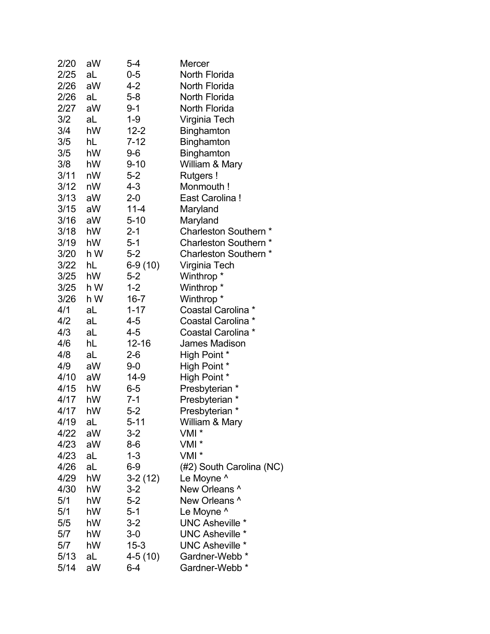| 2/20 | aW  | $5 - 4$   | Mercer                    |
|------|-----|-----------|---------------------------|
| 2/25 | aL  | $0-5$     | North Florida             |
| 2/26 | aW  | 4-2       | North Florida             |
| 2/26 | aL  | $5 - 8$   | North Florida             |
| 2/27 | aW  | $9 - 1$   | North Florida             |
| 3/2  | aL  | 1-9       | Virginia Tech             |
| 3/4  | hW  | $12 - 2$  | Binghamton                |
| 3/5  | hL  | $7 - 12$  | <b>Binghamton</b>         |
| 3/5  | hW  | $9-6$     | <b>Binghamton</b>         |
| 3/8  | hW  | $9 - 10$  | William & Mary            |
| 3/11 | nW  | $5 - 2$   | Rutgers!                  |
| 3/12 | nW  | 4-3       | Monmouth!                 |
| 3/13 | aW  | $2 - 0$   | East Carolina!            |
| 3/15 | aW  | 11-4      | Maryland                  |
| 3/16 | aW  | $5 - 10$  | Maryland                  |
| 3/18 | hW  | $2 - 1$   | Charleston Southern *     |
| 3/19 | hW  | $5 - 1$   | Charleston Southern *     |
| 3/20 | h W | $5 - 2$   | Charleston Southern *     |
| 3/22 | hL  | 6-9 (10)  | Virginia Tech             |
| 3/25 | hW  | $5 - 2$   | Winthrop *                |
| 3/25 | h W | $1 - 2$   | Winthrop *                |
| 3/26 | h W | $16 - 7$  | Winthrop *                |
| 4/1  | aL  | $1 - 17$  | Coastal Carolina *        |
| 4/2  | aL  | 4-5       | Coastal Carolina *        |
| 4/3  | aL  | 4-5       | Coastal Carolina *        |
| 4/6  | hL  | 12-16     | James Madison             |
| 4/8  | aL  | 2-6       | High Point *              |
| 4/9  | aW  | 9-0       | High Point *              |
| 4/10 | aW  | 14-9      | High Point *              |
| 4/15 | hW  | $6-5$     | Presbyterian *            |
| 4/17 | hW  | $7 - 1$   | Presbyterian              |
| 4/17 | hW  | $5 - 2$   | Presbyterian *            |
| 4/19 | aL  | 5-11      | William & Mary            |
| 4/22 | aW  | $3-2$     | VMI <sup>*</sup>          |
| 4/23 | aW  | 8-6       | VMI *                     |
| 4/23 | aL  | $1 - 3$   | VMI *                     |
| 4/26 | aL  | $6-9$     | (#2) South Carolina (NC)  |
| 4/29 | hW  | $3-2(12)$ | Le Moyne ^                |
| 4/30 | hW  | $3-2$     | New Orleans ^             |
| 5/1  | hW  | $5-2$     | New Orleans ^             |
| 5/1  | hW  | $5 - 1$   | Le Moyne ^                |
| 5/5  | hW  | $3 - 2$   | <b>UNC Asheville *</b>    |
| 5/7  | hW  | $3-0$     | <b>UNC Asheville *</b>    |
| 5/7  | hW  | $15 - 3$  | <b>UNC Asheville *</b>    |
| 5/13 | aL  | $4-5(10)$ | Gardner-Webb <sup>*</sup> |
| 5/14 | aW  | 6-4       | Gardner-Webb <sup>*</sup> |
|      |     |           |                           |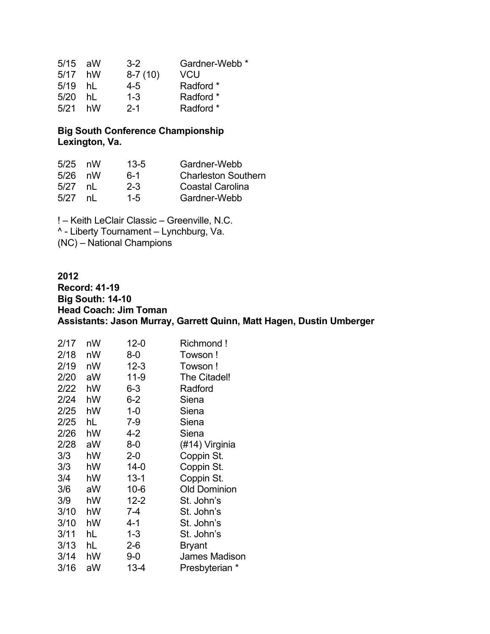| $5/15$ aW | $3-2$     | Gardner-Webb <sup>*</sup> |
|-----------|-----------|---------------------------|
| hW        | $8-7(10)$ | VCU                       |
| hI.       | 4-5       | Radford *                 |
| hl        | $1 - 3$   | Radford *                 |
| hW        | $2 - 1$   | Radford *                 |
|           |           |                           |

# **Big South Conference Championship Lexington, Va.**

| 5/25 | nW | $13 - 5$ | Gardner-Webb               |
|------|----|----------|----------------------------|
| 5/26 | nW | ճ-1      | <b>Charleston Southern</b> |
| 5/27 | nl | $2 - 3$  | Coastal Carolina           |
| 5/27 | nl | $1 - 5$  | Gardner-Webb               |

! – Keith LeClair Classic – Greenville, N.C. ^ - Liberty Tournament – Lynchburg, Va. (NC) – National Champions

#### **2012**

**Record: 41-19 Big South: 14-10 Head Coach: Jim Toman Assistants: Jason Murray, Garrett Quinn, Matt Hagen, Dustin Umberger**

| 2/17 | nW | $12 - 0$ | Richmond!           |
|------|----|----------|---------------------|
| 2/18 | nW | 8-0      | Towson !            |
| 2/19 | nW | $12 - 3$ | Towson!             |
| 2/20 | aW | $11 - 9$ | The Citadel!        |
| 2/22 | hW | $6 - 3$  | Radford             |
| 2/24 | hW | $6-2$    | Siena               |
| 2/25 | hW | $1 - 0$  | Siena               |
| 2/25 | hL | $7 - 9$  | Siena               |
| 2/26 | hW | $4 - 2$  | Siena               |
| 2/28 | aW | $8-0$    | (#14) Virginia      |
| 3/3  | hW | $2 - 0$  | Coppin St.          |
| 3/3  | hW | $14 - 0$ | Coppin St.          |
| 3/4  | hW | $13 - 1$ | Coppin St.          |
| 3/6  | aW | $10 - 6$ | <b>Old Dominion</b> |
| 3/9  | hW | $12 - 2$ | St. John's          |
| 3/10 | hW | $7 - 4$  | St. John's          |
| 3/10 | hW | $4 - 1$  | St. John's          |
| 3/11 | hL | $1 - 3$  | St. John's          |
| 3/13 | hL | $2 - 6$  | Bryant              |
| 3/14 | hW | 9-0      | James Madison       |
| 3/16 | aW | 13-4     | Presbyterian *      |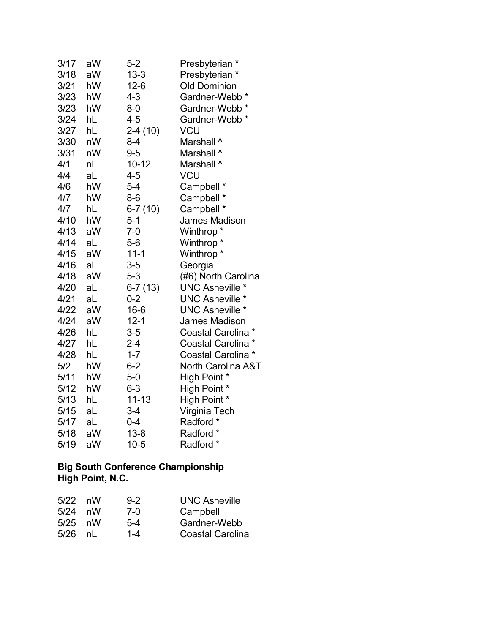| 3/17 | aW             | $5-2$     | Presbyterian *            |
|------|----------------|-----------|---------------------------|
| 3/18 | aW             | $13 - 3$  | Presbyterian *            |
| 3/21 | hW             | $12-6$    | <b>Old Dominion</b>       |
| 3/23 | hW             | $4 - 3$   | Gardner-Webb <sup>*</sup> |
| 3/23 | hW             | $8-0$     | Gardner-Webb              |
| 3/24 | hL             | $4 - 5$   | Gardner-Webb <sup>*</sup> |
| 3/27 | hL             | $2-4(10)$ | <b>VCU</b>                |
| 3/30 | nW             | $8 - 4$   | Marshall ^                |
| 3/31 | nW             | $9 - 5$   | Marshall ^                |
| 4/1  | n <sub>L</sub> | $10 - 12$ | Marshall ^                |
| 4/4  | aL             | $4 - 5$   | VCU                       |
| 4/6  | hW             | $5-4$     | Campbell *                |
| 4/7  | hW             | $8-6$     | Campbell *                |
| 4/7  | hL             | $6-7(10)$ | Campbell *                |
| 4/10 | hW             | $5 - 1$   | James Madison             |
| 4/13 | aW             | $7 - 0$   | Winthrop <sup>*</sup>     |
| 4/14 | aL             | $5-6$     | Winthrop *                |
| 4/15 | aW             | $11 - 1$  | Winthrop <sup>*</sup>     |
| 4/16 | aL             | $3-5$     | Georgia                   |
| 4/18 | aW             | $5-3$     | (#6) North Carolina       |
| 4/20 | aL             | $6-7(13)$ | <b>UNC Asheville *</b>    |
| 4/21 | aL             | $0 - 2$   | <b>UNC Asheville *</b>    |
| 4/22 | aW             | $16 - 6$  | <b>UNC Asheville *</b>    |
| 4/24 | aW             | $12 - 1$  | James Madison             |
| 4/26 | hL             | $3-5$     | Coastal Carolina          |
| 4/27 | hL             | $2 - 4$   | <b>Coastal Carolina</b>   |
| 4/28 | hL             | $1 - 7$   | Coastal Carolina *        |
| 5/2  | hW             | $6 - 2$   | North Carolina A&T        |
| 5/11 | hW             | $5-0$     | High Point *              |
| 5/12 | hW             | $6 - 3$   | High Point *              |
| 5/13 | hL             | $11 - 13$ | High Point *              |
| 5/15 | aL             | $3 - 4$   | Virginia Tech             |
| 5/17 | aL             | $0 - 4$   | Radford *                 |
| 5/18 | aW             | $13 - 8$  | Radford *                 |
| 5/19 | aW             | $10 - 5$  | Radford *                 |

### **Big South Conference Championship High Point, N.C.**

| $5/22$ nW  | $9 - 2$ | <b>UNC Asheville</b>    |
|------------|---------|-------------------------|
| 5/24<br>nW | $7-0$   | Campbell                |
| $5/25$ nW  | $5-4$   | Gardner-Webb            |
| nl         | $1 - 4$ | <b>Coastal Carolina</b> |
|            |         |                         |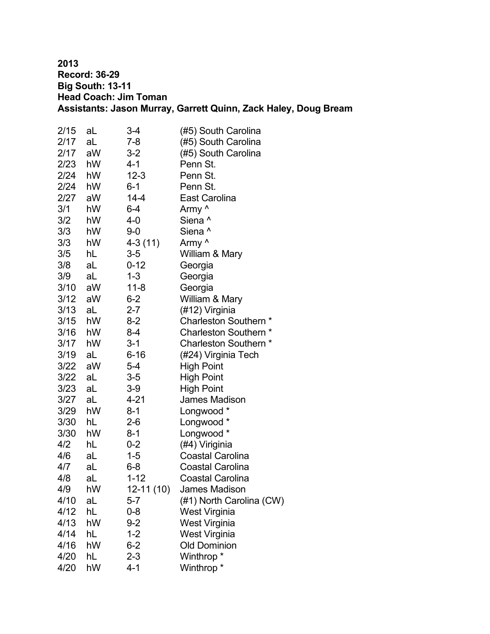**2013 Record: 36-29 Big South: 13-11 Head Coach: Jim Toman Assistants: Jason Murray, Garrett Quinn, Zack Haley, Doug Bream**

| 2/15 | aL | 3-4        | (#5) South Carolina      |
|------|----|------------|--------------------------|
| 2/17 | aL | $7 - 8$    | (#5) South Carolina      |
| 2/17 | aW | $3 - 2$    | (#5) South Carolina      |
| 2/23 | hW | 4-1        | Penn St.                 |
| 2/24 | hW | $12 - 3$   | Penn St.                 |
| 2/24 | hW | $6 - 1$    | Penn St.                 |
| 2/27 | aW | $14 - 4$   | <b>East Carolina</b>     |
| 3/1  | hW | $6 - 4$    | Army ^                   |
| 3/2  | hW | 4-0        | Siena ^                  |
| 3/3  | hW | $9 - 0$    | Siena ^                  |
| 3/3  | hW | $4-3(11)$  | Army ^                   |
| 3/5  | hL | $3 - 5$    | William & Mary           |
| 3/8  | aL | $0 - 12$   | Georgia                  |
| 3/9  | aL | $1 - 3$    | Georgia                  |
| 3/10 | aW | $11 - 8$   | Georgia                  |
| 3/12 | aW | $6 - 2$    | William & Mary           |
| 3/13 | aL | $2 - 7$    | (#12) Virginia           |
| 3/15 | hW | $8 - 2$    | Charleston Southern *    |
| 3/16 | hW | $8 - 4$    | Charleston Southern *    |
| 3/17 | hW | $3 - 1$    | Charleston Southern *    |
| 3/19 | aL | $6 - 16$   | (#24) Virginia Tech      |
| 3/22 | aW | $5 - 4$    | <b>High Point</b>        |
| 3/22 | aL | $3 - 5$    | <b>High Point</b>        |
| 3/23 | aL | $3-9$      | <b>High Point</b>        |
| 3/27 | aL | $4 - 21$   | <b>James Madison</b>     |
| 3/29 | hW | $8 - 1$    | Longwood *               |
| 3/30 | hL | $2 - 6$    | Longwood *               |
| 3/30 | hW | $8 - 1$    | Longwood *               |
| 4/2  | hL | $0 - 2$    | (#4) Viriginia           |
| 4/6  | aL | $1 - 5$    | <b>Coastal Carolina</b>  |
| 4/7  | aL | $6 - 8$    | <b>Coastal Carolina</b>  |
| 4/8  | aL | $1 - 12$   | <b>Coastal Carolina</b>  |
| 4/9  | hW | 12-11 (10) | James Madison            |
| 4/10 | aL | $5-7$      | (#1) North Carolina (CW) |
| 4/12 | hL | $0 - 8$    | West Virginia            |
| 4/13 | hW | $9 - 2$    | West Virginia            |
| 4/14 | hL | $1 - 2$    | West Virginia            |
| 4/16 | hW | $6 - 2$    | <b>Old Dominion</b>      |
| 4/20 | hL | $2 - 3$    | Winthrop *               |
| 4/20 | hW | $4 - 1$    | Winthrop <sup>*</sup>    |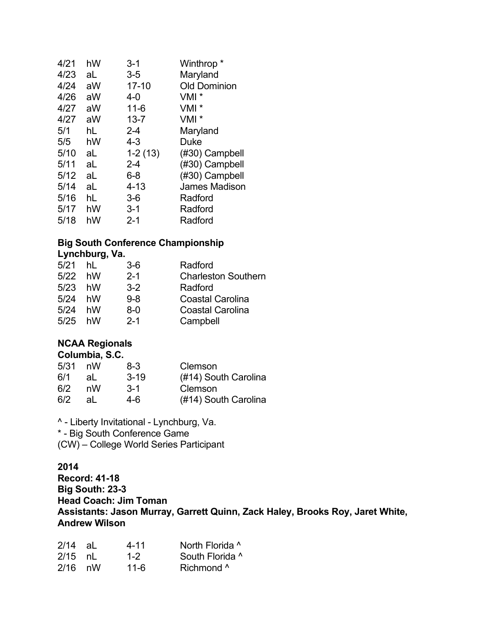| 4/21 | hW | $3 - 1$   | Winthrop <sup>*</sup> |
|------|----|-----------|-----------------------|
| 4/23 | aL | $3-5$     | Maryland              |
| 4/24 | aW | $17 - 10$ | <b>Old Dominion</b>   |
| 4/26 | aW | 4-0       | VMI <sup>*</sup>      |
| 4/27 | aW | $11 - 6$  | $VMI^*$               |
| 4/27 | aW | $13 - 7$  | $VMI^*$               |
| 5/1  | hL | $2 - 4$   | Maryland              |
| 5/5  | hW | $4 - 3$   | Duke                  |
| 5/10 | aL | $1-2(13)$ | (#30) Campbell        |
| 5/11 | aL | $2 - 4$   | (#30) Campbell        |
| 5/12 | aL | $6 - 8$   | (#30) Campbell        |
| 5/14 | aL | $4 - 13$  | <b>James Madison</b>  |
| 5/16 | hL | $3-6$     | Radford               |
| 5/17 | hW | $3 - 1$   | Radford               |
| 5/18 | hW | $2 - 1$   | Radford               |

#### **Big South Conference Championship Lynchburg, Va.**

| $L$ yiiviiwuiy, vul |    |         |                            |
|---------------------|----|---------|----------------------------|
| $5/21$ hL           |    | $3-6$   | Radford                    |
| 5/22 hW             |    | $2 - 1$ | <b>Charleston Southern</b> |
| 5/23 hW             |    | $3-2$   | Radford                    |
| $5/24$ hW           |    | $9 - 8$ | <b>Coastal Carolina</b>    |
| 5/24                | hW | 8-0     | <b>Coastal Carolina</b>    |
| $5/25$ hW           |    | $2 - 1$ | Campbell                   |

#### **NCAA Regionals Columbia, S.C.**

| nW | 8-3      | Clemson                    |
|----|----------|----------------------------|
| al | $3 - 19$ | (#14) South Carolina       |
| nW | $3-1$    | Clemson                    |
| al | 4-6.     | (#14) South Carolina       |
|    |          | <b>UUIUIIIIIIII</b> , U.U. |

^ - Liberty Invitational - Lynchburg, Va. \* - Big South Conference Game (CW) – College World Series Participant

### **2014**

**Record: 41-18 Big South: 23-3 Head Coach: Jim Toman Assistants: Jason Murray, Garrett Quinn, Zack Haley, Brooks Roy, Jaret White, Andrew Wilson**

| 2/14      | aL - | 4-11    | North Florida ^ |
|-----------|------|---------|-----------------|
| $2/15$ nL |      | $1 - 2$ | South Florida ^ |
| $2/16$ nW |      | 11-6    | Richmond ^      |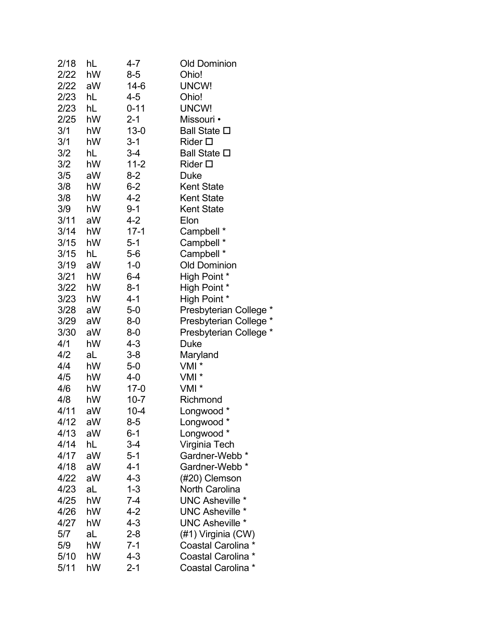| 2/18 | hL | 4-7      | <b>Old Dominion</b>       |
|------|----|----------|---------------------------|
| 2/22 | hW | $8-5$    | Ohio!                     |
| 2/22 | aW | $14-6$   | UNCW!                     |
| 2/23 | hL | 4-5      | Ohio!                     |
| 2/23 | hL | $0 - 11$ | UNCW!                     |
| 2/25 | hW | $2 - 1$  | Missouri •                |
| 3/1  | hW | $13 - 0$ | <b>Ball State □</b>       |
| 3/1  | hW | $3 - 1$  | Rider $\square$           |
| 3/2  | hL | $3-4$    | <b>Ball State □</b>       |
| 3/2  | hW | $11 - 2$ | $Rider$ $\square$         |
| 3/5  | aW | $8 - 2$  | Duke                      |
| 3/8  | hW | $6 - 2$  | <b>Kent State</b>         |
| 3/8  | hW | 4-2      | <b>Kent State</b>         |
| 3/9  | hW | 9-1      | <b>Kent State</b>         |
| 3/11 | aW | $4 - 2$  | Elon                      |
| 3/14 | hW | $17-1$   | Campbell *                |
| 3/15 | hW | $5 - 1$  | Campbell *                |
| 3/15 | hL | 5-6      | Campbell *                |
| 3/19 | aW | $1 - 0$  | <b>Old Dominion</b>       |
| 3/21 | hW | 6-4      | High Point *              |
| 3/22 | hW | $8 - 1$  | High Point *              |
| 3/23 | hW | 4-1      | High Point *              |
| 3/28 | aW | $5-0$    | Presbyterian College *    |
| 3/29 | aW | 8-0      | Presbyterian College *    |
| 3/30 | aW | $8-0$    | Presbyterian College *    |
| 4/1  | hW | 4-3      | Duke                      |
| 4/2  | aL | $3 - 8$  | Maryland                  |
| 4/4  | hW | $5-0$    | VMI *                     |
| 4/5  | hW | $4 - 0$  | VMI <sup>*</sup>          |
| 4/6  | hW | $17-0$   | VMI *                     |
| 4/8  | hW | $10 - 7$ | Richmond                  |
| 4/11 | aW | $10 - 4$ | Longwood *                |
| 4/12 | aW | $8-5$    | Longwood *                |
| 4/13 | aW | $6 - 1$  | Longwood *                |
| 4/14 | hL | $3-4$    | Virginia Tech             |
| 4/17 | aW | $5 - 1$  | Gardner-Webb *            |
| 4/18 | aW | 4-1      | Gardner-Webb <sup>*</sup> |
| 4/22 | aW | $4 - 3$  | (#20) Clemson             |
| 4/23 | aL | $1 - 3$  | <b>North Carolina</b>     |
| 4/25 | hW | 7-4      | <b>UNC Asheville *</b>    |
| 4/26 | hW | 4-2      | <b>UNC Asheville *</b>    |
| 4/27 | hW | $4 - 3$  | <b>UNC Asheville *</b>    |
| 5/7  | aL | $2 - 8$  | (#1) Virginia (CW)        |
| 5/9  | hW | $7 - 1$  | Coastal Carolina *        |
| 5/10 | hW | $4 - 3$  | Coastal Carolina *        |
| 5/11 | hW | $2 - 1$  | Coastal Carolina *        |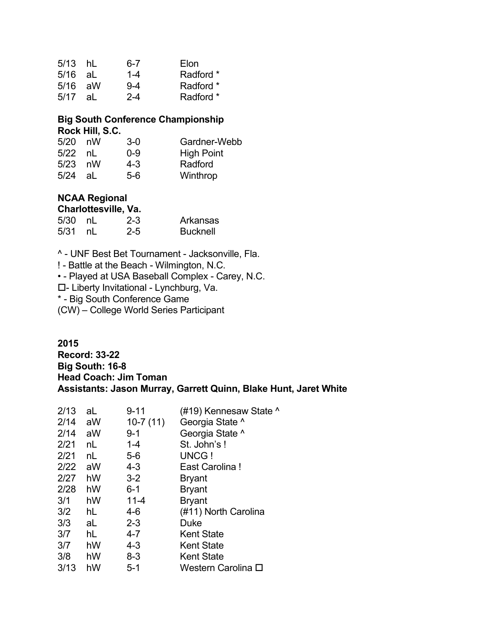| $5/13$ hL |    | ճ-7     | Elon      |
|-----------|----|---------|-----------|
| $5/16$ aL |    | $1 - 4$ | Radford * |
| $5/16$ aW |    | $9-4$   | Radford * |
| 5/17      | aL | $2 - 4$ | Radford * |

#### **Big South Conference Championship Rock Hill, S.C.**

| 5/20      | nW   | $3-0$   | Gardner-Webb      |
|-----------|------|---------|-------------------|
| $5/22$ nL |      | 0-9     | <b>High Point</b> |
| $5/23$ nW |      | $4 - 3$ | Radford           |
| 5/24      | -al- | $5-6$   | Winthrop          |

# **NCAA Regional**

#### **Charlottesville, Va.**

| 5/30 nL | $2 - 3$ | Arkansas        |
|---------|---------|-----------------|
| 5/31 nL | $2 - 5$ | <b>Bucknell</b> |

^ - UNF Best Bet Tournament - Jacksonville, Fla.

! - Battle at the Beach - Wilmington, N.C.

• - Played at USA Baseball Complex - Carey, N.C.

- Liberty Invitational - Lynchburg, Va.

\* - Big South Conference Game

(CW) – College World Series Participant

**2015 Record: 33-22 Big South: 16-8 Head Coach: Jim Toman Assistants: Jason Murray, Garrett Quinn, Blake Hunt, Jaret White**

| 2/13 | aL | $9 - 11$   | (#19) Kennesaw State ^ |
|------|----|------------|------------------------|
| 2/14 | aW | $10-7(11)$ | Georgia State ^        |
| 2/14 | aW | $9 - 1$    | Georgia State ^        |
| 2/21 | nL | $1 - 4$    | St. John's!            |
| 2/21 | nL | $5-6$      | UNCG !                 |
| 2/22 | aW | $4 - 3$    | East Carolina!         |
| 2/27 | hW | $3 - 2$    | <b>Bryant</b>          |
| 2/28 | hW | $6 - 1$    | <b>Bryant</b>          |
| 3/1  | hW | $11 - 4$   | <b>Bryant</b>          |
| 3/2  | hL | 4-6        | (#11) North Carolina   |
| 3/3  | aL | $2 - 3$    | Duke                   |
| 3/7  | hL | 4-7        | Kent State             |
| 3/7  | hW | 4-3        | <b>Kent State</b>      |
| 3/8  | hW | 8-3        | <b>Kent State</b>      |
| 3/13 | hW | 5-1        | Western Carolina ロ     |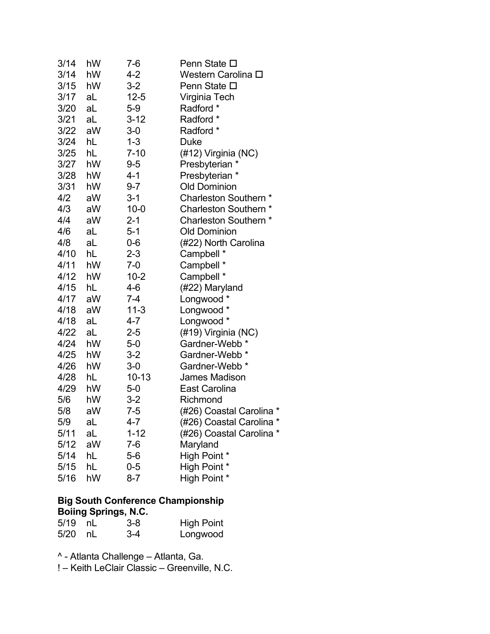| 3/14 | hW | 7-6      | Penn State □               |
|------|----|----------|----------------------------|
| 3/14 | hW | 4-2      | Western Carolina □         |
| 3/15 | hW | $3-2$    | Penn State □               |
| 3/17 | aL | $12 - 5$ | Virginia Tech              |
| 3/20 | aL | $5-9$    | Radford *                  |
| 3/21 | aL | $3-12$   | Radford *                  |
| 3/22 | aW | $3-0$    | Radford *                  |
| 3/24 | hL | $1 - 3$  | <b>Duke</b>                |
| 3/25 | hL | $7 - 10$ | (#12) Virginia (NC)        |
| 3/27 | hW | $9 - 5$  | Presbyterian *             |
| 3/28 | hW | 4-1      | Presbyterian *             |
| 3/31 | hW | $9 - 7$  | <b>Old Dominion</b>        |
| 4/2  | aW | 3-1      | Charleston Southern *      |
| 4/3  | aW | $10 - 0$ | <b>Charleston Southern</b> |
| 4/4  | aW | $2 - 1$  | Charleston Southern *      |
| 4/6  | aL | $5 - 1$  | <b>Old Dominion</b>        |
| 4/8  | aL | $0-6$    | (#22) North Carolina       |
| 4/10 | hL | $2 - 3$  | Campbell *                 |
| 4/11 | hW | $7-0$    | Campbell *                 |
| 4/12 | hW | $10 - 2$ | Campbell *                 |
| 4/15 | hL | 4-6      | (#22) Maryland             |
| 4/17 | aW | $7 - 4$  | Longwood *                 |
| 4/18 | aW | $11-3$   | Longwood *                 |
| 4/18 | aL | 4-7      | Longwood *                 |
| 4/22 | aL | $2 - 5$  | (#19) Virginia (NC)        |
| 4/24 | hW | $5-0$    | Gardner-Webb <sup>*</sup>  |
| 4/25 | hW | $3 - 2$  | Gardner-Webb <sup>*</sup>  |
| 4/26 | hW | $3-0$    | Gardner-Webb <sup>*</sup>  |
| 4/28 | hL | 10-13    | <b>James Madison</b>       |
| 4/29 | hW | $5-0$    | East Carolina              |
| 5/6  | hW | $3-2$    | Richmond                   |
| 5/8  | aW | 7-5      | (#26) Coastal Carolina *   |
| 5/9  | aL | 4-7      | (#26) Coastal Carolina *   |
| 5/11 | aL | $1 - 12$ | (#26) Coastal Carolina *   |
| 5/12 | aW | $7-6$    | Maryland                   |
| 5/14 | hL | $5-6$    | High Point *               |
| 5/15 | hL | $0 - 5$  | High Point *               |
| 5/16 | hW | $8 - 7$  | High Point *               |

### **Big South Conference Championship Boiing Springs, N.C.**

| 5/19 nL | $3-8$ | <b>High Point</b> |
|---------|-------|-------------------|
| 5/20 nL | $3-4$ | Longwood          |

^ - Atlanta Challenge – Atlanta, Ga.

! – Keith LeClair Classic – Greenville, N.C.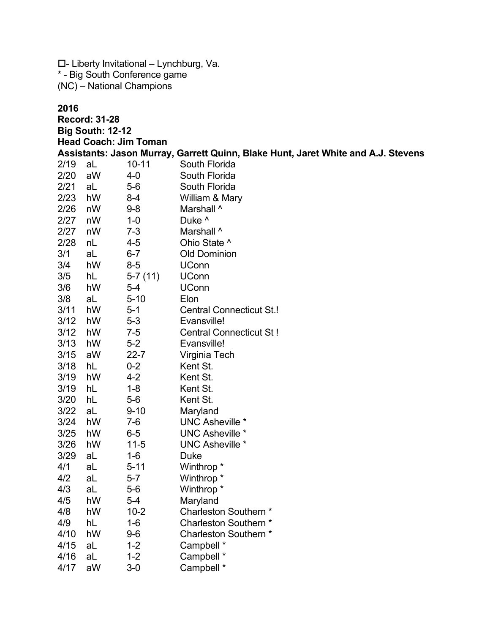$\square$ - Liberty Invitational – Lynchburg, Va. \* - Big South Conference game (NC) – National Champions

4/16 aL 1-2 Campbell \* 4/17 aW 3-0 Campbell \*

#### **2016**

**Record: 31-28 Big South: 12-12 Head Coach: Jim Toman Assistants: Jason Murray, Garrett Quinn, Blake Hunt, Jaret White and A.J. Stevens** 2/19 aL 10-11 South Florida 2/20 aW 4-0 South Florida 2/21 aL 5-6 South Florida 2/23 hW 8-4 William & Mary 2/26 nW 9-8 Marshall ^ 2/27 nW 1-0 Duke ^ 2/27 nW 7-3 Marshall ^ 2/28 nL 4-5 Ohio State ^ 3/1 aL 6-7 Old Dominion 3/4 hW 8-5 UConn 3/5 hL 5-7 (11) UConn 3/6 hW 5-4 UConn 3/8 aL 5-10 Elon 3/11 hW 5-1 Central Connecticut St.! 3/12 hW 5-3 Evansville! 3/12 hW 7-5 Central Connecticut St ! 3/13 hW 5-2 Evansville! 3/15 aW 22-7 Virginia Tech 3/18 hL 0-2 Kent St. 3/19 hW 4-2 Kent St. 3/19 hL 1-8 Kent St. 3/20 hL 5-6 Kent St. 3/22 aL 9-10 Maryland 3/24 hW 7-6 UNC Asheville \* 3/25 hW 6-5 UNC Asheville \* 3/26 hW 11-5 UNC Asheville \* 3/29 aL 1-6 Duke 4/1 aL 5-11 Winthrop \* 4/2 aL 5-7 Winthrop \* 4/3 aL 5-6 Winthrop \* 4/5 hW 5-4 Maryland 4/8 hW 10-2 Charleston Southern \* 4/9 hL 1-6 Charleston Southern \* 4/10 hW 9-6 Charleston Southern \* 4/15 aL 1-2 Campbell \*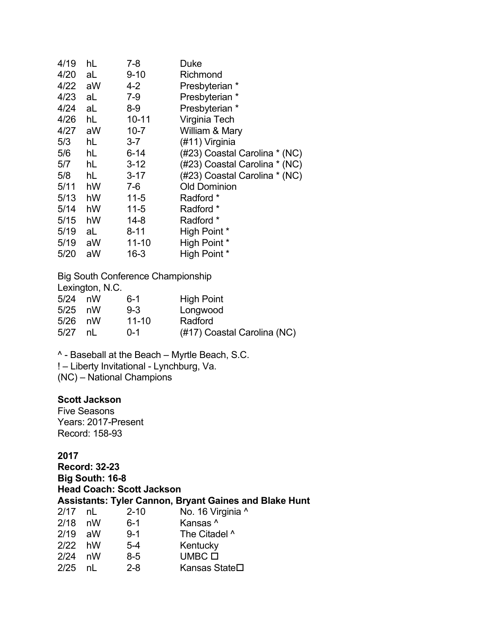| 4/19 | hL | $7 - 8$   | Duke                          |
|------|----|-----------|-------------------------------|
| 4/20 | aL | $9 - 10$  | Richmond                      |
| 4/22 | aW | 4-2       | Presbyterian *                |
| 4/23 | aL | $7-9$     | Presbyterian *                |
| 4/24 | aL | 8-9       | Presbyterian *                |
| 4/26 | hL | $10 - 11$ | Virginia Tech                 |
| 4/27 | aW | $10 - 7$  | William & Mary                |
| 5/3  | hL | $3 - 7$   | (#11) Virginia                |
| 5/6  | hL | $6 - 14$  | (#23) Coastal Carolina * (NC) |
| 5/7  | hL | $3 - 12$  | (#23) Coastal Carolina * (NC) |
| 5/8  | hL | $3 - 17$  | (#23) Coastal Carolina * (NC) |
| 5/11 | hW | 7-6       | Old Dominion                  |
| 5/13 | hW | $11-5$    | Radford *                     |
| 5/14 | hW | $11 - 5$  | Radford *                     |
| 5/15 | hW | $14 - 8$  | Radford *                     |
| 5/19 | aL | $8 - 11$  | High Point *                  |
| 5/19 | aW | 11-10     | High Point *                  |
| 5/20 | aW | $16 - 3$  | High Point *                  |
|      |    |           |                               |

Big South Conference Championship

|  | Lexington, N.C. |
|--|-----------------|
|  |                 |

| 5/24 | nW | ճ-1       | <b>High Point</b>           |
|------|----|-----------|-----------------------------|
| 5/25 | nW | $9 - 3$   | Longwood                    |
| 5/26 | nW | $11 - 10$ | Radford                     |
| 5/27 | nL | $0 - 1$   | (#17) Coastal Carolina (NC) |

^ - Baseball at the Beach – Myrtle Beach, S.C.

! – Liberty Invitational - Lynchburg, Va.

(NC) – National Champions

# **Scott Jackson**

Five Seasons Years: 2017-Present Record: 158-93

| <b>Record: 32-23</b> |                 |                                  |                                                               |  |
|----------------------|-----------------|----------------------------------|---------------------------------------------------------------|--|
|                      | Big South: 16-8 |                                  |                                                               |  |
|                      |                 | <b>Head Coach: Scott Jackson</b> |                                                               |  |
|                      |                 |                                  | <b>Assistants: Tyler Cannon, Bryant Gaines and Blake Hunt</b> |  |
| $2/17$ nL            |                 | $2 - 10$                         | No. 16 Virginia ^                                             |  |
| $2/18$ nW            |                 | $6-1$                            | Kansas ^                                                      |  |
| 2/19                 | aW              | $9 - 1$                          | The Citadel ^                                                 |  |
| 2/22                 | hW              | $5-4$                            | Kentucky                                                      |  |
| 2/24                 | nW              | $8-5$                            | $U$ MBC $\square$                                             |  |
| 2/25                 | nl              | $2 - 8$                          | Kansas State <b>□</b>                                         |  |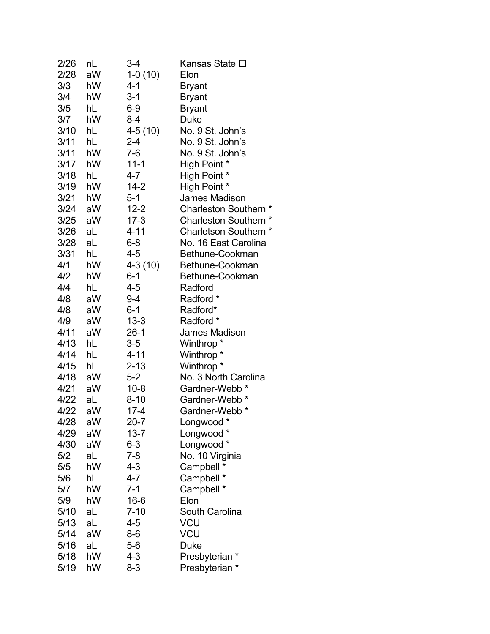| 2/26 | nL | 3-4       | Kansas State ロ            |
|------|----|-----------|---------------------------|
| 2/28 | aW | $1-0(10)$ | Elon                      |
| 3/3  | hW | 4-1       | <b>Bryant</b>             |
| 3/4  | hW | $3 - 1$   | <b>Bryant</b>             |
| 3/5  | hL | $6-9$     | <b>Bryant</b>             |
| 3/7  | hW | 8-4       | <b>Duke</b>               |
| 3/10 | hL | 4-5 (10)  | No. 9 St. John's          |
| 3/11 | hL | $2 - 4$   | No. 9 St. John's          |
| 3/11 | hW | $7-6$     | No. 9 St. John's          |
| 3/17 | hW | $11 - 1$  | High Point *              |
| 3/18 | hL | 4-7       | High Point *              |
| 3/19 | hW | $14 - 2$  | High Point *              |
| 3/21 | hW | $5 - 1$   | <b>James Madison</b>      |
| 3/24 | aW | $12 - 2$  | Charleston Southern *     |
| 3/25 | aW | $17 - 3$  | Charleston Southern *     |
| 3/26 | aL | $4 - 11$  | Charletson Southern *     |
| 3/28 | aL | $6 - 8$   | No. 16 East Carolina      |
| 3/31 | hL | 4-5       | Bethune-Cookman           |
| 4/1  | hW | $4-3(10)$ | Bethune-Cookman           |
| 4/2  | hW | $6 - 1$   | Bethune-Cookman           |
| 4/4  | hL | $4 - 5$   | Radford                   |
| 4/8  | aW | $9 - 4$   | Radford *                 |
| 4/8  | aW | $6 - 1$   | Radford*                  |
| 4/9  | aW | $13 - 3$  | Radford *                 |
| 4/11 | aW | $26-1$    | <b>James Madison</b>      |
| 4/13 | hL | $3-5$     | Winthrop *                |
| 4/14 | hL | $4 - 11$  | Winthrop <sup>*</sup>     |
| 4/15 | hL | $2 - 13$  | Winthrop*                 |
| 4/18 | aW | $5-2$     | No. 3 North Carolina      |
| 4/21 | aW | $10 - 8$  | Gardner-Webb *            |
| 4/22 | aL | $8 - 10$  | Gardner-Webb <sup>*</sup> |
| 4/22 | aW | $17 - 4$  | Gardner-Webb <sup>*</sup> |
| 4/28 | aW | $20 - 7$  | Longwood *                |
| 4/29 | aW | $13 - 7$  | Longwood *                |
| 4/30 | aW | $6 - 3$   | Longwood *                |
| 5/2  | aL | $7 - 8$   | No. 10 Virginia           |
| 5/5  | hW | $4 - 3$   | Campbell *                |
| 5/6  | hL | 4-7       | Campbell *                |
| 5/7  | hW | $7-1$     | Campbell *                |
| 5/9  | hW | $16 - 6$  | Elon                      |
| 5/10 | aL | $7 - 10$  | <b>South Carolina</b>     |
| 5/13 | aL | $4 - 5$   | <b>VCU</b>                |
| 5/14 | aW | $8-6$     | VCU                       |
| 5/16 | aL | $5-6$     | Duke                      |
| 5/18 | hW | 4-3       | Presbyterian *            |
| 5/19 | hW | $8 - 3$   | Presbyterian *            |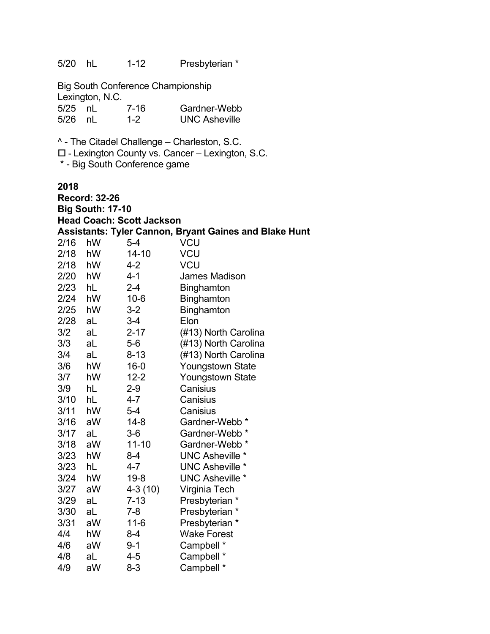5/20 hL 1-12 Presbyterian \* Big South Conference Championship Lexington, N.C. 5/25 nL 7-16 Gardner-Webb 5/26 nL 1-2 UNC Asheville ^ - The Citadel Challenge – Charleston, S.C. □ - Lexington County vs. Cancer – Lexington, S.C. \* - Big South Conference game **2018 Record: 32-26 Big South: 17-10 Head Coach: Scott Jackson Assistants: Tyler Cannon, Bryant Gaines and Blake Hunt** 2/16 hW 5-4 VCU 2/18 hW 14-10 VCU 2/18 hW 4-2 VCU 2/20 hW 4-1 James Madison 2/23 hL 2-4 Binghamton 2/24 hW 10-6 Binghamton 2/25 hW 3-2 Binghamton 2/28 aL 3-4 Elon 3/2 aL 2-17 (#13) North Carolina 3/3 aL 5-6 (#13) North Carolina 3/4 aL 8-13 (#13) North Carolina 3/6 hW 16-0 Youngstown State 3/7 hW 12-2 Youngstown State 3/9 hL 2-9 Canisius 3/10 hL 4-7 Canisius 3/11 hW 5-4 Canisius 3/16 aW 14-8 Gardner-Webb \*  $3/17$  al  $3-6$  Gardner-Webb \* 3/18 aW 11-10 Gardner-Webb \* 3/23 hW 8-4 UNC Asheville \* 3/23 hL 4-7 UNC Asheville \* 3/24 hW 19-8 UNC Asheville \* 3/27 aW 4-3 (10) Virginia Tech 3/29 aL 7-13 Presbyterian \* 3/30 aL 7-8 Presbyterian \* 3/31 aW 11-6 Presbyterian \* 4/4 hW 8-4 Wake Forest<br>4/6 aW 9-1 Campbell \* aW 9-1 Campbell \* 4/8 aL 4-5 Campbell \* 4/9 aW 8-3 Campbell \*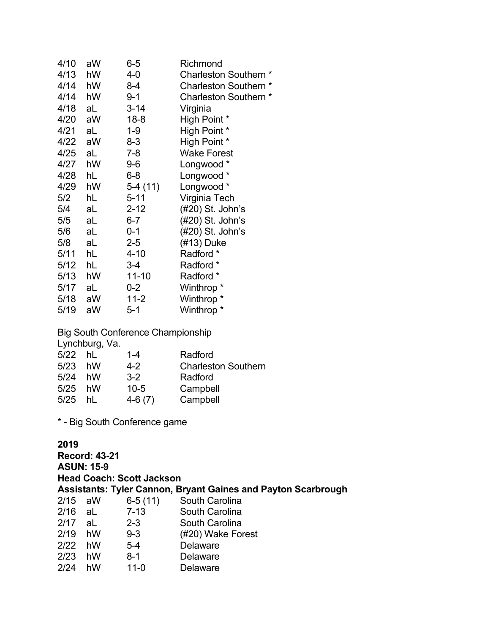| 4/10 | aW | $6-5$     | Richmond              |
|------|----|-----------|-----------------------|
| 4/13 | hW | 4-0       | Charleston Southern * |
| 4/14 | hW | 8-4       | Charleston Southern * |
| 4/14 | hW | $9 - 1$   | Charleston Southern * |
| 4/18 | aL | $3 - 14$  | Virginia              |
| 4/20 | aW | $18 - 8$  | High Point *          |
| 4/21 | aL | $1 - 9$   | High Point *          |
| 4/22 | aW | 8-3       | High Point *          |
| 4/25 | aL | 7-8       | <b>Wake Forest</b>    |
| 4/27 | hW | $9-6$     | Longwood *            |
| 4/28 | hL | $6 - 8$   | Longwood *            |
| 4/29 | hW | 5-4 (11)  | Longwood *            |
| 5/2  | hL | $5 - 11$  | Virginia Tech         |
| 5/4  | aL | $2 - 12$  | (#20) St. John's      |
| 5/5  | aL | 6-7       | (#20) St. John's      |
| 5/6  | aL | $0 - 1$   | (#20) St. John's      |
| 5/8  | aL | $2 - 5$   | (#13) Duke            |
| 5/11 | hL | $4 - 10$  | Radford *             |
| 5/12 | hL | $3-4$     | Radford *             |
| 5/13 | hW | $11 - 10$ | Radford *             |
| 5/17 | aL | $0 - 2$   | Winthrop <sup>*</sup> |
| 5/18 | aW | $11-2$    | Winthrop <sup>*</sup> |
| 5/19 | aW | $5 - 1$   | Winthrop <sup>*</sup> |

Big South Conference Championship

|           | Lynchburg, Va. |          |                            |
|-----------|----------------|----------|----------------------------|
| $5/22$ hL |                | $1 - 4$  | Radford                    |
| 5/23      | hW             | $4-2$    | <b>Charleston Southern</b> |
| 5/24      | hW             | $3-2$    | Radford                    |
| 5/25      | hW             | $10 - 5$ | Campbell                   |
| 5/25      | hI             | $4-6(7)$ | Campbell                   |
|           |                |          |                            |

\* - Big South Conference game

### **2019**

**Record: 43-21 ASUN: 15-9 Head Coach: Scott Jackson Assistants: Tyler Cannon, Bryant Gaines and Payton Scarbrough** 2/15 aW 6-5 (11) South Carolina South Carolina 2/17 aL 2-3 South Carolina<br>2/19 hW 9-3 (#20) Wake For 9-3 (#20) Wake Forest<br>5-4 Delaware  $2/22$  hW 2/23 hW 8-1 Delaware 2/24 hW 11-0 Delaware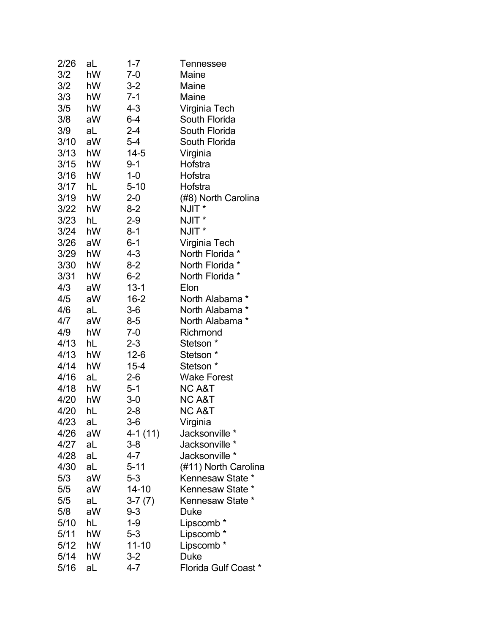| 2/26 | aL | $1 - 7$   | Tennessee                   |
|------|----|-----------|-----------------------------|
| 3/2  | hW | $7 - 0$   | Maine                       |
| 3/2  | hW | $3 - 2$   | Maine                       |
| 3/3  | hW | $7 - 1$   | Maine                       |
| 3/5  | hW | $4 - 3$   | Virginia Tech               |
| 3/8  | aW | 6-4       | South Florida               |
| 3/9  | aL | 2-4       | South Florida               |
| 3/10 | aW | $5-4$     | South Florida               |
| 3/13 | hW | $14 - 5$  | Virginia                    |
| 3/15 | hW | $9 - 1$   | Hofstra                     |
| 3/16 | hW | $1 - 0$   | Hofstra                     |
| 3/17 | hL | $5 - 10$  | Hofstra                     |
| 3/19 | hW | 2-0       | (#8) North Carolina         |
| 3/22 | hW | $8-2$     | NJIT *                      |
| 3/23 | hL | $2 - 9$   | NJIT *                      |
| 3/24 | hW | $8 - 1$   | NJIT <sup>*</sup>           |
| 3/26 | aW | $6 - 1$   | Virginia Tech               |
| 3/29 | hW | $4 - 3$   | North Florida *             |
| 3/30 | hW | 8-2       | North Florida *             |
| 3/31 | hW | $6 - 2$   | North Florida *             |
| 4/3  | aW | $13 - 1$  | Elon                        |
| 4/5  | aW | $16 - 2$  | North Alabama*              |
| 4/6  | aL | $3-6$     | North Alabama *             |
| 4/7  | aW | 8-5       | North Alabama *             |
| 4/9  | hW | $7-0$     | Richmond                    |
| 4/13 | hL | $2 - 3$   | Stetson *                   |
| 4/13 | hW | $12-6$    | Stetson *                   |
| 4/14 | hW | $15 - 4$  | Stetson *                   |
| 4/16 | aL | $2-6$     | <b>Wake Forest</b>          |
| 4/18 | hW | 5-1       | <b>NC A&amp;T</b>           |
| 4/20 | hW | $3-0$     | <b>NC A&amp;T</b>           |
| 4/20 | hL | $2 - 8$   | <b>NC A&amp;T</b>           |
| 4/23 | aL | $3-6$     | Virginia                    |
| 4/26 | aW | 4-1 (11)  | Jacksonville *              |
| 4/27 | aL | $3 - 8$   | Jacksonville *              |
| 4/28 | aL | 4-7       | Jacksonville *              |
| 4/30 | aL | $5 - 11$  | (#11) North Carolina        |
| 5/3  | aW | $5 - 3$   | Kennesaw State *            |
| 5/5  | aW | 14-10     | Kennesaw State *            |
| 5/5  | aL | $3-7(7)$  | Kennesaw State *            |
| 5/8  | aW | 9-3       | Duke                        |
| 5/10 | hL | $1 - 9$   | Lipscomb *                  |
| 5/11 | hW | $5 - 3$   | Lipscomb *                  |
| 5/12 | hW | $11 - 10$ | Lipscomb *                  |
| 5/14 | hW | $3 - 2$   | Duke                        |
| 5/16 | aL | 4-7       | <b>Florida Gulf Coast *</b> |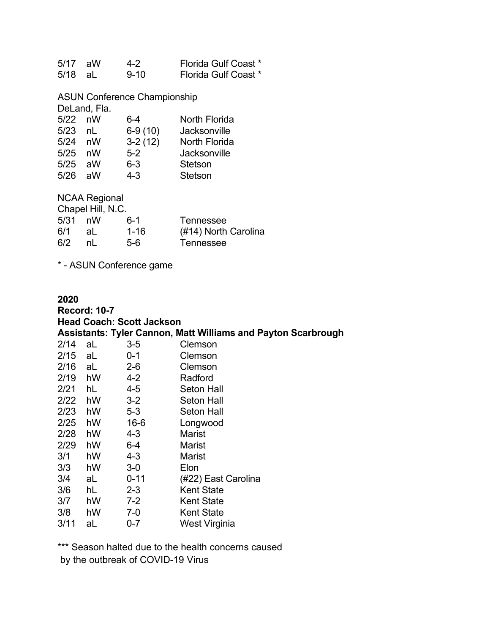| $5/17$ aW | 4-2      | <b>Florida Gulf Coast *</b> |
|-----------|----------|-----------------------------|
| 5/18 aL   | $9 - 10$ | <b>Florida Gulf Coast *</b> |

ASUN Conference Championship

DeLand, Fla.

| $5/22$ nW |    | 6-4       | North Florida  |
|-----------|----|-----------|----------------|
| 5/23      | nl | $6-9(10)$ | Jacksonville   |
| $5/24$ nW |    | $3-2(12)$ | North Florida  |
| 5/25 nW   |    | $5-2$     | Jacksonville   |
| 5/25 aW   |    | $6 - 3$   | Stetson        |
| 5/26 aW   |    | $4 - 3$   | <b>Stetson</b> |

NCAA Regional

| Chapel Hill, N.C. |     |          |                      |  |
|-------------------|-----|----------|----------------------|--|
| 5/31              | nW  | $6-1$    | Tennessee            |  |
| 6/1               | -aL | $1 - 16$ | (#14) North Carolina |  |
| 6/2               | nl  | 5-6      | Tennessee            |  |

\* - ASUN Conference game

### **2020 Record: 10-7 Head Coach: Scott Jackson Assistants: Tyler Cannon, Matt Williams and Payton Scarbrough**  $2/14$  aL  $3-5$ 2/15 aL 0-1 Clemson 2/16 aL 2-6 Clemson 2/19 hW 4-2 Radford 2/21 hL 4-5 Seton Hall 2/22 hW 3-2 Seton Hall 2/23 hW 5-3 Seton Hall 2/25 hW 16-6 Longwood<br>2/28 hW 4-3 Marist  $2/28$  hW 4-3 2/29 hW 6-4 Marist 3/1 hW 4-3 Marist 3/3 hW 3-0 Elon 3/4 aL 0-11 (#22) East Carolina 3/6 hL 2-3 Kent State 3/7 hW 7-2 Kent State 3/8 hW 7-0 Kent State

3/11 aL 0-7 West Virginia

\*\*\* Season halted due to the health concerns caused by the outbreak of COVID-19 Virus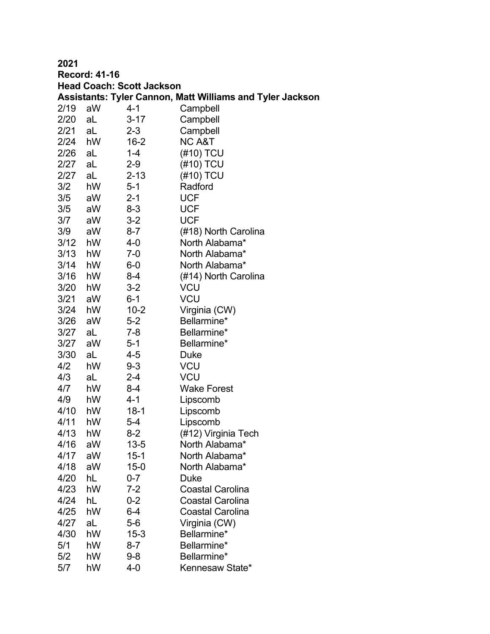| <b>Record: 41-16</b><br><b>Head Coach: Scott Jackson</b>         |    |          |                         |  |  |
|------------------------------------------------------------------|----|----------|-------------------------|--|--|
| <b>Assistants: Tyler Cannon, Matt Williams and Tyler Jackson</b> |    |          |                         |  |  |
| 2/19<br>aW<br>4-1<br>Campbell                                    |    |          |                         |  |  |
| 2/20                                                             | aL | $3 - 17$ | Campbell                |  |  |
| 2/21                                                             | aL | $2 - 3$  | Campbell                |  |  |
| 2/24 hW                                                          |    | $16 - 2$ | <b>NC A&amp;T</b>       |  |  |
| 2/26                                                             | aL | 1-4      | (#10) TCU               |  |  |
| 2/27                                                             | aL | $2 - 9$  | (#10) TCU               |  |  |
| 2/27                                                             | aL | $2 - 13$ | (#10) TCU               |  |  |
| 3/2                                                              | hW | $5 - 1$  | Radford                 |  |  |
|                                                                  |    |          |                         |  |  |
| 3/5                                                              | aW | $2 - 1$  | <b>UCF</b>              |  |  |
| 3/5                                                              | aW | $8 - 3$  | <b>UCF</b>              |  |  |
| 3/7                                                              | aW | $3 - 2$  | <b>UCF</b>              |  |  |
| 3/9                                                              | aW | $8 - 7$  | (#18) North Carolina    |  |  |
| 3/12                                                             | hW | $4 - 0$  | North Alabama*          |  |  |
| 3/13                                                             | hW | $7-0$    | North Alabama*          |  |  |
| 3/14                                                             | hW | $6-0$    | North Alabama*          |  |  |
| 3/16                                                             | hW | $8 - 4$  | (#14) North Carolina    |  |  |
| 3/20                                                             | hW | $3 - 2$  | <b>VCU</b>              |  |  |
| 3/21                                                             | aW | $6 - 1$  | <b>VCU</b>              |  |  |
| 3/24                                                             | hW | $10 - 2$ | Virginia (CW)           |  |  |
| 3/26                                                             | aW | $5 - 2$  | Bellarmine*             |  |  |
| 3/27                                                             | aL | 7-8      | Bellarmine*             |  |  |
| 3/27                                                             | aW | $5 - 1$  | Bellarmine*             |  |  |
| 3/30                                                             | aL | 4-5      | Duke                    |  |  |
| 4/2                                                              | hW | $9 - 3$  | <b>VCU</b>              |  |  |
| 4/3                                                              | aL | $2 - 4$  | <b>VCU</b>              |  |  |
| 4/7                                                              | hW | 8-4      | <b>Wake Forest</b>      |  |  |
| 4/9                                                              | hW | $4 - 1$  | Lipscomb                |  |  |
| 4/10                                                             | hW | $18-1$   | Lipscomb                |  |  |
| 4/11                                                             | hW | $5 - 4$  | Lipscomb                |  |  |
| 4/13                                                             | hW | 8-2      | (#12) Virginia Tech     |  |  |
| 4/16                                                             | aW | $13 - 5$ | North Alabama*          |  |  |
| 4/17                                                             | aW | $15 - 1$ | North Alabama*          |  |  |
| 4/18                                                             | aW | $15 - 0$ | North Alabama*          |  |  |
| 4/20                                                             | hL | $0 - 7$  | Duke                    |  |  |
| 4/23                                                             | hW | $7 - 2$  | <b>Coastal Carolina</b> |  |  |
| 4/24                                                             | hL | $0 - 2$  | <b>Coastal Carolina</b> |  |  |
| 4/25                                                             | hW | 6-4      | <b>Coastal Carolina</b> |  |  |
| 4/27                                                             | aL | $5-6$    | Virginia (CW)           |  |  |
| 4/30                                                             | hW | $15 - 3$ | Bellarmine*             |  |  |
| 5/1                                                              | hW | $8 - 7$  | Bellarmine*             |  |  |
| 5/2                                                              | hW | $9 - 8$  | Bellarmine*             |  |  |
| 5/7                                                              | hW | 4-0      | Kennesaw State*         |  |  |